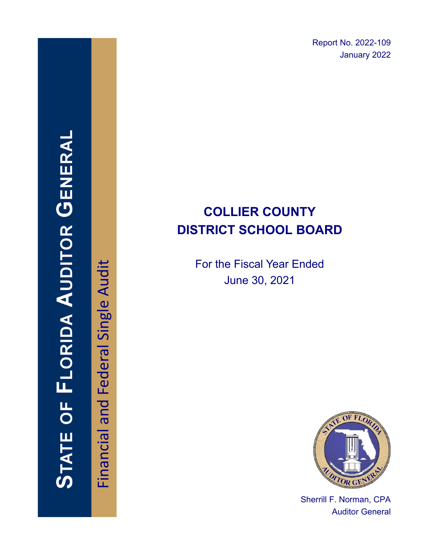Report No. 2022-109 January 2022

# **COLLIER COUNTY DISTRICT SCHOOL BOARD**

For the Fiscal Year Ended June 30, 2021



Sherrill F. Norman, CPA Auditor General

Financial and Federal Single Audit Financial and Federal Single Audit

STATE OF FLORIDA AUDITOR GENERAI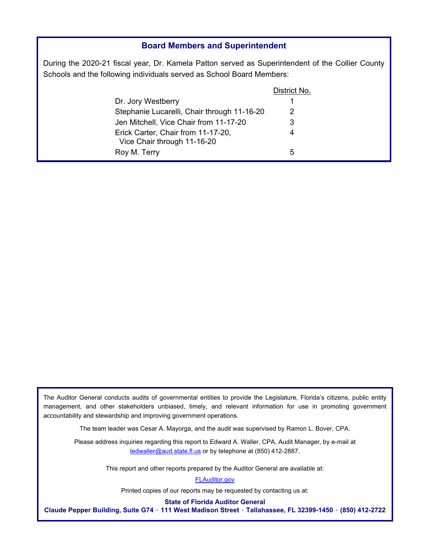#### **Board Members and Superintendent**

During the 2020-21 fiscal year, Dr. Kamela Patton served as Superintendent of the Collier County Schools and the following individuals served as School Board Members:

|                                                                   | District No. |  |
|-------------------------------------------------------------------|--------------|--|
| Dr. Jory Westberry                                                |              |  |
| Stephanie Lucarelli, Chair through 11-16-20                       | 2            |  |
| Jen Mitchell, Vice Chair from 11-17-20                            | З            |  |
| Erick Carter, Chair from 11-17-20,<br>Vice Chair through 11-16-20 |              |  |
| Roy M. Terry                                                      | 5            |  |

The Auditor General conducts audits of governmental entities to provide the Legislature, Florida's citizens, public entity management, and other stakeholders unbiased, timely, and relevant information for use in promoting government accountability and stewardship and improving government operations.

The team leader was Cesar A. Mayorga, and the audit was supervised by Ramon L. Bover, CPA.

Please address inquiries regarding this report to Edward A. Waller, CPA, Audit Manager, by e-mail at tedwaller@aud.state.fl.us or by telephone at (850) 412-2887.

This report and other reports prepared by the Auditor General are available at:

[FLAuditor.gov](http://flauditor.gov/)

Printed copies of our reports may be requested by contacting us at:

**State of Florida Auditor General** 

**Claude Pepper Building, Suite G74** ∙ **111 West Madison Street** ∙ **Tallahassee, FL 32399-1450** ∙ **(850) 412-2722**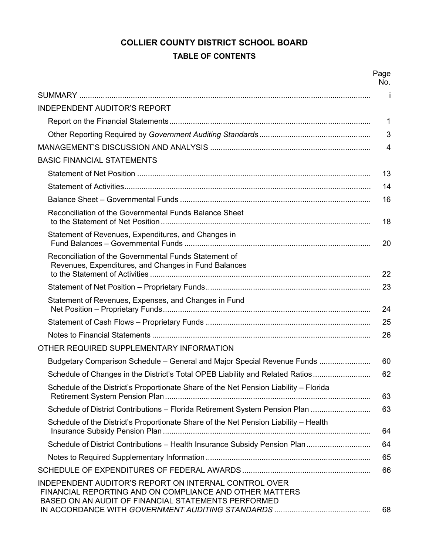## **COLLIER COUNTY DISTRICT SCHOOL BOARD TABLE OF CONTENTS**

|                                                                                                                                                                         | Page<br>No.    |
|-------------------------------------------------------------------------------------------------------------------------------------------------------------------------|----------------|
|                                                                                                                                                                         | Ť              |
| <b>INDEPENDENT AUDITOR'S REPORT</b>                                                                                                                                     |                |
|                                                                                                                                                                         | $\mathbf 1$    |
|                                                                                                                                                                         | 3              |
|                                                                                                                                                                         | $\overline{4}$ |
| <b>BASIC FINANCIAL STATEMENTS</b>                                                                                                                                       |                |
|                                                                                                                                                                         | 13             |
|                                                                                                                                                                         | 14             |
|                                                                                                                                                                         | 16             |
| Reconciliation of the Governmental Funds Balance Sheet                                                                                                                  | 18             |
| Statement of Revenues, Expenditures, and Changes in                                                                                                                     | 20             |
| Reconciliation of the Governmental Funds Statement of<br>Revenues, Expenditures, and Changes in Fund Balances                                                           | 22             |
|                                                                                                                                                                         | 23             |
| Statement of Revenues, Expenses, and Changes in Fund                                                                                                                    | 24             |
|                                                                                                                                                                         | 25             |
|                                                                                                                                                                         | 26             |
| OTHER REQUIRED SUPPLEMENTARY INFORMATION                                                                                                                                |                |
| Budgetary Comparison Schedule – General and Major Special Revenue Funds                                                                                                 | 60             |
| Schedule of Changes in the District's Total OPEB Liability and Related Ratios                                                                                           | 62             |
| Schedule of the District's Proportionate Share of the Net Pension Liability - Florida                                                                                   | 63             |
| Schedule of District Contributions - Florida Retirement System Pension Plan                                                                                             | 63             |
| Schedule of the District's Proportionate Share of the Net Pension Liability - Health                                                                                    | 64             |
| Schedule of District Contributions - Health Insurance Subsidy Pension Plan                                                                                              | 64             |
|                                                                                                                                                                         | 65             |
|                                                                                                                                                                         | 66             |
| INDEPENDENT AUDITOR'S REPORT ON INTERNAL CONTROL OVER<br>FINANCIAL REPORTING AND ON COMPLIANCE AND OTHER MATTERS<br>BASED ON AN AUDIT OF FINANCIAL STATEMENTS PERFORMED | 68             |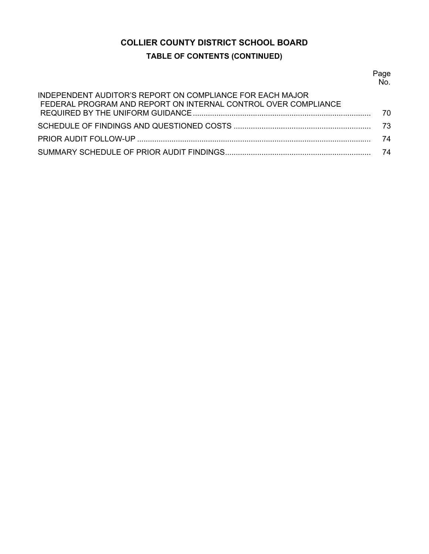## **COLLIER COUNTY DISTRICT SCHOOL BOARD TABLE OF CONTENTS (CONTINUED)**

|                                                                                                                             | Page<br>No. |
|-----------------------------------------------------------------------------------------------------------------------------|-------------|
| INDEPENDENT AUDITOR'S REPORT ON COMPLIANCE FOR EACH MAJOR<br>FEDERAL PROGRAM AND REPORT ON INTERNAL CONTROL OVER COMPLIANCE |             |
|                                                                                                                             | 70.         |
|                                                                                                                             | 73          |
|                                                                                                                             | 74          |
|                                                                                                                             | 74          |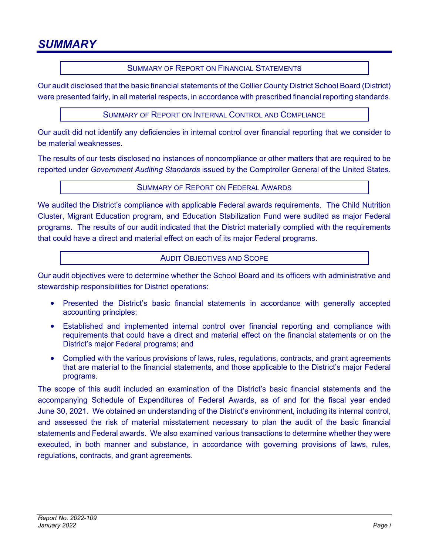#### SUMMARY OF REPORT ON FINANCIAL STATEMENTS

<span id="page-4-0"></span>Our audit disclosed that the basic financial statements of the Collier County District School Board (District) were presented fairly, in all material respects, in accordance with prescribed financial reporting standards.

#### SUMMARY OF REPORT ON INTERNAL CONTROL AND COMPLIANCE

Our audit did not identify any deficiencies in internal control over financial reporting that we consider to be material weaknesses.

The results of our tests disclosed no instances of noncompliance or other matters that are required to be reported under *Government Auditing Standards* issued by the Comptroller General of the United States*.* 

#### SUMMARY OF REPORT ON FEDERAL AWARDS

We audited the District's compliance with applicable Federal awards requirements. The Child Nutrition Cluster, Migrant Education program, and Education Stabilization Fund were audited as major Federal programs. The results of our audit indicated that the District materially complied with the requirements that could have a direct and material effect on each of its major Federal programs.

#### AUDIT OBJECTIVES AND SCOPE

Our audit objectives were to determine whether the School Board and its officers with administrative and stewardship responsibilities for District operations:

- Presented the District's basic financial statements in accordance with generally accepted accounting principles;
- Established and implemented internal control over financial reporting and compliance with requirements that could have a direct and material effect on the financial statements or on the District's major Federal programs; and
- Complied with the various provisions of laws, rules, regulations, contracts, and grant agreements that are material to the financial statements, and those applicable to the District's major Federal programs.

The scope of this audit included an examination of the District's basic financial statements and the accompanying Schedule of Expenditures of Federal Awards, as of and for the fiscal year ended June 30, 2021. We obtained an understanding of the District's environment, including its internal control, and assessed the risk of material misstatement necessary to plan the audit of the basic financial statements and Federal awards. We also examined various transactions to determine whether they were executed, in both manner and substance, in accordance with governing provisions of laws, rules, regulations, contracts, and grant agreements.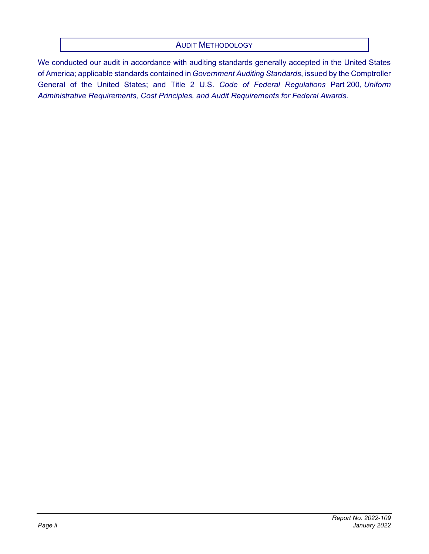#### AUDIT METHODOLOGY

We conducted our audit in accordance with auditing standards generally accepted in the United States of America; applicable standards contained in *Government Auditing Standards*, issued by the Comptroller General of the United States; and Title 2 U.S. *Code of Federal Regulations* Part 200, *Uniform Administrative Requirements, Cost Principles, and Audit Requirements for Federal Awards*.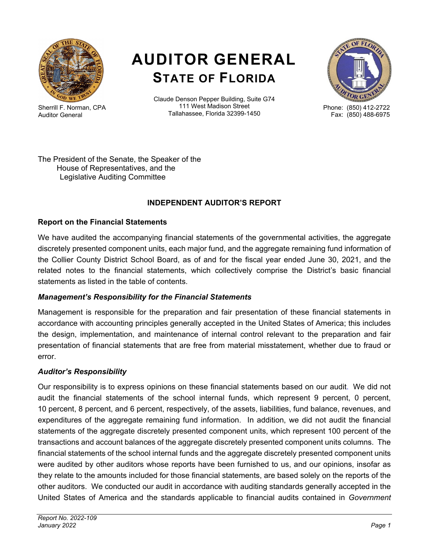<span id="page-6-0"></span>

Sherrill F. Norman, CPA Auditor General

# **AUDITOR GENERAL STATE OF FLORIDA**

Claude Denson Pepper Building, Suite G74 111 West Madison Street Tallahassee, Florida 32399-1450



Phone: (850) 412-2722 Fax: (850) 488-6975

The President of the Senate, the Speaker of the House of Representatives, and the Legislative Auditing Committee

### **INDEPENDENT AUDITOR'S REPORT**

#### **Report on the Financial Statements**

We have audited the accompanying financial statements of the governmental activities, the aggregate discretely presented component units, each major fund, and the aggregate remaining fund information of the Collier County District School Board, as of and for the fiscal year ended June 30, 2021, and the related notes to the financial statements, which collectively comprise the District's basic financial statements as listed in the table of contents.

#### *Management's Responsibility for the Financial Statements*

Management is responsible for the preparation and fair presentation of these financial statements in accordance with accounting principles generally accepted in the United States of America; this includes the design, implementation, and maintenance of internal control relevant to the preparation and fair presentation of financial statements that are free from material misstatement, whether due to fraud or error.

#### *Auditor's Responsibility*

Our responsibility is to express opinions on these financial statements based on our audit. We did not audit the financial statements of the school internal funds, which represent 9 percent, 0 percent, 10 percent, 8 percent, and 6 percent, respectively, of the assets, liabilities, fund balance, revenues, and expenditures of the aggregate remaining fund information. In addition, we did not audit the financial statements of the aggregate discretely presented component units, which represent 100 percent of the transactions and account balances of the aggregate discretely presented component units columns. The financial statements of the school internal funds and the aggregate discretely presented component units were audited by other auditors whose reports have been furnished to us, and our opinions, insofar as they relate to the amounts included for those financial statements, are based solely on the reports of the other auditors. We conducted our audit in accordance with auditing standards generally accepted in the United States of America and the standards applicable to financial audits contained in *Government*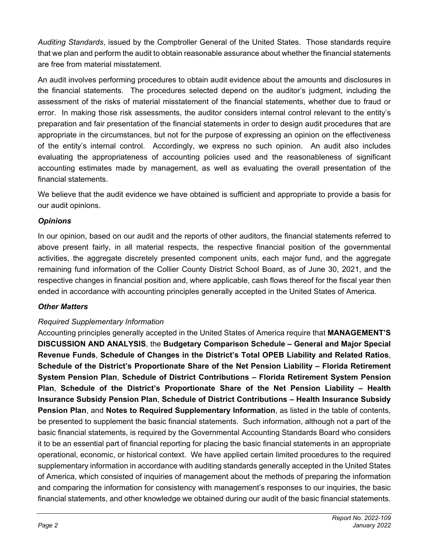*Auditing Standards*, issued by the Comptroller General of the United States. Those standards require that we plan and perform the audit to obtain reasonable assurance about whether the financial statements are free from material misstatement.

An audit involves performing procedures to obtain audit evidence about the amounts and disclosures in the financial statements. The procedures selected depend on the auditor's judgment, including the assessment of the risks of material misstatement of the financial statements, whether due to fraud or error. In making those risk assessments, the auditor considers internal control relevant to the entity's preparation and fair presentation of the financial statements in order to design audit procedures that are appropriate in the circumstances, but not for the purpose of expressing an opinion on the effectiveness of the entity's internal control. Accordingly, we express no such opinion. An audit also includes evaluating the appropriateness of accounting policies used and the reasonableness of significant accounting estimates made by management, as well as evaluating the overall presentation of the financial statements.

We believe that the audit evidence we have obtained is sufficient and appropriate to provide a basis for our audit opinions.

#### *Opinions*

In our opinion, based on our audit and the reports of other auditors, the financial statements referred to above present fairly, in all material respects, the respective financial position of the governmental activities, the aggregate discretely presented component units, each major fund, and the aggregate remaining fund information of the Collier County District School Board, as of June 30, 2021, and the respective changes in financial position and, where applicable, cash flows thereof for the fiscal year then ended in accordance with accounting principles generally accepted in the United States of America.

#### *Other Matters*

#### *Required Supplementary Information*

Accounting principles generally accepted in the United States of America require that **MANAGEMENT'S DISCUSSION AND ANALYSIS**, the **Budgetary Comparison Schedule – General and Major Special Revenue Funds**, **Schedule of Changes in the District's Total OPEB Liability and Related Ratios**, **Schedule of the District's Proportionate Share of the Net Pension Liability – Florida Retirement System Pension Plan**, **Schedule of District Contributions – Florida Retirement System Pension Plan**, **Schedule of the District's Proportionate Share of the Net Pension Liability – Health Insurance Subsidy Pension Plan**, **Schedule of District Contributions – Health Insurance Subsidy Pension Plan**, and **Notes to Required Supplementary Information**, as listed in the table of contents, be presented to supplement the basic financial statements. Such information, although not a part of the basic financial statements, is required by the Governmental Accounting Standards Board who considers it to be an essential part of financial reporting for placing the basic financial statements in an appropriate operational, economic, or historical context. We have applied certain limited procedures to the required supplementary information in accordance with auditing standards generally accepted in the United States of America, which consisted of inquiries of management about the methods of preparing the information and comparing the information for consistency with management's responses to our inquiries, the basic financial statements, and other knowledge we obtained during our audit of the basic financial statements.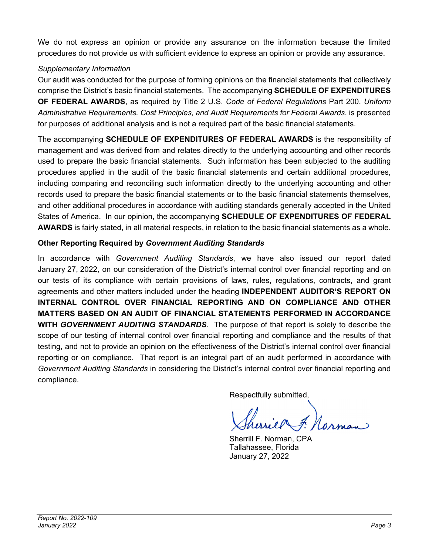<span id="page-8-0"></span>We do not express an opinion or provide any assurance on the information because the limited procedures do not provide us with sufficient evidence to express an opinion or provide any assurance.

#### *Supplementary Information*

Our audit was conducted for the purpose of forming opinions on the financial statements that collectively comprise the District's basic financial statements. The accompanying **SCHEDULE OF EXPENDITURES OF FEDERAL AWARDS**, as required by Title 2 U.S. *Code of Federal Regulations* Part 200, *Uniform Administrative Requirements, Cost Principles, and Audit Requirements for Federal Awards*, is presented for purposes of additional analysis and is not a required part of the basic financial statements.

The accompanying **SCHEDULE OF EXPENDITURES OF FEDERAL AWARDS** is the responsibility of management and was derived from and relates directly to the underlying accounting and other records used to prepare the basic financial statements. Such information has been subjected to the auditing procedures applied in the audit of the basic financial statements and certain additional procedures, including comparing and reconciling such information directly to the underlying accounting and other records used to prepare the basic financial statements or to the basic financial statements themselves, and other additional procedures in accordance with auditing standards generally accepted in the United States of America. In our opinion, the accompanying **SCHEDULE OF EXPENDITURES OF FEDERAL AWARDS** is fairly stated, in all material respects, in relation to the basic financial statements as a whole.

#### **Other Reporting Required by** *Government Auditing Standards*

In accordance with *Government Auditing Standards*, we have also issued our report dated January 27, 2022, on our consideration of the District's internal control over financial reporting and on our tests of its compliance with certain provisions of laws, rules, regulations, contracts, and grant agreements and other matters included under the heading **INDEPENDENT AUDITOR'S REPORT ON INTERNAL CONTROL OVER FINANCIAL REPORTING AND ON COMPLIANCE AND OTHER MATTERS BASED ON AN AUDIT OF FINANCIAL STATEMENTS PERFORMED IN ACCORDANCE WITH** *GOVERNMENT AUDITING STANDARDS*. The purpose of that report is solely to describe the scope of our testing of internal control over financial reporting and compliance and the results of that testing, and not to provide an opinion on the effectiveness of the District's internal control over financial reporting or on compliance. That report is an integral part of an audit performed in accordance with *Government Auditing Standards* in considering the District's internal control over financial reporting and compliance.

Respectfully submitted,

Sherrill F. Norman, CPA Tallahassee, Florida January 27, 2022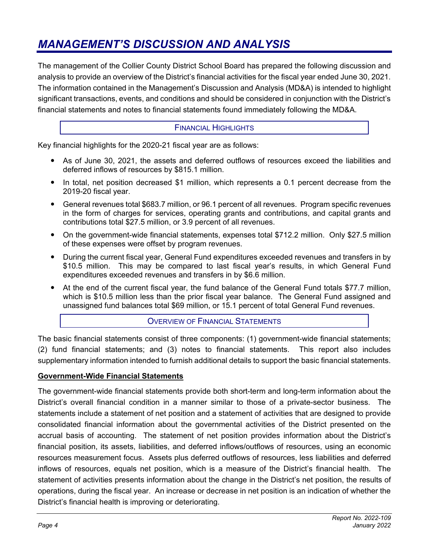## <span id="page-9-0"></span>*MANAGEMENT'S DISCUSSION AND ANALYSIS*

The management of the Collier County District School Board has prepared the following discussion and analysis to provide an overview of the District's financial activities for the fiscal year ended June 30, 2021. The information contained in the Management's Discussion and Analysis (MD&A) is intended to highlight significant transactions, events, and conditions and should be considered in conjunction with the District's financial statements and notes to financial statements found immediately following the MD&A.

#### FINANCIAL HIGHLIGHTS

Key financial highlights for the 2020-21 fiscal year are as follows:

- As of June 30, 2021, the assets and deferred outflows of resources exceed the liabilities and deferred inflows of resources by \$815.1 million.
- In total, net position decreased \$1 million, which represents a 0.1 percent decrease from the 2019-20 fiscal year.
- General revenues total \$683.7 million, or 96.1 percent of all revenues. Program specific revenues in the form of charges for services, operating grants and contributions, and capital grants and contributions total \$27.5 million, or 3.9 percent of all revenues.
- On the government-wide financial statements, expenses total \$712.2 million. Only \$27.5 million of these expenses were offset by program revenues.
- During the current fiscal year, General Fund expenditures exceeded revenues and transfers in by \$10.5 million. This may be compared to last fiscal year's results, in which General Fund expenditures exceeded revenues and transfers in by \$6.6 million.
- At the end of the current fiscal year, the fund balance of the General Fund totals \$77.7 million, which is \$10.5 million less than the prior fiscal year balance. The General Fund assigned and unassigned fund balances total \$69 million, or 15.1 percent of total General Fund revenues.

#### OVERVIEW OF FINANCIAL STATEMENTS

The basic financial statements consist of three components: (1) government-wide financial statements; (2) fund financial statements; and (3) notes to financial statements. This report also includes supplementary information intended to furnish additional details to support the basic financial statements.

#### **Government-Wide Financial Statements**

The government-wide financial statements provide both short-term and long-term information about the District's overall financial condition in a manner similar to those of a private-sector business. The statements include a statement of net position and a statement of activities that are designed to provide consolidated financial information about the governmental activities of the District presented on the accrual basis of accounting. The statement of net position provides information about the District's financial position, its assets, liabilities, and deferred inflows/outflows of resources, using an economic resources measurement focus. Assets plus deferred outflows of resources, less liabilities and deferred inflows of resources, equals net position, which is a measure of the District's financial health. The statement of activities presents information about the change in the District's net position, the results of operations, during the fiscal year. An increase or decrease in net position is an indication of whether the District's financial health is improving or deteriorating.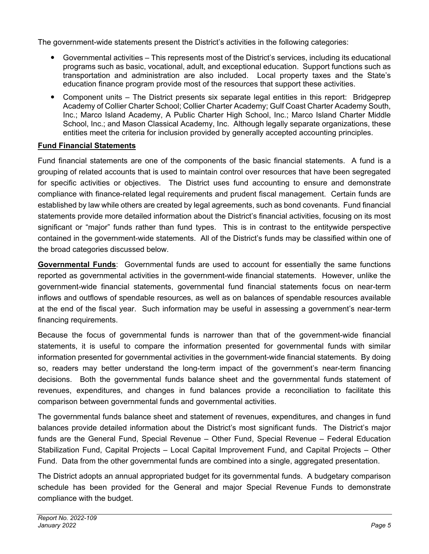The government-wide statements present the District's activities in the following categories:

- Governmental activities This represents most of the District's services, including its educational programs such as basic, vocational, adult, and exceptional education. Support functions such as transportation and administration are also included. Local property taxes and the State's education finance program provide most of the resources that support these activities.
- Component units The District presents six separate legal entities in this report: Bridgeprep Academy of Collier Charter School; Collier Charter Academy; Gulf Coast Charter Academy South, Inc.; Marco Island Academy, A Public Charter High School, Inc.; Marco Island Charter Middle School, Inc.; and Mason Classical Academy, Inc. Although legally separate organizations, these entities meet the criteria for inclusion provided by generally accepted accounting principles.

## **Fund Financial Statements**

Fund financial statements are one of the components of the basic financial statements. A fund is a grouping of related accounts that is used to maintain control over resources that have been segregated for specific activities or objectives. The District uses fund accounting to ensure and demonstrate compliance with finance-related legal requirements and prudent fiscal management. Certain funds are established by law while others are created by legal agreements, such as bond covenants. Fund financial statements provide more detailed information about the District's financial activities, focusing on its most significant or "major" funds rather than fund types. This is in contrast to the entitywide perspective contained in the government-wide statements. All of the District's funds may be classified within one of the broad categories discussed below.

**Governmental Funds**: Governmental funds are used to account for essentially the same functions reported as governmental activities in the government-wide financial statements. However, unlike the government-wide financial statements, governmental fund financial statements focus on near-term inflows and outflows of spendable resources, as well as on balances of spendable resources available at the end of the fiscal year. Such information may be useful in assessing a government's near-term financing requirements.

Because the focus of governmental funds is narrower than that of the government-wide financial statements, it is useful to compare the information presented for governmental funds with similar information presented for governmental activities in the government-wide financial statements. By doing so, readers may better understand the long-term impact of the government's near-term financing decisions. Both the governmental funds balance sheet and the governmental funds statement of revenues, expenditures, and changes in fund balances provide a reconciliation to facilitate this comparison between governmental funds and governmental activities.

The governmental funds balance sheet and statement of revenues, expenditures, and changes in fund balances provide detailed information about the District's most significant funds. The District's major funds are the General Fund, Special Revenue – Other Fund, Special Revenue – Federal Education Stabilization Fund, Capital Projects – Local Capital Improvement Fund, and Capital Projects – Other Fund. Data from the other governmental funds are combined into a single, aggregated presentation.

The District adopts an annual appropriated budget for its governmental funds. A budgetary comparison schedule has been provided for the General and major Special Revenue Funds to demonstrate compliance with the budget.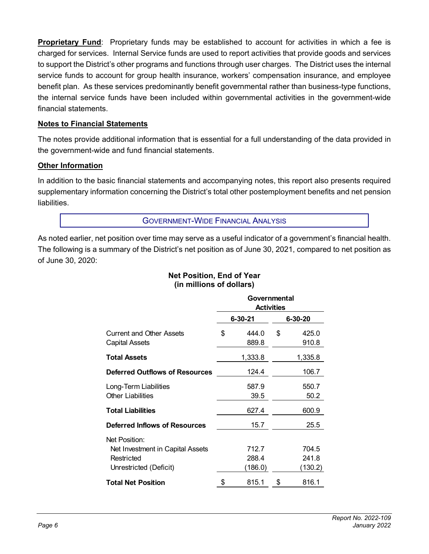**Proprietary Fund**: Proprietary funds may be established to account for activities in which a fee is charged for services. Internal Service funds are used to report activities that provide goods and services to support the District's other programs and functions through user charges. The District uses the internal service funds to account for group health insurance, workers' compensation insurance, and employee benefit plan. As these services predominantly benefit governmental rather than business-type functions, the internal service funds have been included within governmental activities in the government-wide financial statements.

#### **Notes to Financial Statements**

The notes provide additional information that is essential for a full understanding of the data provided in the government-wide and fund financial statements.

#### **Other Information**

In addition to the basic financial statements and accompanying notes, this report also presents required supplementary information concerning the District's total other postemployment benefits and net pension liabilities.

GOVERNMENT-WIDE FINANCIAL ANALYSIS

As noted earlier, net position over time may serve as a useful indicator of a government's financial health. The following is a summary of the District's net position as of June 30, 2021, compared to net position as of June 30, 2020:

|                                                                                           | Governmental<br><b>Activities</b> |                           |         |                           |  |
|-------------------------------------------------------------------------------------------|-----------------------------------|---------------------------|---------|---------------------------|--|
|                                                                                           |                                   | 6-30-21                   | 6-30-20 |                           |  |
| <b>Current and Other Assets</b><br><b>Capital Assets</b>                                  | \$                                | 444.0<br>889.8            | \$      | 425.0<br>910.8            |  |
| <b>Total Assets</b>                                                                       |                                   | 1,333.8                   |         | 1,335.8                   |  |
| <b>Deferred Outflows of Resources</b>                                                     |                                   | 124.4                     |         | 106.7                     |  |
| Long-Term Liabilities<br><b>Other Liabilities</b>                                         |                                   | 587.9<br>39.5             |         | 550.7<br>50.2             |  |
| <b>Total Liabilities</b>                                                                  |                                   | 627.4                     |         | 600.9                     |  |
| Deferred Inflows of Resources                                                             |                                   | 15.7                      |         | 25.5                      |  |
| Net Position:<br>Net Investment in Capital Assets<br>Restricted<br>Unrestricted (Deficit) |                                   | 712.7<br>288.4<br>(186.0) |         | 704.5<br>241.8<br>(130.2) |  |
| <b>Total Net Position</b>                                                                 | \$                                | 815.1                     | \$      | 816.1                     |  |

#### **Net Position, End of Year (in millions of dollars)**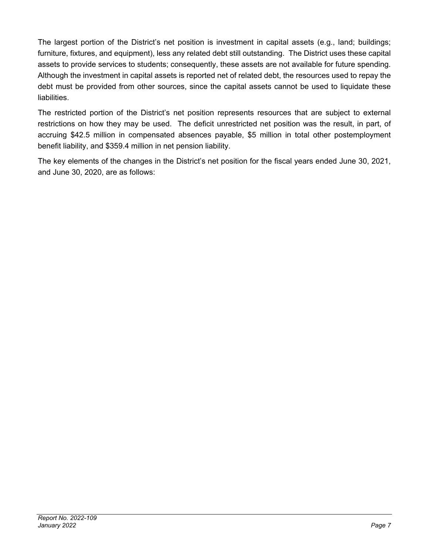The largest portion of the District's net position is investment in capital assets (e.g., land; buildings; furniture, fixtures, and equipment), less any related debt still outstanding. The District uses these capital assets to provide services to students; consequently, these assets are not available for future spending. Although the investment in capital assets is reported net of related debt, the resources used to repay the debt must be provided from other sources, since the capital assets cannot be used to liquidate these liabilities.

The restricted portion of the District's net position represents resources that are subject to external restrictions on how they may be used. The deficit unrestricted net position was the result, in part, of accruing \$42.5 million in compensated absences payable, \$5 million in total other postemployment benefit liability, and \$359.4 million in net pension liability.

The key elements of the changes in the District's net position for the fiscal years ended June 30, 2021, and June 30, 2020, are as follows: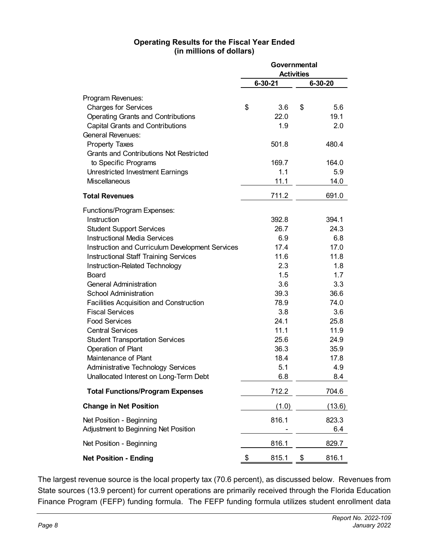#### **Operating Results for the Fiscal Year Ended (in millions of dollars)**

|                                                                          | Governmental<br><b>Activities</b> |             |         |              |  |
|--------------------------------------------------------------------------|-----------------------------------|-------------|---------|--------------|--|
|                                                                          |                                   | 6-30-21     | 6-30-20 |              |  |
| Program Revenues:                                                        |                                   |             |         |              |  |
| <b>Charges for Services</b>                                              | \$                                | 3.6         | \$      | 5.6          |  |
| <b>Operating Grants and Contributions</b>                                |                                   | 22.0        |         | 19.1         |  |
| Capital Grants and Contributions                                         |                                   | 1.9         |         | 2.0          |  |
| <b>General Revenues:</b>                                                 |                                   |             |         |              |  |
| <b>Property Taxes</b>                                                    |                                   | 501.8       |         | 480.4        |  |
| <b>Grants and Contributions Not Restricted</b>                           |                                   |             |         |              |  |
| to Specific Programs                                                     |                                   | 169.7       |         | 164.0        |  |
| <b>Unrestricted Investment Earnings</b>                                  |                                   | 1.1         |         | 5.9          |  |
| <b>Miscellaneous</b>                                                     |                                   | 11.1        |         | 14.0         |  |
| <b>Total Revenues</b>                                                    |                                   | 711.2       |         | 691.0        |  |
| Functions/Program Expenses:                                              |                                   |             |         |              |  |
| Instruction                                                              |                                   | 392.8       |         | 394.1        |  |
| <b>Student Support Services</b>                                          |                                   | 26.7        |         | 24.3         |  |
| <b>Instructional Media Services</b>                                      |                                   | 6.9         |         | 6.8          |  |
| Instruction and Curriculum Development Services                          |                                   | 17.4        |         | 17.0         |  |
| <b>Instructional Staff Training Services</b>                             |                                   | 11.6        |         | 11.8         |  |
| Instruction-Related Technology                                           |                                   | 2.3         |         | 1.8          |  |
| Board                                                                    |                                   | 1.5         |         | 1.7          |  |
| <b>General Administration</b>                                            |                                   | 3.6         |         | 3.3          |  |
| <b>School Administration</b>                                             |                                   | 39.3        |         | 36.6<br>74.0 |  |
| <b>Facilities Acquisition and Construction</b><br><b>Fiscal Services</b> |                                   | 78.9<br>3.8 |         | 3.6          |  |
| <b>Food Services</b>                                                     |                                   | 24.1        |         | 25.8         |  |
| <b>Central Services</b>                                                  |                                   | 11.1        |         | 11.9         |  |
| <b>Student Transportation Services</b>                                   |                                   | 25.6        |         | 24.9         |  |
| Operation of Plant                                                       |                                   | 36.3        |         | 35.9         |  |
| Maintenance of Plant                                                     |                                   | 18.4        |         | 17.8         |  |
| Administrative Technology Services                                       |                                   | 5.1         |         | 4.9          |  |
| Unallocated Interest on Long-Term Debt                                   |                                   | 6.8         |         | 8.4          |  |
| <b>Total Functions/Program Expenses</b>                                  |                                   |             |         | 712.2 704.6  |  |
| <b>Change in Net Position</b>                                            |                                   | (1.0)       |         | (13.6)       |  |
| Net Position - Beginning                                                 |                                   | 816.1       |         | 823.3        |  |
| Adjustment to Beginning Net Position                                     |                                   |             |         | 6.4          |  |
| Net Position - Beginning                                                 |                                   | 816.1       |         | 829.7        |  |
| <b>Net Position - Ending</b>                                             | \$                                | 815.1       | \$      | 816.1        |  |

The largest revenue source is the local property tax (70.6 percent), as discussed below. Revenues from State sources (13.9 percent) for current operations are primarily received through the Florida Education Finance Program (FEFP) funding formula. The FEFP funding formula utilizes student enrollment data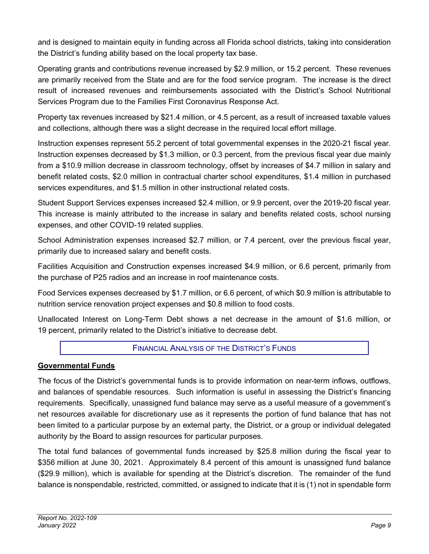and is designed to maintain equity in funding across all Florida school districts, taking into consideration the District's funding ability based on the local property tax base.

Operating grants and contributions revenue increased by \$2.9 million, or 15.2 percent. These revenues are primarily received from the State and are for the food service program. The increase is the direct result of increased revenues and reimbursements associated with the District's School Nutritional Services Program due to the Families First Coronavirus Response Act.

Property tax revenues increased by \$21.4 million, or 4.5 percent, as a result of increased taxable values and collections, although there was a slight decrease in the required local effort millage.

Instruction expenses represent 55.2 percent of total governmental expenses in the 2020-21 fiscal year. Instruction expenses decreased by \$1.3 million, or 0.3 percent, from the previous fiscal year due mainly from a \$10.9 million decrease in classroom technology, offset by increases of \$4.7 million in salary and benefit related costs, \$2.0 million in contractual charter school expenditures, \$1.4 million in purchased services expenditures, and \$1.5 million in other instructional related costs.

Student Support Services expenses increased \$2.4 million, or 9.9 percent, over the 2019-20 fiscal year. This increase is mainly attributed to the increase in salary and benefits related costs, school nursing expenses, and other COVID-19 related supplies.

School Administration expenses increased \$2.7 million, or 7.4 percent, over the previous fiscal year, primarily due to increased salary and benefit costs.

Facilities Acquisition and Construction expenses increased \$4.9 million, or 6.6 percent, primarily from the purchase of P25 radios and an increase in roof maintenance costs.

Food Services expenses decreased by \$1.7 million, or 6.6 percent, of which \$0.9 million is attributable to nutrition service renovation project expenses and \$0.8 million to food costs.

Unallocated Interest on Long-Term Debt shows a net decrease in the amount of \$1.6 million, or 19 percent, primarily related to the District's initiative to decrease debt.

FINANCIAL ANALYSIS OF THE DISTRICT'S FUNDS

### **Governmental Funds**

The focus of the District's governmental funds is to provide information on near-term inflows, outflows, and balances of spendable resources. Such information is useful in assessing the District's financing requirements. Specifically, unassigned fund balance may serve as a useful measure of a government's net resources available for discretionary use as it represents the portion of fund balance that has not been limited to a particular purpose by an external party, the District, or a group or individual delegated authority by the Board to assign resources for particular purposes.

The total fund balances of governmental funds increased by \$25.8 million during the fiscal year to \$356 million at June 30, 2021. Approximately 8.4 percent of this amount is unassigned fund balance (\$29.9 million), which is available for spending at the District's discretion. The remainder of the fund balance is nonspendable, restricted, committed, or assigned to indicate that it is (1) not in spendable form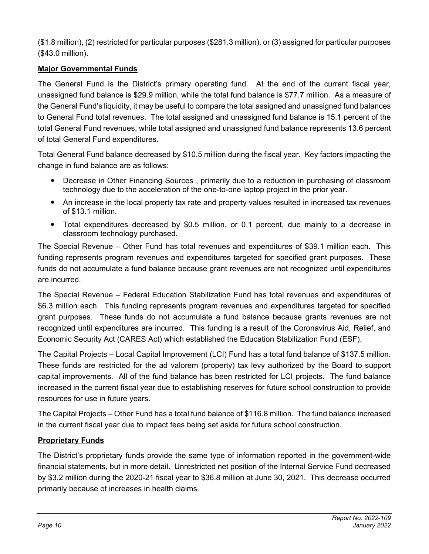(\$1.8 million), (2) restricted for particular purposes (\$281.3 million), or (3) assigned for particular purposes (\$43.0 million).

#### **Major Governmental Funds**

The General Fund is the District's primary operating fund. At the end of the current fiscal year, unassigned fund balance is \$29.9 million, while the total fund balance is \$77.7 million. As a measure of the General Fund's liquidity, it may be useful to compare the total assigned and unassigned fund balances to General Fund total revenues. The total assigned and unassigned fund balance is 15.1 percent of the total General Fund revenues, while total assigned and unassigned fund balance represents 13.6 percent of total General Fund expenditures.

Total General Fund balance decreased by \$10.5 million during the fiscal year. Key factors impacting the change in fund balance are as follows:

- Decrease in Other Financing Sources , primarily due to a reduction in purchasing of classroom technology due to the acceleration of the one-to-one laptop project in the prior year.
- An increase in the local property tax rate and property values resulted in increased tax revenues of \$13.1 million.
- Total expenditures decreased by \$0.5 million, or 0.1 percent, due mainly to a decrease in classroom technology purchased.

The Special Revenue – Other Fund has total revenues and expenditures of \$39.1 million each. This funding represents program revenues and expenditures targeted for specified grant purposes. These funds do not accumulate a fund balance because grant revenues are not recognized until expenditures are incurred.

The Special Revenue – Federal Education Stabilization Fund has total revenues and expenditures of \$6.3 million each. This funding represents program revenues and expenditures targeted for specified grant purposes. These funds do not accumulate a fund balance because grants revenues are not recognized until expenditures are incurred. This funding is a result of the Coronavirus Aid, Relief, and Economic Security Act (CARES Act) which established the Education Stabilization Fund (ESF).

The Capital Projects – Local Capital Improvement (LCI) Fund has a total fund balance of \$137.5 million. These funds are restricted for the ad valorem (property) tax levy authorized by the Board to support capital improvements. All of the fund balance has been restricted for LCI projects. The fund balance increased in the current fiscal year due to establishing reserves for future school construction to provide resources for use in future years.

The Capital Projects – Other Fund has a total fund balance of \$116.8 million. The fund balance increased in the current fiscal year due to impact fees being set aside for future school construction.

#### **Proprietary Funds**

The District's proprietary funds provide the same type of information reported in the government-wide financial statements, but in more detail. Unrestricted net position of the Internal Service Fund decreased by \$3.2 million during the 2020-21 fiscal year to \$36.8 million at June 30, 2021. This decrease occurred primarily because of increases in health claims.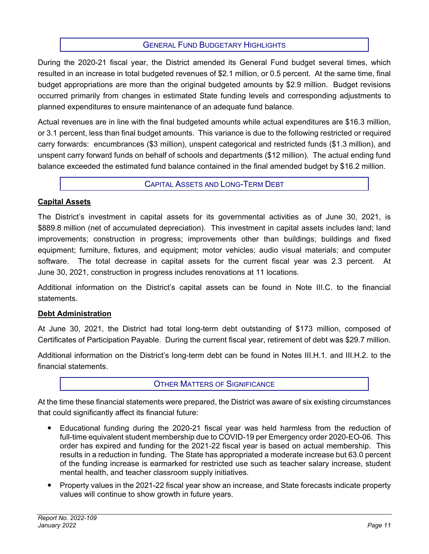#### GENERAL FUND BUDGETARY HIGHLIGHTS

During the 2020-21 fiscal year, the District amended its General Fund budget several times, which resulted in an increase in total budgeted revenues of \$2.1 million, or 0.5 percent. At the same time, final budget appropriations are more than the original budgeted amounts by \$2.9 million. Budget revisions occurred primarily from changes in estimated State funding levels and corresponding adjustments to planned expenditures to ensure maintenance of an adequate fund balance.

Actual revenues are in line with the final budgeted amounts while actual expenditures are \$16.3 million, or 3.1 percent, less than final budget amounts. This variance is due to the following restricted or required carry forwards: encumbrances (\$3 million), unspent categorical and restricted funds (\$1.3 million), and unspent carry forward funds on behalf of schools and departments (\$12 million). The actual ending fund balance exceeded the estimated fund balance contained in the final amended budget by \$16.2 million.

#### CAPITAL ASSETS AND LONG-TERM DEBT

#### **Capital Assets**

The District's investment in capital assets for its governmental activities as of June 30, 2021, is \$889.8 million (net of accumulated depreciation). This investment in capital assets includes land; land improvements; construction in progress; improvements other than buildings; buildings and fixed equipment; furniture, fixtures, and equipment; motor vehicles; audio visual materials; and computer software. The total decrease in capital assets for the current fiscal year was 2.3 percent. At June 30, 2021, construction in progress includes renovations at 11 locations.

Additional information on the District's capital assets can be found in Note III.C. to the financial statements.

#### **Debt Administration**

At June 30, 2021, the District had total long-term debt outstanding of \$173 million, composed of Certificates of Participation Payable. During the current fiscal year, retirement of debt was \$29.7 million.

Additional information on the District's long-term debt can be found in Notes III.H.1. and III.H.2. to the financial statements.

#### OTHER MATTERS OF SIGNIFICANCE

At the time these financial statements were prepared, the District was aware of six existing circumstances that could significantly affect its financial future:

- Educational funding during the 2020-21 fiscal year was held harmless from the reduction of full-time equivalent student membership due to COVID-19 per Emergency order 2020-EO-06. This order has expired and funding for the 2021-22 fiscal year is based on actual membership. This results in a reduction in funding. The State has appropriated a moderate increase but 63.0 percent of the funding increase is earmarked for restricted use such as teacher salary increase, student mental health, and teacher classroom supply initiatives.
- Property values in the 2021-22 fiscal year show an increase, and State forecasts indicate property values will continue to show growth in future years.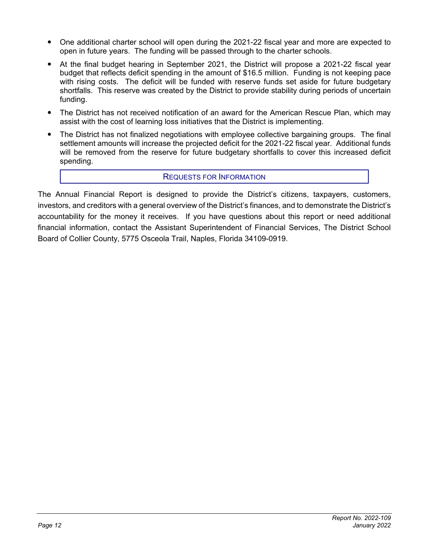- One additional charter school will open during the 2021-22 fiscal year and more are expected to open in future years. The funding will be passed through to the charter schools.
- At the final budget hearing in September 2021, the District will propose a 2021-22 fiscal year budget that reflects deficit spending in the amount of \$16.5 million. Funding is not keeping pace with rising costs. The deficit will be funded with reserve funds set aside for future budgetary shortfalls. This reserve was created by the District to provide stability during periods of uncertain funding.
- The District has not received notification of an award for the American Rescue Plan, which may assist with the cost of learning loss initiatives that the District is implementing.
- The District has not finalized negotiations with employee collective bargaining groups. The final settlement amounts will increase the projected deficit for the 2021-22 fiscal year. Additional funds will be removed from the reserve for future budgetary shortfalls to cover this increased deficit spending.

#### REQUESTS FOR INFORMATION

The Annual Financial Report is designed to provide the District's citizens, taxpayers, customers, investors, and creditors with a general overview of the District's finances, and to demonstrate the District's accountability for the money it receives. If you have questions about this report or need additional financial information, contact the Assistant Superintendent of Financial Services, The District School Board of Collier County, 5775 Osceola Trail, Naples, Florida 34109-0919.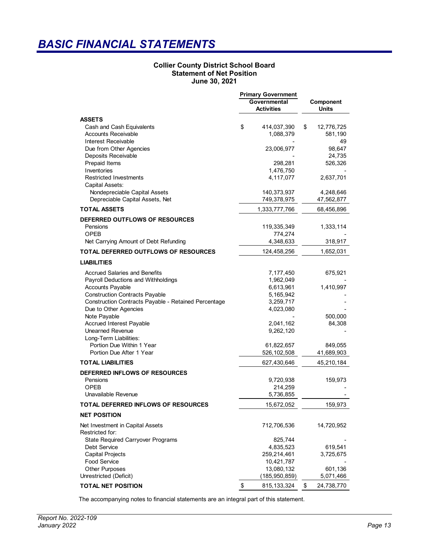## <span id="page-18-0"></span>*BASIC FINANCIAL STATEMENTS*

#### **Collier County District School Board Statement of Net Position June 30, 2021**

|                                                         | <b>Primary Government</b><br>Governmental | Component                   |
|---------------------------------------------------------|-------------------------------------------|-----------------------------|
|                                                         | <b>Activities</b>                         | Units                       |
| <b>ASSETS</b>                                           |                                           |                             |
| Cash and Cash Equivalents<br><b>Accounts Receivable</b> | \$<br>414,037,390<br>1,088,379            | \$<br>12,776,725<br>581,190 |
| Interest Receivable                                     |                                           | 49                          |
| Due from Other Agencies                                 | 23,006,977                                | 98,647                      |
| Deposits Receivable                                     |                                           | 24,735                      |
| <b>Prepaid Items</b>                                    | 298,281                                   | 526,326                     |
| Inventories                                             | 1,476,750                                 |                             |
| <b>Restricted Investments</b>                           | 4,117,077                                 | 2,637,701                   |
| Capital Assets:                                         |                                           |                             |
| Nondepreciable Capital Assets                           | 140,373,937                               | 4,248,646                   |
| Depreciable Capital Assets, Net                         | 749,378,975                               | 47,562,877                  |
| <b>TOTAL ASSETS</b>                                     | 1,333,777,766                             | 68,456,896                  |
| DEFERRED OUTFLOWS OF RESOURCES                          |                                           |                             |
| Pensions                                                | 119,335,349                               | 1,333,114                   |
| OPEB                                                    | 774,274                                   |                             |
| Net Carrying Amount of Debt Refunding                   | 4,348,633                                 | 318,917                     |
| <b>TOTAL DEFERRED OUTFLOWS OF RESOURCES</b>             | 124,458,256                               | 1,652,031                   |
| <b>LIABILITIES</b>                                      |                                           |                             |
| <b>Accrued Salaries and Benefits</b>                    | 7,177,450                                 | 675,921                     |
| Payroll Deductions and Withholdings                     | 1,962,049                                 |                             |
| <b>Accounts Payable</b>                                 | 6,613,961                                 | 1,410,997                   |
| <b>Construction Contracts Payable</b>                   | 5,165,942                                 |                             |
| Construction Contracts Payable - Retained Percentage    | 3,259,717                                 |                             |
| Due to Other Agencies                                   | 4,023,080                                 |                             |
| Note Payable                                            |                                           | 500,000                     |
| <b>Accrued Interest Payable</b>                         | 2,041,162                                 | 84,308                      |
| <b>Unearned Revenue</b>                                 | 9,262,120                                 |                             |
| Long-Term Liabilities:                                  |                                           |                             |
| Portion Due Within 1 Year                               | 61,822,657                                | 849,055                     |
| Portion Due After 1 Year                                | 526, 102, 508                             | 41,689,903                  |
| <b>TOTAL LIABILITIES</b>                                | 627,430,646                               | 45,210,184                  |
| DEFERRED INFLOWS OF RESOURCES                           |                                           |                             |
| Pensions                                                | 9,720,938                                 | 159,973                     |
| <b>OPEB</b><br>Unavailable Revenue                      | 214,259<br>5,736,855                      |                             |
| TOTAL DEFERRED INFLOWS OF RESOURCES                     | 15,672,052                                | 159,973                     |
| <b>NET POSITION</b>                                     |                                           |                             |
|                                                         |                                           |                             |
| Net Investment in Capital Assets<br>Restricted for:     | 712,706,536                               | 14,720,952                  |
| <b>State Required Carryover Programs</b>                | 825,744                                   |                             |
| Debt Service                                            | 4,835,523                                 | 619,541                     |
| Capital Projects                                        | 259,214,461                               | 3,725,675                   |
| <b>Food Service</b>                                     | 10,421,787                                |                             |
| <b>Other Purposes</b>                                   | 13,080,132                                | 601,136                     |
| Unrestricted (Deficit)                                  | (185, 950, 859)                           | 5,071,466                   |
| <b>TOTAL NET POSITION</b>                               | \$<br>815, 133, 324                       | \$<br>24,738,770            |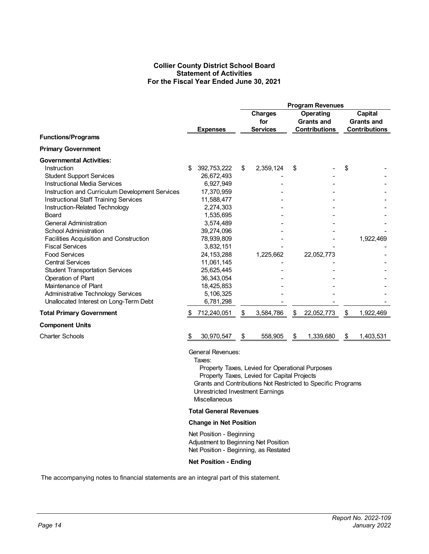#### **Collier County District School Board Statement of Activities For the Fiscal Year Ended June 30, 2021**

<span id="page-19-0"></span>

|                                                 |                          | <b>Program Revenues</b> |                                          |    |                                                        |    |                                                      |
|-------------------------------------------------|--------------------------|-------------------------|------------------------------------------|----|--------------------------------------------------------|----|------------------------------------------------------|
|                                                 | <b>Expenses</b>          |                         | <b>Charges</b><br>for<br><b>Services</b> |    | Operating<br><b>Grants and</b><br><b>Contributions</b> |    | Capital<br><b>Grants and</b><br><b>Contributions</b> |
| <b>Functions/Programs</b>                       |                          |                         |                                          |    |                                                        |    |                                                      |
| <b>Primary Government</b>                       |                          |                         |                                          |    |                                                        |    |                                                      |
| <b>Governmental Activities:</b>                 |                          |                         |                                          |    |                                                        |    |                                                      |
| Instruction                                     | \$<br>392,753,222        | \$                      | 2,359,124                                | \$ |                                                        | \$ |                                                      |
| <b>Student Support Services</b>                 | 26,672,493               |                         |                                          |    |                                                        |    |                                                      |
| <b>Instructional Media Services</b>             | 6,927,949                |                         |                                          |    |                                                        |    |                                                      |
| Instruction and Curriculum Development Services | 17,370,959               |                         |                                          |    |                                                        |    |                                                      |
| <b>Instructional Staff Training Services</b>    | 11,588,477               |                         |                                          |    |                                                        |    |                                                      |
| Instruction-Related Technology                  | 2,274,303                |                         |                                          |    |                                                        |    |                                                      |
| Board                                           | 1,535,695                |                         |                                          |    |                                                        |    |                                                      |
| General Administration                          | 3,574,489                |                         |                                          |    |                                                        |    |                                                      |
| School Administration                           | 39,274,096               |                         |                                          |    |                                                        |    |                                                      |
| Facilities Acquisition and Construction         | 78,939,809               |                         |                                          |    |                                                        |    | 1,922,469                                            |
| <b>Fiscal Services</b>                          | 3,832,151                |                         |                                          |    |                                                        |    |                                                      |
| <b>Food Services</b>                            | 24, 153, 288             |                         | 1,225,662                                |    | 22,052,773                                             |    |                                                      |
| <b>Central Services</b>                         | 11,061,145               |                         |                                          |    |                                                        |    |                                                      |
| <b>Student Transportation Services</b>          | 25,625,445               |                         |                                          |    |                                                        |    |                                                      |
| Operation of Plant                              | 36, 343, 054             |                         |                                          |    |                                                        |    |                                                      |
| Maintenance of Plant                            | 18,425,853               |                         |                                          |    |                                                        |    |                                                      |
| Administrative Technology Services              | 5,106,325                |                         |                                          |    |                                                        |    |                                                      |
| Unallocated Interest on Long-Term Debt          | 6,781,298                |                         |                                          |    |                                                        |    |                                                      |
| <b>Total Primary Government</b>                 | 712,240,051              | \$                      | 3,584,786                                | \$ | 22,052,773                                             | \$ | 1,922,469                                            |
| <b>Component Units</b>                          |                          |                         |                                          |    |                                                        |    |                                                      |
| <b>Charter Schools</b>                          | 30,970,547               | \$                      | 558,905                                  | \$ | 1,339,680                                              | \$ | 1,403,531                                            |
|                                                 | $\overline{\phantom{a}}$ |                         |                                          |    |                                                        |    |                                                      |

General Revenues:

Taxes:

 Property Taxes, Levied for Operational Purposes Property Taxes, Levied for Capital Projects Grants and Contributions Not Restricted to Specific Programs Unrestricted Investment Earnings Miscellaneous

#### **Total General Revenues**

#### **Change in Net Position**

Net Position - Beginning Adjustment to Beginning Net Position Net Position - Beginning, as Restated

#### **Net Position - Ending**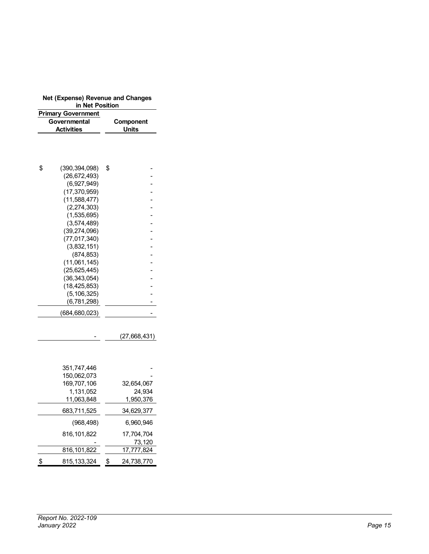| Net (Expense) Revenue and Changes<br>in Net Position |                                                                    |    |                                   |  |  |  |  |
|------------------------------------------------------|--------------------------------------------------------------------|----|-----------------------------------|--|--|--|--|
|                                                      | <b>Primary Government</b><br>Governmental<br><b>Activities</b>     |    | Component<br><b>Units</b>         |  |  |  |  |
| \$                                                   | (390, 394, 098)                                                    | \$ |                                   |  |  |  |  |
|                                                      | (26, 672, 493)<br>(6,927,949)<br>(17, 370, 959)<br>(11,588,477)    |    |                                   |  |  |  |  |
|                                                      | (2, 274, 303)<br>(1,535,695)<br>(3,574,489)<br>(39, 274, 096)      |    |                                   |  |  |  |  |
|                                                      | (77, 017, 340)<br>(3,832,151)<br>(874, 853)                        |    |                                   |  |  |  |  |
|                                                      | (11,061,145)<br>(25, 625, 445)<br>(36, 343, 054)<br>(18, 425, 853) |    |                                   |  |  |  |  |
|                                                      | (5, 106, 325)<br>(6, 781, 298)                                     |    |                                   |  |  |  |  |
|                                                      | (684,680,023)                                                      |    |                                   |  |  |  |  |
|                                                      |                                                                    |    | (27, 668, 431)                    |  |  |  |  |
|                                                      | 351,747,446<br>150,062,073                                         |    |                                   |  |  |  |  |
|                                                      | 169,707,106<br>1,131,052<br>11,063,848                             |    | 32,654,067<br>24,934<br>1,950,376 |  |  |  |  |
|                                                      | 683,711,525                                                        |    | 34,629,377                        |  |  |  |  |
|                                                      | (968, 498)                                                         |    | 6,960,946                         |  |  |  |  |
|                                                      | 816, 101, 822                                                      |    | 17,704,704<br>73,120              |  |  |  |  |
|                                                      | 816,101,822                                                        |    | 17,777,824                        |  |  |  |  |
| \$                                                   | 815, 133, 324                                                      | \$ | 24,738,770                        |  |  |  |  |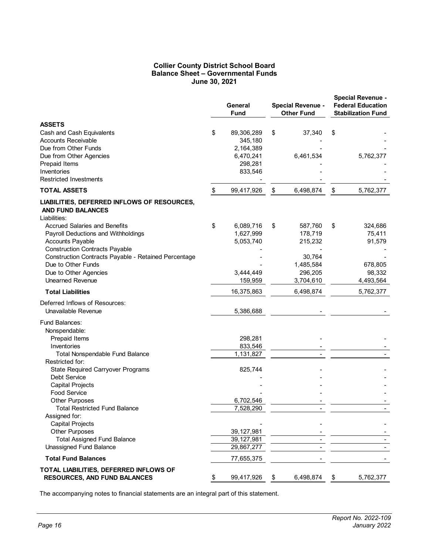#### **Collier County District School Board Balance Sheet – Governmental Funds June 30, 2021**

<span id="page-21-0"></span>

|                                                                                  | General<br><b>Fund</b> |    | <b>Special Revenue -</b><br><b>Other Fund</b> | <b>Special Revenue -</b><br><b>Federal Education</b><br><b>Stabilization Fund</b> |           |  |
|----------------------------------------------------------------------------------|------------------------|----|-----------------------------------------------|-----------------------------------------------------------------------------------|-----------|--|
| <b>ASSETS</b>                                                                    |                        |    |                                               |                                                                                   |           |  |
| Cash and Cash Equivalents                                                        | \$<br>89,306,289       | \$ | 37,340                                        | \$                                                                                |           |  |
| <b>Accounts Receivable</b>                                                       | 345,180                |    |                                               |                                                                                   |           |  |
| Due from Other Funds                                                             | 2,164,389              |    |                                               |                                                                                   |           |  |
| Due from Other Agencies                                                          | 6,470,241              |    | 6,461,534                                     |                                                                                   | 5,762,377 |  |
| Prepaid Items                                                                    | 298,281                |    |                                               |                                                                                   |           |  |
| Inventories                                                                      | 833,546                |    |                                               |                                                                                   |           |  |
| Restricted Investments                                                           |                        |    |                                               |                                                                                   |           |  |
| <b>TOTAL ASSETS</b>                                                              | \$<br>99,417,926       | \$ | 6,498,874                                     | \$                                                                                | 5,762,377 |  |
| LIABILITIES, DEFERRED INFLOWS OF RESOURCES,<br>AND FUND BALANCES<br>Liabilities: |                        |    |                                               |                                                                                   |           |  |
| <b>Accrued Salaries and Benefits</b>                                             | \$<br>6,089,716        | \$ | 587,760                                       | \$                                                                                | 324,686   |  |
| Payroll Deductions and Withholdings                                              | 1,627,999              |    | 178,719                                       |                                                                                   | 75,411    |  |
| <b>Accounts Payable</b>                                                          | 5,053,740              |    | 215,232                                       |                                                                                   | 91,579    |  |
| <b>Construction Contracts Payable</b>                                            |                        |    |                                               |                                                                                   |           |  |
| Construction Contracts Payable - Retained Percentage                             |                        |    | 30,764                                        |                                                                                   |           |  |
| Due to Other Funds                                                               |                        |    | 1,485,584                                     |                                                                                   | 678,805   |  |
| Due to Other Agencies                                                            | 3,444,449              |    | 296,205                                       |                                                                                   | 98,332    |  |
| <b>Unearned Revenue</b>                                                          | 159,959                |    | 3,704,610                                     |                                                                                   | 4,493,564 |  |
| <b>Total Liabilities</b>                                                         | 16,375,863             |    | 6,498,874                                     |                                                                                   | 5,762,377 |  |
| Deferred Inflows of Resources:                                                   |                        |    |                                               |                                                                                   |           |  |
| Unavailable Revenue                                                              | 5,386,688              |    |                                               |                                                                                   |           |  |
| Fund Balances:                                                                   |                        |    |                                               |                                                                                   |           |  |
| Nonspendable:                                                                    |                        |    |                                               |                                                                                   |           |  |
| Prepaid Items                                                                    | 298,281                |    |                                               |                                                                                   |           |  |
| Inventories                                                                      | 833,546                |    |                                               |                                                                                   |           |  |
| Total Nonspendable Fund Balance                                                  | 1,131,827              |    | $\blacksquare$                                |                                                                                   |           |  |
| Restricted for:                                                                  |                        |    |                                               |                                                                                   |           |  |
| State Required Carryover Programs<br>Debt Service                                | 825,744                |    |                                               |                                                                                   |           |  |
| <b>Capital Projects</b>                                                          |                        |    |                                               |                                                                                   |           |  |
| <b>Food Service</b>                                                              |                        |    |                                               |                                                                                   |           |  |
| <b>Other Purposes</b>                                                            | 6,702,546              |    |                                               |                                                                                   |           |  |
| <b>Total Restricted Fund Balance</b>                                             | 7,528,290              |    |                                               |                                                                                   |           |  |
| Assigned for:                                                                    |                        |    |                                               |                                                                                   |           |  |
| <b>Capital Projects</b>                                                          |                        |    |                                               |                                                                                   |           |  |
| Other Purposes                                                                   | 39,127,981             |    |                                               |                                                                                   |           |  |
| <b>Total Assigned Fund Balance</b>                                               | 39,127,981             |    |                                               |                                                                                   |           |  |
| Unassigned Fund Balance                                                          | 29,867,277             |    |                                               |                                                                                   |           |  |
| <b>Total Fund Balances</b>                                                       | 77,655,375             |    |                                               |                                                                                   |           |  |
| TOTAL LIABILITIES, DEFERRED INFLOWS OF<br><b>RESOURCES, AND FUND BALANCES</b>    | \$<br>99,417,926       | \$ | 6,498,874                                     | \$                                                                                | 5,762,377 |  |
|                                                                                  |                        |    |                                               |                                                                                   |           |  |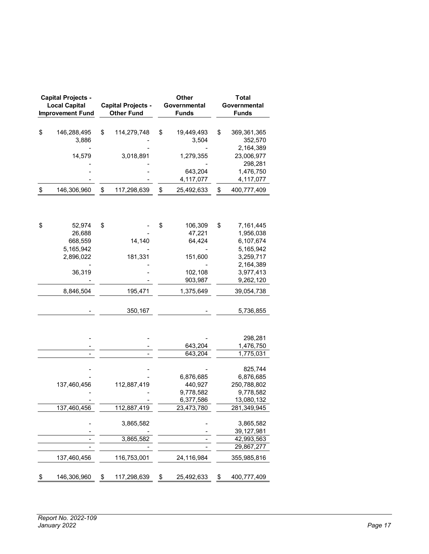| <b>Capital Projects -</b><br><b>Local Capital</b><br><b>Improvement Fund</b> | <b>Capital Projects -</b><br><b>Other Fund</b> | Other<br>Governmental<br><b>Funds</b> | <b>Total</b><br>Governmental<br><b>Funds</b> |
|------------------------------------------------------------------------------|------------------------------------------------|---------------------------------------|----------------------------------------------|
| \$<br>146,288,495<br>3,886                                                   | \$<br>114,279,748                              | \$<br>19,449,493<br>3,504             | \$<br>369,361,365<br>352,570<br>2,164,389    |
| 14,579                                                                       | 3,018,891                                      | 1,279,355                             | 23,006,977<br>298,281                        |
|                                                                              |                                                | 643,204                               | 1,476,750                                    |
|                                                                              |                                                | 4,117,077                             | 4,117,077                                    |
| \$<br>146,306,960                                                            | \$<br>117,298,639                              | \$<br>25,492,633                      | \$<br>400,777,409                            |
|                                                                              |                                                |                                       |                                              |
| \$<br>52,974                                                                 | \$                                             | \$<br>106,309                         | \$<br>7,161,445                              |
| 26,688                                                                       |                                                | 47,221                                | 1,956,038                                    |
| 668,559                                                                      | 14,140                                         | 64,424                                | 6,107,674                                    |
| 5,165,942                                                                    |                                                |                                       | 5,165,942                                    |
| 2,896,022                                                                    | 181,331                                        | 151,600                               | 3,259,717                                    |
|                                                                              |                                                |                                       | 2,164,389                                    |
| 36,319                                                                       |                                                | 102,108                               | 3,977,413                                    |
|                                                                              |                                                | 903,987                               | 9,262,120                                    |
| 8,846,504                                                                    | 195,471                                        | 1,375,649                             | 39,054,738                                   |
|                                                                              | 350,167                                        |                                       | 5,736,855                                    |
|                                                                              |                                                |                                       | 298,281                                      |
|                                                                              |                                                | 643,204                               | 1,476,750                                    |
|                                                                              |                                                | 643,204                               | 1,775,031                                    |
|                                                                              |                                                |                                       | 825,744                                      |
|                                                                              |                                                | 6,876,685                             | 6,876,685                                    |
| 137,460,456                                                                  | 112,887,419                                    | 440,927                               | 250,788,802                                  |
|                                                                              |                                                | 9,778,582                             | 9,778,582                                    |
|                                                                              |                                                | 6,377,586                             | 13,080,132                                   |
| 137,460,456                                                                  | 112,887,419                                    | 23,473,780                            | 281,349,945                                  |
|                                                                              | 3,865,582                                      |                                       | 3,865,582<br>39,127,981                      |
|                                                                              | 3,865,582                                      |                                       | 42,993,563                                   |
|                                                                              |                                                |                                       | 29,867,277                                   |
| 137,460,456                                                                  | 116,753,001                                    | 24,116,984                            | 355,985,816                                  |
| \$<br>146,306,960                                                            | \$<br>117,298,639                              | \$<br>25,492,633                      | \$<br>400,777,409                            |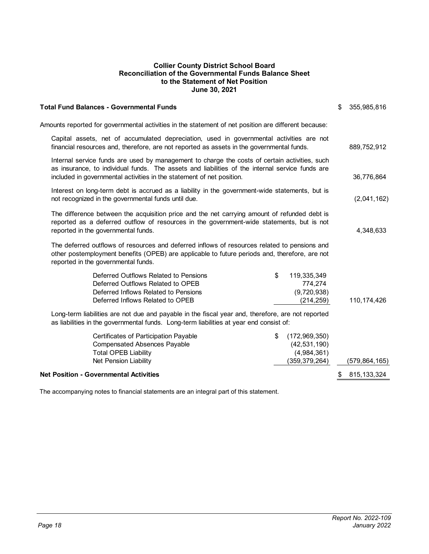#### **Collier County District School Board Reconciliation of the Governmental Funds Balance Sheet to the Statement of Net Position June 30, 2021**

<span id="page-23-0"></span>

| <b>Total Fund Balances - Governmental Funds</b>                                                                                                                                                                                                                           | \$<br>355,985,816   |
|---------------------------------------------------------------------------------------------------------------------------------------------------------------------------------------------------------------------------------------------------------------------------|---------------------|
| Amounts reported for governmental activities in the statement of net position are different because:                                                                                                                                                                      |                     |
| Capital assets, net of accumulated depreciation, used in governmental activities are not<br>financial resources and, therefore, are not reported as assets in the governmental funds.                                                                                     | 889,752,912         |
| Internal service funds are used by management to charge the costs of certain activities, such<br>as insurance, to individual funds. The assets and liabilities of the internal service funds are<br>included in governmental activities in the statement of net position. | 36,776,864          |
| Interest on long-term debt is accrued as a liability in the government-wide statements, but is<br>not recognized in the governmental funds until due.                                                                                                                     | (2,041,162)         |
| The difference between the acquisition price and the net carrying amount of refunded debt is<br>reported as a deferred outflow of resources in the government-wide statements, but is not<br>reported in the governmental funds.                                          | 4,348,633           |
| The deferred outflows of resources and deferred inflows of resources related to pensions and<br>other postemployment benefits (OPEB) are applicable to future periods and, therefore, are not<br>reported in the governmental funds.                                      |                     |
| \$<br>Deferred Outflows Related to Pensions<br>119,335,349<br>Deferred Outflows Related to OPEB<br>774,274<br>Deferred Inflows Related to Pensions<br>(9,720,938)<br>Deferred Inflows Related to OPEB<br>(214, 259)                                                       | 110,174,426         |
| Long-term liabilities are not due and payable in the fiscal year and, therefore, are not reported<br>as liabilities in the governmental funds. Long-term liabilities at year end consist of:                                                                              |                     |
| \$<br>Certificates of Participation Payable<br>(172, 969, 350)<br><b>Compensated Absences Payable</b><br>(42, 531, 190)<br><b>Total OPEB Liability</b><br>(4,984,361)<br>(359, 379, 264)<br>Net Pension Liability                                                         | (579, 864, 165)     |
| <b>Net Position - Governmental Activities</b>                                                                                                                                                                                                                             | \$<br>815, 133, 324 |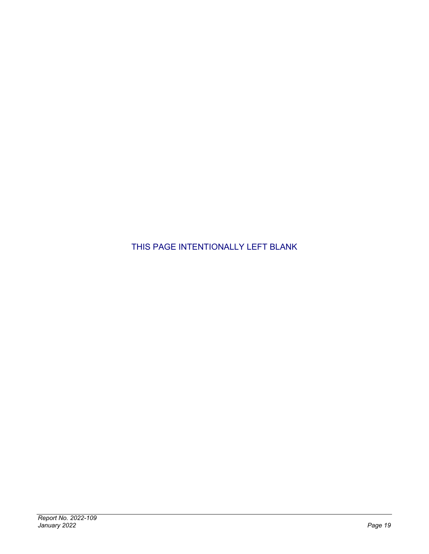THIS PAGE INTENTIONALLY LEFT BLANK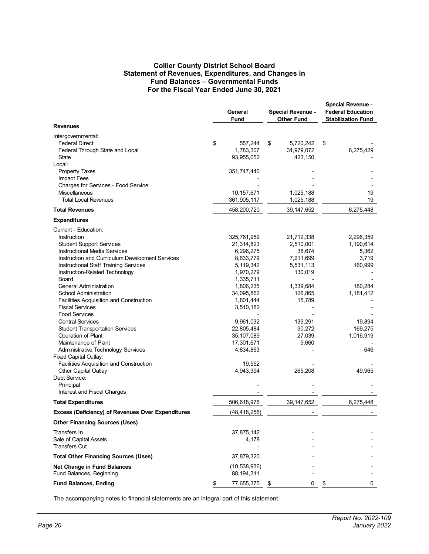#### **Collier County District School Board Statement of Revenues, Expenditures, and Changes in Fund Balances – Governmental Funds For the Fiscal Year Ended June 30, 2021**

<span id="page-25-0"></span>

|                                                          |    | General<br><b>Fund</b> |    | <b>Special Revenue -</b><br><b>Other Fund</b> | <b>Special Revenue -</b><br><b>Federal Education</b><br><b>Stabilization Fund</b> |           |
|----------------------------------------------------------|----|------------------------|----|-----------------------------------------------|-----------------------------------------------------------------------------------|-----------|
| <b>Revenues</b>                                          |    |                        |    |                                               |                                                                                   |           |
| Intergovernmental:                                       |    |                        |    |                                               |                                                                                   |           |
| <b>Federal Direct</b>                                    | \$ | 557,244                | \$ | 5,720,242                                     | \$                                                                                |           |
| Federal Through State and Local                          |    | 1,783,307              |    | 31,979,072                                    |                                                                                   | 6,275,429 |
| State                                                    |    | 93,955,052             |    | 423,150                                       |                                                                                   |           |
| Local:                                                   |    |                        |    |                                               |                                                                                   |           |
| <b>Property Taxes</b>                                    |    | 351,747,446            |    |                                               |                                                                                   |           |
| <b>Impact Fees</b>                                       |    |                        |    |                                               |                                                                                   |           |
| Charges for Services - Food Service                      |    |                        |    |                                               |                                                                                   |           |
| <b>Miscellaneous</b>                                     |    | 10,157,671             |    | 1,025,188                                     |                                                                                   | 19        |
| <b>Total Local Revenues</b>                              |    | 361,905,117            |    | 1,025,188                                     |                                                                                   | 19        |
| <b>Total Revenues</b>                                    |    | 458,200,720            |    | 39, 147, 652                                  |                                                                                   | 6,275,448 |
| <b>Expenditures</b>                                      |    |                        |    |                                               |                                                                                   |           |
| Current - Education:                                     |    |                        |    |                                               |                                                                                   |           |
| Instruction                                              |    | 325,761,959            |    | 21,712,338                                    |                                                                                   | 2,296,359 |
| <b>Student Support Services</b>                          |    | 21,314,823             |    | 2,510,001                                     |                                                                                   | 1,190,614 |
| Instructional Media Services                             |    | 6,296,275              |    | 38,674                                        |                                                                                   | 5,362     |
| Instruction and Curriculum Development Services          |    | 8,633,779              |    | 7,211,699                                     |                                                                                   | 3,719     |
| Instructional Staff Training Services                    |    | 5,119,342              |    | 5,531,113                                     |                                                                                   | 160,999   |
| Instruction-Related Technology                           |    | 1,970,279              |    | 130,019                                       |                                                                                   |           |
| Board                                                    |    | 1,335,711              |    |                                               |                                                                                   |           |
| General Administration                                   |    | 1,806,235              |    | 1,339,684                                     |                                                                                   | 180,284   |
| School Administration                                    |    | 34,095,862             |    | 126,865                                       |                                                                                   | 1,181,412 |
| Facilities Acquisition and Construction                  |    | 1,801,444              |    | 15,789                                        |                                                                                   |           |
| <b>Fiscal Services</b>                                   |    | 3,510,182              |    |                                               |                                                                                   |           |
| <b>Food Services</b>                                     |    |                        |    |                                               |                                                                                   |           |
| <b>Central Services</b>                                  |    | 9,961,032              |    | 139,291                                       |                                                                                   | 19,894    |
| <b>Student Transportation Services</b>                   |    | 22,805,484             |    | 90,272                                        |                                                                                   | 169,275   |
| Operation of Plant                                       |    | 35, 107, 089           |    | 27,039                                        |                                                                                   | 1,016,919 |
| Maintenance of Plant                                     |    | 17,301,671             |    | 9,660                                         |                                                                                   |           |
| Administrative Technology Services                       |    | 4,834,863              |    |                                               |                                                                                   | 646       |
| Fixed Capital Outlay:                                    |    |                        |    |                                               |                                                                                   |           |
| Facilities Acquisition and Construction                  |    | 19,552                 |    |                                               |                                                                                   |           |
| Other Capital Outlay                                     |    | 4,943,394              |    | 265,208                                       |                                                                                   | 49,965    |
| Debt Service:                                            |    |                        |    |                                               |                                                                                   |           |
| Principal                                                |    |                        |    |                                               |                                                                                   |           |
| Interest and Fiscal Charges                              |    |                        |    |                                               |                                                                                   |           |
| <b>Total Expenditures</b>                                |    | 506,618,976            |    | 39, 147, 652                                  |                                                                                   | 6,275,448 |
| <b>Excess (Deficiency) of Revenues Over Expenditures</b> |    | (48, 418, 256)         |    |                                               |                                                                                   |           |
| <b>Other Financing Sources (Uses)</b>                    |    |                        |    |                                               |                                                                                   |           |
| Transfers In                                             |    | 37,875,142             |    |                                               |                                                                                   |           |
| Sale of Capital Assets                                   |    | 4,178                  |    |                                               |                                                                                   |           |
| <b>Transfers Out</b>                                     |    |                        |    |                                               |                                                                                   |           |
| <b>Total Other Financing Sources (Uses)</b>              |    | 37,879,320             |    |                                               |                                                                                   | ۰         |
| <b>Net Change in Fund Balances</b>                       |    | (10, 538, 936)         |    |                                               |                                                                                   |           |
| Fund Balances, Beginning                                 |    | 88, 194, 311           |    |                                               |                                                                                   |           |
| <b>Fund Balances, Ending</b>                             | \$ | 77,655,375             | \$ | 0                                             | \$                                                                                | 0         |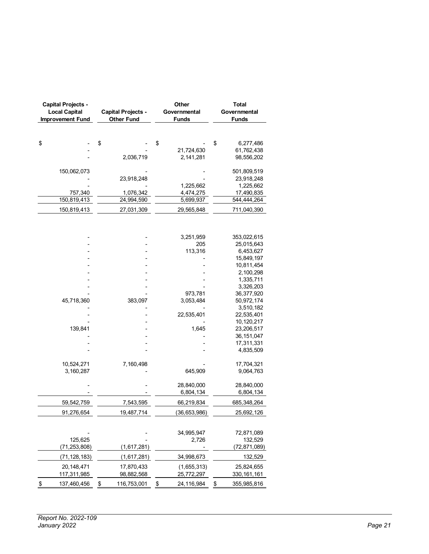| <b>Capital Projects -</b><br><b>Local Capital</b><br><b>Improvement Fund</b> | <b>Capital Projects -</b><br><b>Other Fund</b> | Other<br>Governmental<br><b>Funds</b> | <b>Total</b><br>Governmental<br><b>Funds</b> |  |
|------------------------------------------------------------------------------|------------------------------------------------|---------------------------------------|----------------------------------------------|--|
|                                                                              |                                                |                                       |                                              |  |
| \$                                                                           | \$                                             | \$                                    | \$<br>6,277,486                              |  |
|                                                                              |                                                | 21,724,630                            | 61,762,438                                   |  |
|                                                                              | 2,036,719                                      | 2,141,281                             | 98,556,202                                   |  |
| 150,062,073                                                                  |                                                |                                       | 501,809,519                                  |  |
|                                                                              | 23,918,248                                     |                                       | 23,918,248                                   |  |
|                                                                              |                                                | 1,225,662                             | 1,225,662                                    |  |
| 757,340<br>150,819,413                                                       | 1,076,342<br>24,994,590                        | 4,474,275<br>5,699,937                | 17,490,835<br>544,444,264                    |  |
|                                                                              |                                                |                                       |                                              |  |
| 150,819,413                                                                  | 27,031,309                                     | 29,565,848                            | 711,040,390                                  |  |
|                                                                              |                                                |                                       |                                              |  |
|                                                                              |                                                | 3,251,959                             | 353,022,615                                  |  |
|                                                                              |                                                | 205                                   | 25,015,643                                   |  |
|                                                                              |                                                | 113,316                               | 6,453,627                                    |  |
|                                                                              |                                                |                                       | 15,849,197                                   |  |
|                                                                              |                                                |                                       | 10,811,454                                   |  |
|                                                                              |                                                |                                       | 2,100,298                                    |  |
|                                                                              |                                                |                                       | 1,335,711                                    |  |
|                                                                              |                                                |                                       | 3,326,203                                    |  |
|                                                                              |                                                | 973,781                               | 36,377,920                                   |  |
| 45,718,360                                                                   | 383,097                                        | 3,053,484                             | 50,972,174                                   |  |
|                                                                              |                                                |                                       | 3,510,182                                    |  |
|                                                                              |                                                | 22,535,401                            | 22,535,401<br>10,120,217                     |  |
| 139,841                                                                      |                                                | 1,645                                 | 23,206,517                                   |  |
|                                                                              |                                                |                                       | 36, 151, 047                                 |  |
|                                                                              |                                                |                                       | 17,311,331                                   |  |
|                                                                              |                                                |                                       | 4,835,509                                    |  |
|                                                                              |                                                |                                       |                                              |  |
| 10,524,271                                                                   | 7,160,498                                      |                                       | 17,704,321                                   |  |
| 3,160,287                                                                    |                                                | 645,909                               | 9,064,763                                    |  |
|                                                                              |                                                | 28,840,000                            | 28,840,000                                   |  |
|                                                                              |                                                | 6,804,134                             | 6,804,134                                    |  |
| 59,542,759                                                                   | 7,543,595                                      | 66,219,834                            | 685,348,264                                  |  |
| 91,276,654                                                                   | 19,487,714                                     | (36,653,986)                          | 25,692,126                                   |  |
|                                                                              |                                                |                                       |                                              |  |
|                                                                              |                                                | 34,995,947                            | 72,871,089                                   |  |
| 125,625                                                                      |                                                | 2,726                                 | 132,529                                      |  |
| (71,253,808)                                                                 | (1,617,281)                                    |                                       | (72, 871, 089)                               |  |
| (71,128,183)                                                                 | (1,617,281)                                    | 34,998,673                            | 132,529                                      |  |
| 20,148,471                                                                   | 17,870,433                                     | (1,655,313)                           | 25,824,655                                   |  |
| 117,311,985                                                                  | 98,882,568                                     | 25,772,297                            | 330, 161, 161                                |  |
| $\frac{1}{2}$<br>137,460,456                                                 | $\frac{1}{2}$<br>116,753,001                   | $\frac{1}{2}$<br>24,116,984           | $\frac{1}{2}$<br>355,985,816                 |  |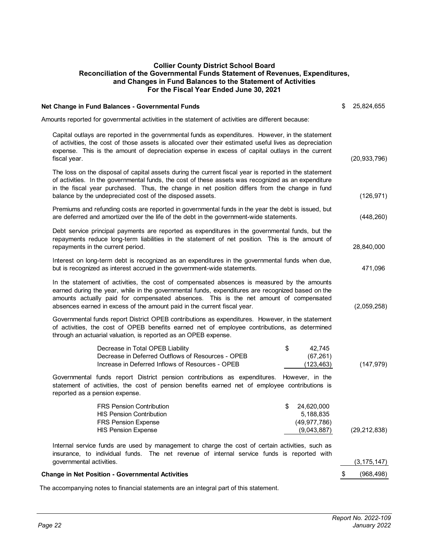#### <span id="page-27-0"></span>**Collier County District School Board Reconciliation of the Governmental Funds Statement of Revenues, Expenditures, and Changes in Fund Balances to the Statement of Activities For the Fiscal Year Ended June 30, 2021**

| Net Change in Fund Balances - Governmental Funds                                                                                                                                                                                                                                                                                                                             | \$<br>25,824,655 |
|------------------------------------------------------------------------------------------------------------------------------------------------------------------------------------------------------------------------------------------------------------------------------------------------------------------------------------------------------------------------------|------------------|
| Amounts reported for governmental activities in the statement of activities are different because:                                                                                                                                                                                                                                                                           |                  |
| Capital outlays are reported in the governmental funds as expenditures. However, in the statement<br>of activities, the cost of those assets is allocated over their estimated useful lives as depreciation<br>expense. This is the amount of depreciation expense in excess of capital outlays in the current<br>fiscal year.                                               | (20, 933, 796)   |
| The loss on the disposal of capital assets during the current fiscal year is reported in the statement<br>of activities. In the governmental funds, the cost of these assets was recognized as an expenditure<br>in the fiscal year purchased. Thus, the change in net position differs from the change in fund<br>balance by the undepreciated cost of the disposed assets. | (126, 971)       |
| Premiums and refunding costs are reported in governmental funds in the year the debt is issued, but<br>are deferred and amortized over the life of the debt in the government-wide statements.                                                                                                                                                                               | (448, 260)       |
| Debt service principal payments are reported as expenditures in the governmental funds, but the<br>repayments reduce long-term liabilities in the statement of net position. This is the amount of<br>repayments in the current period.                                                                                                                                      | 28,840,000       |
| Interest on long-term debt is recognized as an expenditures in the governmental funds when due,<br>but is recognized as interest accrued in the government-wide statements.                                                                                                                                                                                                  | 471,096          |
| In the statement of activities, the cost of compensated absences is measured by the amounts<br>earned during the year, while in the governmental funds, expenditures are recognized based on the<br>amounts actually paid for compensated absences. This is the net amount of compensated<br>absences earned in excess of the amount paid in the current fiscal year.        | (2,059,258)      |
| Governmental funds report District OPEB contributions as expenditures. However, in the statement<br>of activities, the cost of OPEB benefits earned net of employee contributions, as determined<br>through an actuarial valuation, is reported as an OPEB expense.                                                                                                          |                  |
| Decrease in Total OPEB Liability<br>\$<br>42,745<br>Decrease in Deferred Outflows of Resources - OPEB<br>(67, 261)<br>Increase in Deferred Inflows of Resources - OPEB<br>(123,463)                                                                                                                                                                                          | (147, 979)       |
| Governmental funds report District pension contributions as expenditures. However, in the<br>statement of activities, the cost of pension benefits earned net of employee contributions is<br>reported as a pension expense.                                                                                                                                                 |                  |
| <b>FRS Pension Contribution</b><br>24,620,000<br><b>HIS Pension Contribution</b><br>5,188,835<br>(49, 977, 786)<br><b>FRS Pension Expense</b><br>(9,043,887)<br><b>HIS Pension Expense</b>                                                                                                                                                                                   | (29, 212, 838)   |
| Internal service funds are used by management to charge the cost of certain activities, such as<br>insurance, to individual funds. The net revenue of internal service funds is reported with<br>governmental activities.                                                                                                                                                    | (3, 175, 147)    |
| <b>Change in Net Position - Governmental Activities</b>                                                                                                                                                                                                                                                                                                                      | \$<br>(968, 498) |
|                                                                                                                                                                                                                                                                                                                                                                              |                  |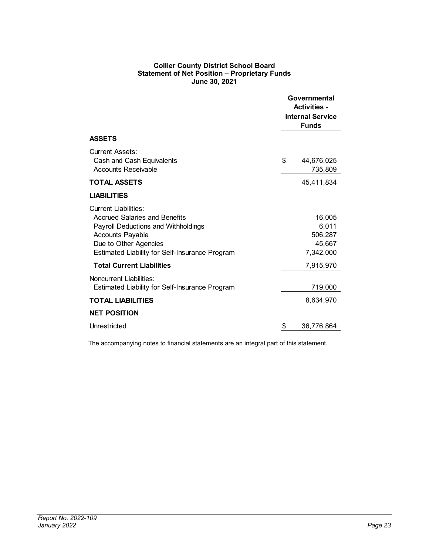#### **Collier County District School Board Statement of Net Position – Proprietary Funds June 30, 2021**

<span id="page-28-0"></span>

|                                                                                                                                                                                                                  | Governmental<br><b>Activities -</b><br><b>Internal Service</b><br><b>Funds</b> |                                                   |
|------------------------------------------------------------------------------------------------------------------------------------------------------------------------------------------------------------------|--------------------------------------------------------------------------------|---------------------------------------------------|
| <b>ASSETS</b>                                                                                                                                                                                                    |                                                                                |                                                   |
| <b>Current Assets:</b><br>Cash and Cash Equivalents<br><b>Accounts Receivable</b>                                                                                                                                |                                                                                | 44,676,025<br>735,809                             |
| <b>TOTAL ASSETS</b>                                                                                                                                                                                              |                                                                                | 45,411,834                                        |
| <b>LIABILITIES</b>                                                                                                                                                                                               |                                                                                |                                                   |
| <b>Current Liabilities:</b><br><b>Accrued Salaries and Benefits</b><br>Payroll Deductions and Withholdings<br><b>Accounts Payable</b><br>Due to Other Agencies<br>Estimated Liability for Self-Insurance Program |                                                                                | 16,005<br>6,011<br>506,287<br>45,667<br>7,342,000 |
| <b>Total Current Liabilities</b>                                                                                                                                                                                 |                                                                                | 7,915,970                                         |
| Noncurrent Liabilities:<br><b>Estimated Liability for Self-Insurance Program</b>                                                                                                                                 |                                                                                | 719,000                                           |
| <b>TOTAL LIABILITIES</b>                                                                                                                                                                                         |                                                                                | 8,634,970                                         |
| <b>NET POSITION</b>                                                                                                                                                                                              |                                                                                |                                                   |
| Unrestricted                                                                                                                                                                                                     | \$                                                                             | 36,776,864                                        |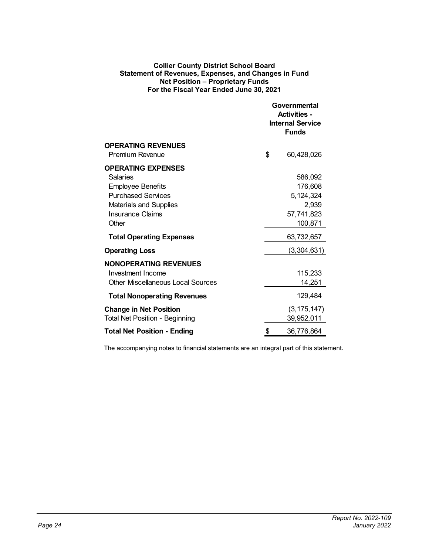#### <span id="page-29-0"></span>**Collier County District School Board Statement of Revenues, Expenses, and Changes in Fund Net Position – Proprietary Funds For the Fiscal Year Ended June 30, 2021**

|                                                                                                                                                                            | Governmental<br><b>Activities -</b><br><b>Internal Service</b><br><b>Funds</b> |  |  |
|----------------------------------------------------------------------------------------------------------------------------------------------------------------------------|--------------------------------------------------------------------------------|--|--|
| <b>OPERATING REVENUES</b><br><b>Premium Revenue</b>                                                                                                                        | \$<br>60,428,026                                                               |  |  |
| <b>OPERATING EXPENSES</b><br><b>Salaries</b><br><b>Employee Benefits</b><br><b>Purchased Services</b><br><b>Materials and Supplies</b><br><b>Insurance Claims</b><br>Other | 586,092<br>176,608<br>5,124,324<br>2,939<br>57,741,823<br>100,871              |  |  |
| <b>Total Operating Expenses</b>                                                                                                                                            | 63,732,657                                                                     |  |  |
| <b>Operating Loss</b>                                                                                                                                                      | (3,304,631)                                                                    |  |  |
| <b>NONOPERATING REVENUES</b><br><b>Investment Income</b><br><b>Other Miscellaneous Local Sources</b>                                                                       | 115,233<br>14,251                                                              |  |  |
| <b>Total Nonoperating Revenues</b>                                                                                                                                         | 129,484                                                                        |  |  |
| <b>Change in Net Position</b><br><b>Total Net Position - Beginning</b>                                                                                                     | (3, 175, 147)<br>39,952,011                                                    |  |  |
| <b>Total Net Position - Ending</b>                                                                                                                                         | \$<br>36,776,864                                                               |  |  |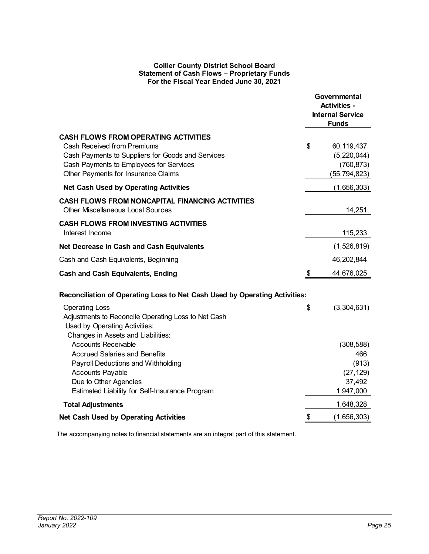#### **Collier County District School Board Statement of Cash Flows – Proprietary Funds For the Fiscal Year Ended June 30, 2021**

<span id="page-30-0"></span>

|                                                                            | Governmental<br><b>Activities -</b>     |               |  |
|----------------------------------------------------------------------------|-----------------------------------------|---------------|--|
|                                                                            | <b>Internal Service</b><br><b>Funds</b> |               |  |
| <b>CASH FLOWS FROM OPERATING ACTIVITIES</b>                                |                                         |               |  |
| <b>Cash Received from Premiums</b>                                         | \$                                      | 60,119,437    |  |
| Cash Payments to Suppliers for Goods and Services                          |                                         | (5, 220, 044) |  |
| Cash Payments to Employees for Services                                    |                                         | (760, 873)    |  |
| Other Payments for Insurance Claims                                        |                                         | (55,794,823)  |  |
| <b>Net Cash Used by Operating Activities</b>                               |                                         | (1,656,303)   |  |
| <b>CASH FLOWS FROM NONCAPITAL FINANCING ACTIVITIES</b>                     |                                         |               |  |
| <b>Other Miscellaneous Local Sources</b>                                   |                                         | 14,251        |  |
| <b>CASH FLOWS FROM INVESTING ACTIVITIES</b>                                |                                         |               |  |
| Interest Income                                                            |                                         | 115,233       |  |
| Net Decrease in Cash and Cash Equivalents                                  |                                         | (1,526,819)   |  |
| Cash and Cash Equivalents, Beginning                                       |                                         | 46,202,844    |  |
| <b>Cash and Cash Equivalents, Ending</b>                                   | \$                                      | 44,676,025    |  |
| Reconciliation of Operating Loss to Net Cash Used by Operating Activities: |                                         |               |  |
| <b>Operating Loss</b>                                                      | \$                                      | (3,304,631)   |  |
| Adjustments to Reconcile Operating Loss to Net Cash                        |                                         |               |  |
| Used by Operating Activities:                                              |                                         |               |  |
| Changes in Assets and Liabilities:                                         |                                         |               |  |
| <b>Accounts Receivable</b>                                                 |                                         | (308, 588)    |  |
| <b>Accrued Salaries and Benefits</b>                                       |                                         | 466<br>(913)  |  |
| Payroll Deductions and Withholding<br>Accounts Payable                     |                                         | (27, 129)     |  |
| Due to Other Agencies                                                      |                                         | 37,492        |  |
| Estimated Liability for Self-Insurance Program                             |                                         | 1,947,000     |  |
| <b>Total Adjustments</b>                                                   |                                         | 1,648,328     |  |
| <b>Net Cash Used by Operating Activities</b>                               | \$                                      | (1,656,303)   |  |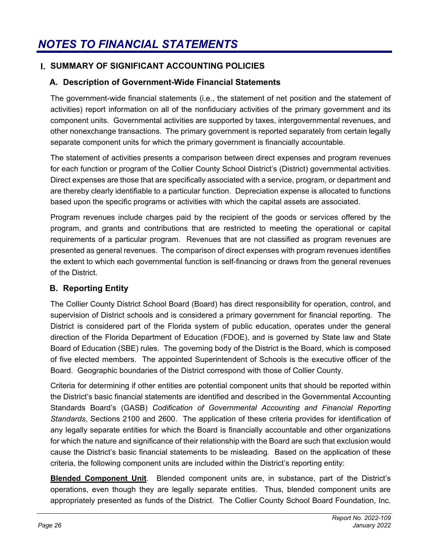### <span id="page-31-0"></span> **SUMMARY OF SIGNIFICANT ACCOUNTING POLICIES**

### **A. Description of Government-Wide Financial Statements**

The government-wide financial statements (i.e., the statement of net position and the statement of activities) report information on all of the nonfiduciary activities of the primary government and its component units. Governmental activities are supported by taxes, intergovernmental revenues, and other nonexchange transactions. The primary government is reported separately from certain legally separate component units for which the primary government is financially accountable.

The statement of activities presents a comparison between direct expenses and program revenues for each function or program of the Collier County School District's (District) governmental activities. Direct expenses are those that are specifically associated with a service, program, or department and are thereby clearly identifiable to a particular function. Depreciation expense is allocated to functions based upon the specific programs or activities with which the capital assets are associated.

Program revenues include charges paid by the recipient of the goods or services offered by the program, and grants and contributions that are restricted to meeting the operational or capital requirements of a particular program. Revenues that are not classified as program revenues are presented as general revenues. The comparison of direct expenses with program revenues identifies the extent to which each governmental function is self-financing or draws from the general revenues of the District.

## **B. Reporting Entity**

The Collier County District School Board (Board) has direct responsibility for operation, control, and supervision of District schools and is considered a primary government for financial reporting. The District is considered part of the Florida system of public education, operates under the general direction of the Florida Department of Education (FDOE), and is governed by State law and State Board of Education (SBE) rules. The governing body of the District is the Board, which is composed of five elected members. The appointed Superintendent of Schools is the executive officer of the Board. Geographic boundaries of the District correspond with those of Collier County.

Criteria for determining if other entities are potential component units that should be reported within the District's basic financial statements are identified and described in the Governmental Accounting Standards Board's (GASB) *Codification of Governmental Accounting and Financial Reporting Standards*, Sections 2100 and 2600. The application of these criteria provides for identification of any legally separate entities for which the Board is financially accountable and other organizations for which the nature and significance of their relationship with the Board are such that exclusion would cause the District's basic financial statements to be misleading. Based on the application of these criteria, the following component units are included within the District's reporting entity:

**Blended Component Unit**. Blended component units are, in substance, part of the District's operations, even though they are legally separate entities. Thus, blended component units are appropriately presented as funds of the District. The Collier County School Board Foundation, Inc.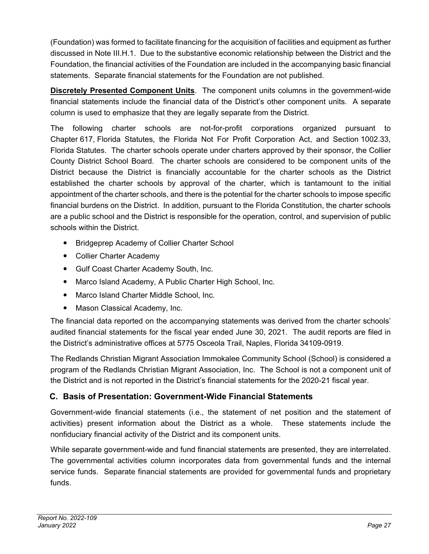(Foundation) was formed to facilitate financing for the acquisition of facilities and equipment as further discussed in Note III.H.1. Due to the substantive economic relationship between the District and the Foundation, the financial activities of the Foundation are included in the accompanying basic financial statements. Separate financial statements for the Foundation are not published.

**Discretely Presented Component Units**. The component units columns in the government-wide financial statements include the financial data of the District's other component units. A separate column is used to emphasize that they are legally separate from the District.

The following charter schools are not-for-profit corporations organized pursuant to Chapter 617, Florida Statutes, the Florida Not For Profit Corporation Act, and Section 1002.33, Florida Statutes. The charter schools operate under charters approved by their sponsor, the Collier County District School Board. The charter schools are considered to be component units of the District because the District is financially accountable for the charter schools as the District established the charter schools by approval of the charter, which is tantamount to the initial appointment of the charter schools, and there is the potential for the charter schools to impose specific financial burdens on the District. In addition, pursuant to the Florida Constitution, the charter schools are a public school and the District is responsible for the operation, control, and supervision of public schools within the District.

- Bridgeprep Academy of Collier Charter School
- Collier Charter Academy
- Gulf Coast Charter Academy South, Inc.
- Marco Island Academy, A Public Charter High School, Inc.
- Marco Island Charter Middle School, Inc.
- Mason Classical Academy, Inc.

The financial data reported on the accompanying statements was derived from the charter schools' audited financial statements for the fiscal year ended June 30, 2021. The audit reports are filed in the District's administrative offices at 5775 Osceola Trail, Naples, Florida 34109-0919.

The Redlands Christian Migrant Association Immokalee Community School (School) is considered a program of the Redlands Christian Migrant Association, Inc. The School is not a component unit of the District and is not reported in the District's financial statements for the 2020-21 fiscal year.

## **C. Basis of Presentation: Government-Wide Financial Statements**

Government-wide financial statements (i.e., the statement of net position and the statement of activities) present information about the District as a whole. These statements include the nonfiduciary financial activity of the District and its component units.

While separate government-wide and fund financial statements are presented, they are interrelated. The governmental activities column incorporates data from governmental funds and the internal service funds. Separate financial statements are provided for governmental funds and proprietary funds.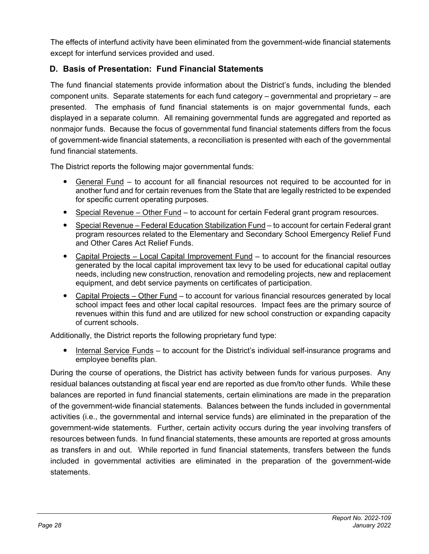The effects of interfund activity have been eliminated from the government-wide financial statements except for interfund services provided and used.

## **D. Basis of Presentation: Fund Financial Statements**

The fund financial statements provide information about the District's funds, including the blended component units. Separate statements for each fund category – governmental and proprietary – are presented. The emphasis of fund financial statements is on major governmental funds, each displayed in a separate column. All remaining governmental funds are aggregated and reported as nonmajor funds. Because the focus of governmental fund financial statements differs from the focus of government-wide financial statements, a reconciliation is presented with each of the governmental fund financial statements.

The District reports the following major governmental funds:

- General Fund to account for all financial resources not required to be accounted for in another fund and for certain revenues from the State that are legally restricted to be expended for specific current operating purposes.
- Special Revenue Other Fund to account for certain Federal grant program resources.
- Special Revenue Federal Education Stabilization Fund to account for certain Federal grant program resources related to the Elementary and Secondary School Emergency Relief Fund and Other Cares Act Relief Funds.
- Capital Projects Local Capital Improvement Fund to account for the financial resources generated by the local capital improvement tax levy to be used for educational capital outlay needs, including new construction, renovation and remodeling projects, new and replacement equipment, and debt service payments on certificates of participation.
- Capital Projects Other Fund to account for various financial resources generated by local school impact fees and other local capital resources. Impact fees are the primary source of revenues within this fund and are utilized for new school construction or expanding capacity of current schools.

Additionally, the District reports the following proprietary fund type:

 Internal Service Funds – to account for the District's individual self-insurance programs and employee benefits plan.

During the course of operations, the District has activity between funds for various purposes. Any residual balances outstanding at fiscal year end are reported as due from/to other funds. While these balances are reported in fund financial statements, certain eliminations are made in the preparation of the government-wide financial statements. Balances between the funds included in governmental activities (i.e., the governmental and internal service funds) are eliminated in the preparation of the government-wide statements. Further, certain activity occurs during the year involving transfers of resources between funds. In fund financial statements, these amounts are reported at gross amounts as transfers in and out. While reported in fund financial statements, transfers between the funds included in governmental activities are eliminated in the preparation of the government-wide statements.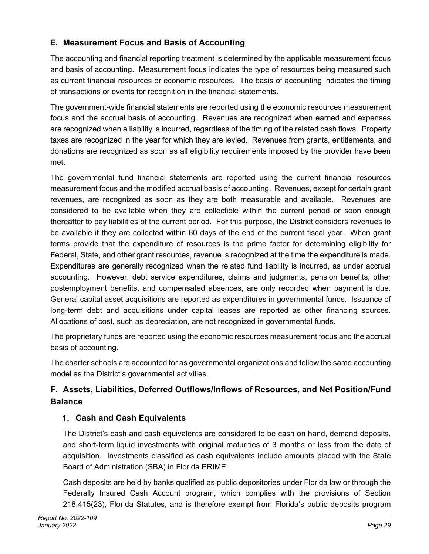## **E. Measurement Focus and Basis of Accounting**

The accounting and financial reporting treatment is determined by the applicable measurement focus and basis of accounting. Measurement focus indicates the type of resources being measured such as current financial resources or economic resources. The basis of accounting indicates the timing of transactions or events for recognition in the financial statements.

The government-wide financial statements are reported using the economic resources measurement focus and the accrual basis of accounting. Revenues are recognized when earned and expenses are recognized when a liability is incurred, regardless of the timing of the related cash flows. Property taxes are recognized in the year for which they are levied. Revenues from grants, entitlements, and donations are recognized as soon as all eligibility requirements imposed by the provider have been met.

The governmental fund financial statements are reported using the current financial resources measurement focus and the modified accrual basis of accounting. Revenues, except for certain grant revenues, are recognized as soon as they are both measurable and available. Revenues are considered to be available when they are collectible within the current period or soon enough thereafter to pay liabilities of the current period. For this purpose, the District considers revenues to be available if they are collected within 60 days of the end of the current fiscal year. When grant terms provide that the expenditure of resources is the prime factor for determining eligibility for Federal, State, and other grant resources, revenue is recognized at the time the expenditure is made. Expenditures are generally recognized when the related fund liability is incurred, as under accrual accounting. However, debt service expenditures, claims and judgments, pension benefits, other postemployment benefits, and compensated absences, are only recorded when payment is due. General capital asset acquisitions are reported as expenditures in governmental funds. Issuance of long-term debt and acquisitions under capital leases are reported as other financing sources. Allocations of cost, such as depreciation, are not recognized in governmental funds.

The proprietary funds are reported using the economic resources measurement focus and the accrual basis of accounting.

The charter schools are accounted for as governmental organizations and follow the same accounting model as the District's governmental activities.

## **F. Assets, Liabilities, Deferred Outflows/Inflows of Resources, and Net Position/Fund Balance**

## **Cash and Cash Equivalents**

The District's cash and cash equivalents are considered to be cash on hand, demand deposits, and short-term liquid investments with original maturities of 3 months or less from the date of acquisition. Investments classified as cash equivalents include amounts placed with the State Board of Administration (SBA) in Florida PRIME.

Cash deposits are held by banks qualified as public depositories under Florida law or through the Federally Insured Cash Account program, which complies with the provisions of Section 218.415(23), Florida Statutes, and is therefore exempt from Florida's public deposits program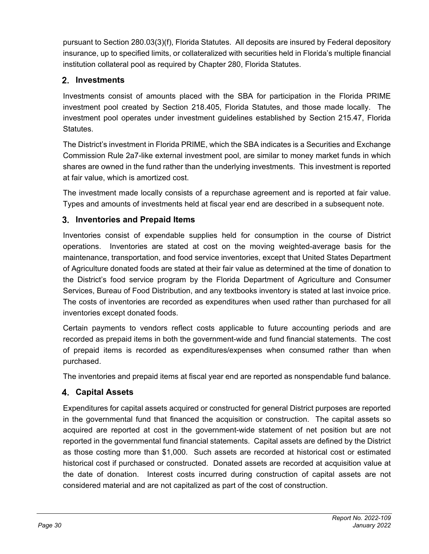pursuant to Section 280.03(3)(f), Florida Statutes. All deposits are insured by Federal depository insurance, up to specified limits, or collateralized with securities held in Florida's multiple financial institution collateral pool as required by Chapter 280, Florida Statutes.

## **Investments**

Investments consist of amounts placed with the SBA for participation in the Florida PRIME investment pool created by Section 218.405, Florida Statutes, and those made locally. The investment pool operates under investment guidelines established by Section 215.47, Florida **Statutes** 

The District's investment in Florida PRIME, which the SBA indicates is a Securities and Exchange Commission Rule 2a7-like external investment pool, are similar to money market funds in which shares are owned in the fund rather than the underlying investments. This investment is reported at fair value, which is amortized cost.

The investment made locally consists of a repurchase agreement and is reported at fair value. Types and amounts of investments held at fiscal year end are described in a subsequent note.

## **Inventories and Prepaid Items**

Inventories consist of expendable supplies held for consumption in the course of District operations. Inventories are stated at cost on the moving weighted-average basis for the maintenance, transportation, and food service inventories, except that United States Department of Agriculture donated foods are stated at their fair value as determined at the time of donation to the District's food service program by the Florida Department of Agriculture and Consumer Services, Bureau of Food Distribution, and any textbooks inventory is stated at last invoice price. The costs of inventories are recorded as expenditures when used rather than purchased for all inventories except donated foods.

Certain payments to vendors reflect costs applicable to future accounting periods and are recorded as prepaid items in both the government-wide and fund financial statements. The cost of prepaid items is recorded as expenditures/expenses when consumed rather than when purchased.

The inventories and prepaid items at fiscal year end are reported as nonspendable fund balance.

## **Capital Assets**

Expenditures for capital assets acquired or constructed for general District purposes are reported in the governmental fund that financed the acquisition or construction. The capital assets so acquired are reported at cost in the government-wide statement of net position but are not reported in the governmental fund financial statements. Capital assets are defined by the District as those costing more than \$1,000. Such assets are recorded at historical cost or estimated historical cost if purchased or constructed. Donated assets are recorded at acquisition value at the date of donation. Interest costs incurred during construction of capital assets are not considered material and are not capitalized as part of the cost of construction.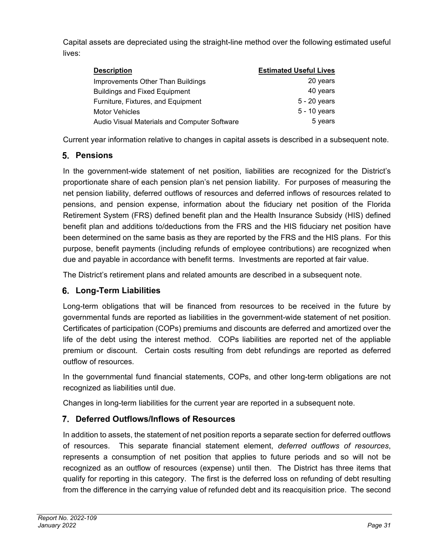Capital assets are depreciated using the straight-line method over the following estimated useful lives:

| <b>Description</b>                           | <b>Estimated Useful Lives</b> |
|----------------------------------------------|-------------------------------|
| Improvements Other Than Buildings            | 20 years                      |
| <b>Buildings and Fixed Equipment</b>         | 40 years                      |
| Furniture, Fixtures, and Equipment           | $5 - 20$ years                |
| <b>Motor Vehicles</b>                        | $5 - 10$ years                |
| Audio Visual Materials and Computer Software | 5 years                       |

Current year information relative to changes in capital assets is described in a subsequent note.

# **Pensions**

In the government-wide statement of net position, liabilities are recognized for the District's proportionate share of each pension plan's net pension liability. For purposes of measuring the net pension liability, deferred outflows of resources and deferred inflows of resources related to pensions, and pension expense, information about the fiduciary net position of the Florida Retirement System (FRS) defined benefit plan and the Health Insurance Subsidy (HIS) defined benefit plan and additions to/deductions from the FRS and the HIS fiduciary net position have been determined on the same basis as they are reported by the FRS and the HIS plans. For this purpose, benefit payments (including refunds of employee contributions) are recognized when due and payable in accordance with benefit terms. Investments are reported at fair value.

The District's retirement plans and related amounts are described in a subsequent note.

# **Long-Term Liabilities**

Long-term obligations that will be financed from resources to be received in the future by governmental funds are reported as liabilities in the government-wide statement of net position. Certificates of participation (COPs) premiums and discounts are deferred and amortized over the life of the debt using the interest method. COPs liabilities are reported net of the appliable premium or discount. Certain costs resulting from debt refundings are reported as deferred outflow of resources.

In the governmental fund financial statements, COPs, and other long-term obligations are not recognized as liabilities until due.

Changes in long-term liabilities for the current year are reported in a subsequent note.

# **Deferred Outflows/Inflows of Resources**

In addition to assets, the statement of net position reports a separate section for deferred outflows of resources. This separate financial statement element, *deferred outflows of resources*, represents a consumption of net position that applies to future periods and so will not be recognized as an outflow of resources (expense) until then. The District has three items that qualify for reporting in this category. The first is the deferred loss on refunding of debt resulting from the difference in the carrying value of refunded debt and its reacquisition price. The second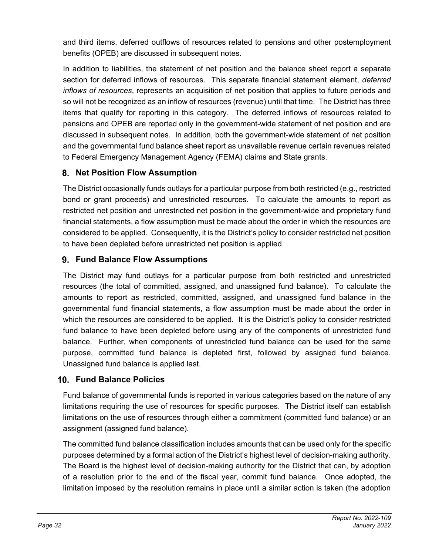and third items, deferred outflows of resources related to pensions and other postemployment benefits (OPEB) are discussed in subsequent notes.

In addition to liabilities, the statement of net position and the balance sheet report a separate section for deferred inflows of resources. This separate financial statement element, *deferred inflows of resources*, represents an acquisition of net position that applies to future periods and so will not be recognized as an inflow of resources (revenue) until that time. The District has three items that qualify for reporting in this category. The deferred inflows of resources related to pensions and OPEB are reported only in the government-wide statement of net position and are discussed in subsequent notes. In addition, both the government-wide statement of net position and the governmental fund balance sheet report as unavailable revenue certain revenues related to Federal Emergency Management Agency (FEMA) claims and State grants.

# **Net Position Flow Assumption**

The District occasionally funds outlays for a particular purpose from both restricted (e.g., restricted bond or grant proceeds) and unrestricted resources. To calculate the amounts to report as restricted net position and unrestricted net position in the government-wide and proprietary fund financial statements, a flow assumption must be made about the order in which the resources are considered to be applied. Consequently, it is the District's policy to consider restricted net position to have been depleted before unrestricted net position is applied.

# **Fund Balance Flow Assumptions**

The District may fund outlays for a particular purpose from both restricted and unrestricted resources (the total of committed, assigned, and unassigned fund balance). To calculate the amounts to report as restricted, committed, assigned, and unassigned fund balance in the governmental fund financial statements, a flow assumption must be made about the order in which the resources are considered to be applied. It is the District's policy to consider restricted fund balance to have been depleted before using any of the components of unrestricted fund balance. Further, when components of unrestricted fund balance can be used for the same purpose, committed fund balance is depleted first, followed by assigned fund balance. Unassigned fund balance is applied last.

# **Fund Balance Policies**

Fund balance of governmental funds is reported in various categories based on the nature of any limitations requiring the use of resources for specific purposes. The District itself can establish limitations on the use of resources through either a commitment (committed fund balance) or an assignment (assigned fund balance).

The committed fund balance classification includes amounts that can be used only for the specific purposes determined by a formal action of the District's highest level of decision-making authority. The Board is the highest level of decision-making authority for the District that can, by adoption of a resolution prior to the end of the fiscal year, commit fund balance. Once adopted, the limitation imposed by the resolution remains in place until a similar action is taken (the adoption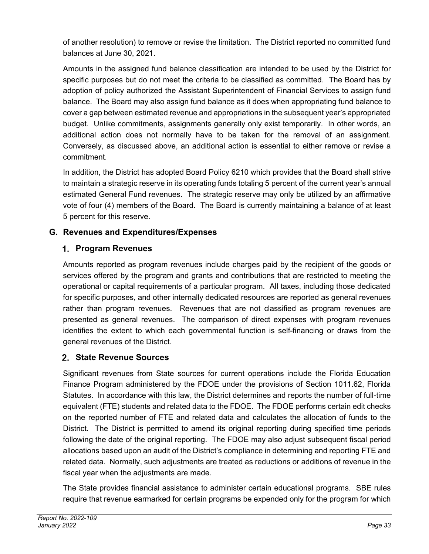of another resolution) to remove or revise the limitation. The District reported no committed fund balances at June 30, 2021.

Amounts in the assigned fund balance classification are intended to be used by the District for specific purposes but do not meet the criteria to be classified as committed. The Board has by adoption of policy authorized the Assistant Superintendent of Financial Services to assign fund balance. The Board may also assign fund balance as it does when appropriating fund balance to cover a gap between estimated revenue and appropriations in the subsequent year's appropriated budget. Unlike commitments, assignments generally only exist temporarily. In other words, an additional action does not normally have to be taken for the removal of an assignment. Conversely, as discussed above, an additional action is essential to either remove or revise a commitment.

In addition, the District has adopted Board Policy 6210 which provides that the Board shall strive to maintain a strategic reserve in its operating funds totaling 5 percent of the current year's annual estimated General Fund revenues. The strategic reserve may only be utilized by an affirmative vote of four (4) members of the Board. The Board is currently maintaining a balance of at least 5 percent for this reserve.

## **G. Revenues and Expenditures/Expenses**

## **Program Revenues**

Amounts reported as program revenues include charges paid by the recipient of the goods or services offered by the program and grants and contributions that are restricted to meeting the operational or capital requirements of a particular program. All taxes, including those dedicated for specific purposes, and other internally dedicated resources are reported as general revenues rather than program revenues. Revenues that are not classified as program revenues are presented as general revenues. The comparison of direct expenses with program revenues identifies the extent to which each governmental function is self-financing or draws from the general revenues of the District.

# **State Revenue Sources**

Significant revenues from State sources for current operations include the Florida Education Finance Program administered by the FDOE under the provisions of Section 1011.62, Florida Statutes. In accordance with this law, the District determines and reports the number of full-time equivalent (FTE) students and related data to the FDOE. The FDOE performs certain edit checks on the reported number of FTE and related data and calculates the allocation of funds to the District. The District is permitted to amend its original reporting during specified time periods following the date of the original reporting. The FDOE may also adjust subsequent fiscal period allocations based upon an audit of the District's compliance in determining and reporting FTE and related data. Normally, such adjustments are treated as reductions or additions of revenue in the fiscal year when the adjustments are made.

The State provides financial assistance to administer certain educational programs. SBE rules require that revenue earmarked for certain programs be expended only for the program for which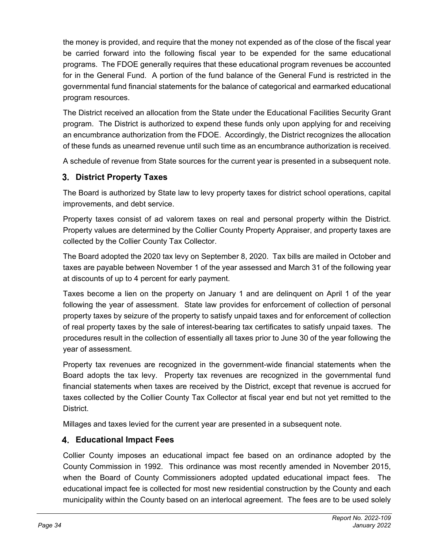the money is provided, and require that the money not expended as of the close of the fiscal year be carried forward into the following fiscal year to be expended for the same educational programs. The FDOE generally requires that these educational program revenues be accounted for in the General Fund. A portion of the fund balance of the General Fund is restricted in the governmental fund financial statements for the balance of categorical and earmarked educational program resources.

The District received an allocation from the State under the Educational Facilities Security Grant program. The District is authorized to expend these funds only upon applying for and receiving an encumbrance authorization from the FDOE. Accordingly, the District recognizes the allocation of these funds as unearned revenue until such time as an encumbrance authorization is received.

A schedule of revenue from State sources for the current year is presented in a subsequent note.

# **District Property Taxes**

The Board is authorized by State law to levy property taxes for district school operations, capital improvements, and debt service.

Property taxes consist of ad valorem taxes on real and personal property within the District. Property values are determined by the Collier County Property Appraiser, and property taxes are collected by the Collier County Tax Collector.

The Board adopted the 2020 tax levy on September 8, 2020. Tax bills are mailed in October and taxes are payable between November 1 of the year assessed and March 31 of the following year at discounts of up to 4 percent for early payment.

Taxes become a lien on the property on January 1 and are delinquent on April 1 of the year following the year of assessment. State law provides for enforcement of collection of personal property taxes by seizure of the property to satisfy unpaid taxes and for enforcement of collection of real property taxes by the sale of interest-bearing tax certificates to satisfy unpaid taxes. The procedures result in the collection of essentially all taxes prior to June 30 of the year following the year of assessment.

Property tax revenues are recognized in the government-wide financial statements when the Board adopts the tax levy. Property tax revenues are recognized in the governmental fund financial statements when taxes are received by the District, except that revenue is accrued for taxes collected by the Collier County Tax Collector at fiscal year end but not yet remitted to the District.

Millages and taxes levied for the current year are presented in a subsequent note.

# **Educational Impact Fees**

Collier County imposes an educational impact fee based on an ordinance adopted by the County Commission in 1992. This ordinance was most recently amended in November 2015, when the Board of County Commissioners adopted updated educational impact fees. The educational impact fee is collected for most new residential construction by the County and each municipality within the County based on an interlocal agreement. The fees are to be used solely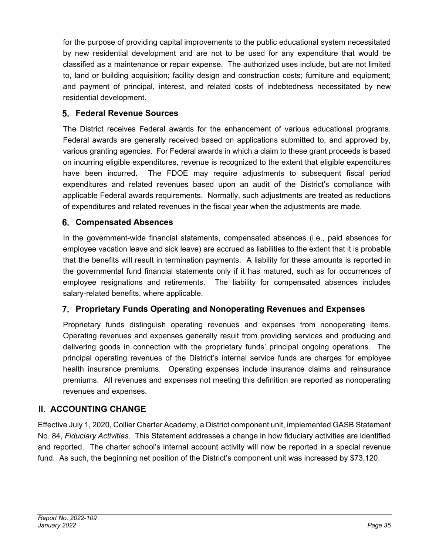for the purpose of providing capital improvements to the public educational system necessitated by new residential development and are not to be used for any expenditure that would be classified as a maintenance or repair expense. The authorized uses include, but are not limited to, land or building acquisition; facility design and construction costs; furniture and equipment; and payment of principal, interest, and related costs of indebtedness necessitated by new residential development.

# **Federal Revenue Sources**

The District receives Federal awards for the enhancement of various educational programs. Federal awards are generally received based on applications submitted to, and approved by, various granting agencies. For Federal awards in which a claim to these grant proceeds is based on incurring eligible expenditures, revenue is recognized to the extent that eligible expenditures have been incurred. The FDOE may require adjustments to subsequent fiscal period expenditures and related revenues based upon an audit of the District's compliance with applicable Federal awards requirements. Normally, such adjustments are treated as reductions of expenditures and related revenues in the fiscal year when the adjustments are made.

## **Compensated Absences**

In the government-wide financial statements, compensated absences (i.e., paid absences for employee vacation leave and sick leave) are accrued as liabilities to the extent that it is probable that the benefits will result in termination payments. A liability for these amounts is reported in the governmental fund financial statements only if it has matured, such as for occurrences of employee resignations and retirements. The liability for compensated absences includes salary-related benefits, where applicable.

## **Proprietary Funds Operating and Nonoperating Revenues and Expenses**

Proprietary funds distinguish operating revenues and expenses from nonoperating items. Operating revenues and expenses generally result from providing services and producing and delivering goods in connection with the proprietary funds' principal ongoing operations. The principal operating revenues of the District's internal service funds are charges for employee health insurance premiums. Operating expenses include insurance claims and reinsurance premiums. All revenues and expenses not meeting this definition are reported as nonoperating revenues and expenses.

## **ACCOUNTING CHANGE**

Effective July 1, 2020, Collier Charter Academy, a District component unit, implemented GASB Statement No. 84, *Fiduciary Activities*. This Statement addresses a change in how fiduciary activities are identified and reported. The charter school's internal account activity will now be reported in a special revenue fund. As such, the beginning net position of the District's component unit was increased by \$73,120.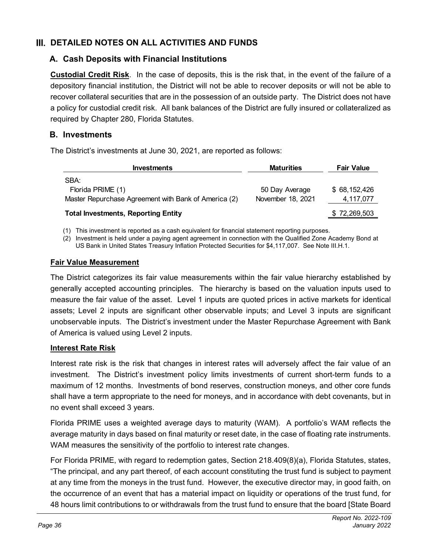## **DETAILED NOTES ON ALL ACTIVITIES AND FUNDS**

## **A. Cash Deposits with Financial Institutions**

**Custodial Credit Risk**. In the case of deposits, this is the risk that, in the event of the failure of a depository financial institution, the District will not be able to recover deposits or will not be able to recover collateral securities that are in the possession of an outside party. The District does not have a policy for custodial credit risk. All bank balances of the District are fully insured or collateralized as required by Chapter 280, Florida Statutes.

#### **B. Investments**

The District's investments at June 30, 2021, are reported as follows:

| <b>Investments</b>                                   | <b>Maturities</b> | <b>Fair Value</b> |
|------------------------------------------------------|-------------------|-------------------|
| SBA:                                                 |                   |                   |
| Florida PRIME (1)                                    | 50 Day Average    | \$68,152,426      |
| Master Repurchase Agreement with Bank of America (2) | November 18, 2021 | 4,117,077         |
| <b>Total Investments, Reporting Entity</b>           |                   | \$72,269,503      |

(1) This investment is reported as a cash equivalent for financial statement reporting purposes.

(2) Investment is held under a paying agent agreement in connection with the Qualified Zone Academy Bond at US Bank in United States Treasury Inflation Protected Securities for \$4,117,007. See Note III.H.1.

#### **Fair Value Measurement**

The District categorizes its fair value measurements within the fair value hierarchy established by generally accepted accounting principles. The hierarchy is based on the valuation inputs used to measure the fair value of the asset. Level 1 inputs are quoted prices in active markets for identical assets; Level 2 inputs are significant other observable inputs; and Level 3 inputs are significant unobservable inputs. The District's investment under the Master Repurchase Agreement with Bank of America is valued using Level 2 inputs.

#### **Interest Rate Risk**

Interest rate risk is the risk that changes in interest rates will adversely affect the fair value of an investment. The District's investment policy limits investments of current short-term funds to a maximum of 12 months. Investments of bond reserves, construction moneys, and other core funds shall have a term appropriate to the need for moneys, and in accordance with debt covenants, but in no event shall exceed 3 years.

Florida PRIME uses a weighted average days to maturity (WAM). A portfolio's WAM reflects the average maturity in days based on final maturity or reset date, in the case of floating rate instruments. WAM measures the sensitivity of the portfolio to interest rate changes.

For Florida PRIME, with regard to redemption gates, Section 218.409(8)(a), Florida Statutes, states, "The principal, and any part thereof, of each account constituting the trust fund is subject to payment at any time from the moneys in the trust fund. However, the executive director may, in good faith, on the occurrence of an event that has a material impact on liquidity or operations of the trust fund, for 48 hours limit contributions to or withdrawals from the trust fund to ensure that the board [State Board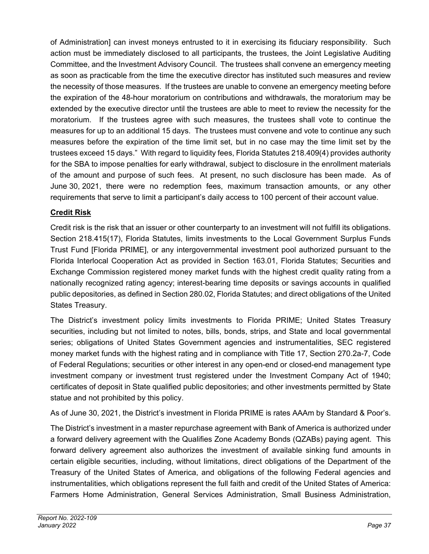of Administration] can invest moneys entrusted to it in exercising its fiduciary responsibility. Such action must be immediately disclosed to all participants, the trustees, the Joint Legislative Auditing Committee, and the Investment Advisory Council. The trustees shall convene an emergency meeting as soon as practicable from the time the executive director has instituted such measures and review the necessity of those measures. If the trustees are unable to convene an emergency meeting before the expiration of the 48-hour moratorium on contributions and withdrawals, the moratorium may be extended by the executive director until the trustees are able to meet to review the necessity for the moratorium. If the trustees agree with such measures, the trustees shall vote to continue the measures for up to an additional 15 days. The trustees must convene and vote to continue any such measures before the expiration of the time limit set, but in no case may the time limit set by the trustees exceed 15 days." With regard to liquidity fees, Florida Statutes 218.409(4) provides authority for the SBA to impose penalties for early withdrawal, subject to disclosure in the enrollment materials of the amount and purpose of such fees. At present, no such disclosure has been made. As of June 30, 2021, there were no redemption fees, maximum transaction amounts, or any other requirements that serve to limit a participant's daily access to 100 percent of their account value.

## **Credit Risk**

Credit risk is the risk that an issuer or other counterparty to an investment will not fulfill its obligations. Section 218.415(17), Florida Statutes, limits investments to the Local Government Surplus Funds Trust Fund [Florida PRIME], or any intergovernmental investment pool authorized pursuant to the Florida Interlocal Cooperation Act as provided in Section 163.01, Florida Statutes; Securities and Exchange Commission registered money market funds with the highest credit quality rating from a nationally recognized rating agency; interest-bearing time deposits or savings accounts in qualified public depositories, as defined in Section 280.02, Florida Statutes; and direct obligations of the United States Treasury.

The District's investment policy limits investments to Florida PRIME; United States Treasury securities, including but not limited to notes, bills, bonds, strips, and State and local governmental series; obligations of United States Government agencies and instrumentalities, SEC registered money market funds with the highest rating and in compliance with Title 17, Section 270.2a-7, Code of Federal Regulations; securities or other interest in any open-end or closed-end management type investment company or investment trust registered under the Investment Company Act of 1940; certificates of deposit in State qualified public depositories; and other investments permitted by State statue and not prohibited by this policy.

As of June 30, 2021, the District's investment in Florida PRIME is rates AAAm by Standard & Poor's.

The District's investment in a master repurchase agreement with Bank of America is authorized under a forward delivery agreement with the Qualifies Zone Academy Bonds (QZABs) paying agent. This forward delivery agreement also authorizes the investment of available sinking fund amounts in certain eligible securities, including, without limitations, direct obligations of the Department of the Treasury of the United States of America, and obligations of the following Federal agencies and instrumentalities, which obligations represent the full faith and credit of the United States of America: Farmers Home Administration, General Services Administration, Small Business Administration,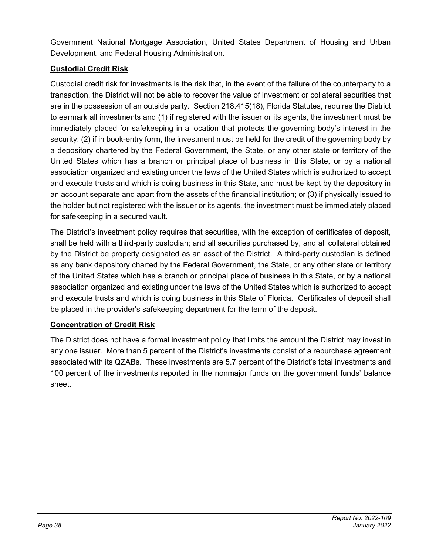Government National Mortgage Association, United States Department of Housing and Urban Development, and Federal Housing Administration.

## **Custodial Credit Risk**

Custodial credit risk for investments is the risk that, in the event of the failure of the counterparty to a transaction, the District will not be able to recover the value of investment or collateral securities that are in the possession of an outside party. Section 218.415(18), Florida Statutes, requires the District to earmark all investments and (1) if registered with the issuer or its agents, the investment must be immediately placed for safekeeping in a location that protects the governing body's interest in the security; (2) if in book-entry form, the investment must be held for the credit of the governing body by a depository chartered by the Federal Government, the State, or any other state or territory of the United States which has a branch or principal place of business in this State, or by a national association organized and existing under the laws of the United States which is authorized to accept and execute trusts and which is doing business in this State, and must be kept by the depository in an account separate and apart from the assets of the financial institution; or (3) if physically issued to the holder but not registered with the issuer or its agents, the investment must be immediately placed for safekeeping in a secured vault.

The District's investment policy requires that securities, with the exception of certificates of deposit, shall be held with a third-party custodian; and all securities purchased by, and all collateral obtained by the District be properly designated as an asset of the District. A third-party custodian is defined as any bank depository charted by the Federal Government, the State, or any other state or territory of the United States which has a branch or principal place of business in this State, or by a national association organized and existing under the laws of the United States which is authorized to accept and execute trusts and which is doing business in this State of Florida. Certificates of deposit shall be placed in the provider's safekeeping department for the term of the deposit.

## **Concentration of Credit Risk**

The District does not have a formal investment policy that limits the amount the District may invest in any one issuer. More than 5 percent of the District's investments consist of a repurchase agreement associated with its QZABs. These investments are 5.7 percent of the District's total investments and 100 percent of the investments reported in the nonmajor funds on the government funds' balance sheet.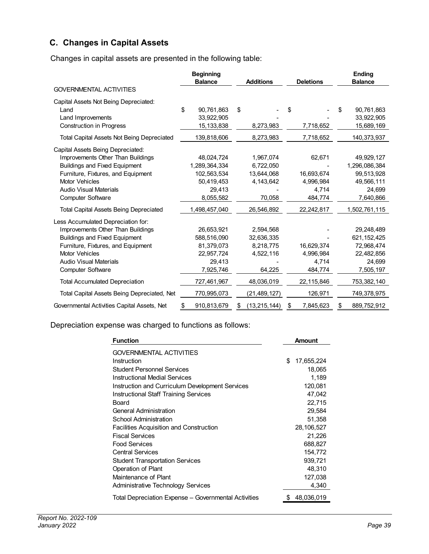# **C. Changes in Capital Assets**

Changes in capital assets are presented in the following table:

|                                                                                                                                                                                                                                             | <b>Beginning</b><br><b>Balance</b>                                              | <b>Additions</b>                                            | <b>Deletions</b>                                      | <b>Ending</b><br><b>Balance</b>                                                |
|---------------------------------------------------------------------------------------------------------------------------------------------------------------------------------------------------------------------------------------------|---------------------------------------------------------------------------------|-------------------------------------------------------------|-------------------------------------------------------|--------------------------------------------------------------------------------|
| <b>GOVERNMENTAL ACTIVITIES</b>                                                                                                                                                                                                              |                                                                                 |                                                             |                                                       |                                                                                |
| Capital Assets Not Being Depreciated:<br>Land<br>Land Improvements<br><b>Construction in Progress</b>                                                                                                                                       | \$<br>90,761,863<br>33,922,905<br>15, 133, 838                                  | \$<br>8,273,983                                             | \$<br>7,718,652                                       | 90,761,863<br>\$<br>33,922,905<br>15,689,169                                   |
| <b>Total Capital Assets Not Being Depreciated</b>                                                                                                                                                                                           | 139,818,606                                                                     | 8,273,983                                                   | 7,718,652                                             | 140,373,937                                                                    |
| Capital Assets Being Depreciated:<br>Improvements Other Than Buildings<br><b>Buildings and Fixed Equipment</b><br>Furniture, Fixtures, and Equipment<br><b>Motor Vehicles</b><br><b>Audio Visual Materials</b><br><b>Computer Software</b>  | 48,024,724<br>1,289,364,334<br>102,563,534<br>50,419,453<br>29,413<br>8,055,582 | 1,967,074<br>6,722,050<br>13,644,068<br>4,143,642<br>70,058 | 62,671<br>16,693,674<br>4,996,984<br>4,714<br>484,774 | 49,929,127<br>1,296,086,384<br>99,513,928<br>49,566,111<br>24,699<br>7,640,866 |
| Total Capital Assets Being Depreciated                                                                                                                                                                                                      | 1,498,457,040                                                                   | 26,546,892                                                  | 22,242,817                                            | 1,502,761,115                                                                  |
| Less Accumulated Depreciation for:<br>Improvements Other Than Buildings<br><b>Buildings and Fixed Equipment</b><br>Furniture, Fixtures, and Equipment<br><b>Motor Vehicles</b><br><b>Audio Visual Materials</b><br><b>Computer Software</b> | 26,653,921<br>588,516,090<br>81,379,073<br>22,957,724<br>29,413<br>7,925,746    | 2,594,568<br>32,636,335<br>8,218,775<br>4,522,116<br>64,225 | 16,629,374<br>4,996,984<br>4,714<br>484,774           | 29,248,489<br>621, 152, 425<br>72,968,474<br>22,482,856<br>24,699<br>7,505,197 |
| <b>Total Accumulated Depreciation</b>                                                                                                                                                                                                       | 727,461,967                                                                     | 48,036,019                                                  | 22,115,846                                            | 753,382,140                                                                    |
| Total Capital Assets Being Depreciated, Net                                                                                                                                                                                                 | 770,995,073                                                                     | (21,489,127)                                                | 126,971                                               | 749,378,975                                                                    |
| Governmental Activities Capital Assets, Net                                                                                                                                                                                                 | 910,813,679<br>\$                                                               | (13, 215, 144)<br>\$                                        | 7,845,623<br>\$                                       | 889,752,912<br>\$                                                              |

Depreciation expense was charged to functions as follows:

| <b>Function</b>                                      | <b>Amount</b>    |
|------------------------------------------------------|------------------|
| <b>GOVERNMENTAL ACTIVITIES</b>                       |                  |
| Instruction                                          | \$<br>17,655,224 |
| <b>Student Personnel Services</b>                    | 18,065           |
| <b>Instructional Medial Services</b>                 | 1.189            |
| Instruction and Curriculum Development Services      | 120,081          |
| Instructional Staff Training Services                | 47,042           |
| Board                                                | 22,715           |
| General Administration                               | 29,584           |
| School Administration                                | 51,358           |
| <b>Facilities Acquisition and Construction</b>       | 28,106,527       |
| <b>Fiscal Services</b>                               | 21,226           |
| <b>Food Services</b>                                 | 688,827          |
| <b>Central Services</b>                              | 154,772          |
| <b>Student Transportation Services</b>               | 939,721          |
| Operation of Plant                                   | 48,310           |
| Maintenance of Plant                                 | 127,038          |
| Administrative Technology Services                   | 4,340            |
| Total Depreciation Expense – Governmental Activities | 48,036,019       |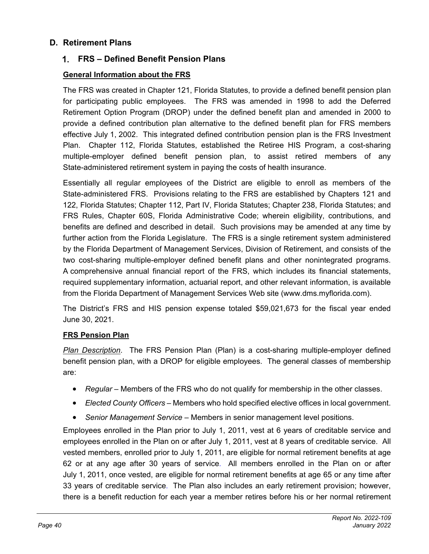## **D. Retirement Plans**

## **FRS – Defined Benefit Pension Plans**

#### **General Information about the FRS**

The FRS was created in Chapter 121, Florida Statutes, to provide a defined benefit pension plan for participating public employees. The FRS was amended in 1998 to add the Deferred Retirement Option Program (DROP) under the defined benefit plan and amended in 2000 to provide a defined contribution plan alternative to the defined benefit plan for FRS members effective July 1, 2002. This integrated defined contribution pension plan is the FRS Investment Plan. Chapter 112, Florida Statutes, established the Retiree HIS Program, a cost-sharing multiple-employer defined benefit pension plan, to assist retired members of any State-administered retirement system in paying the costs of health insurance.

Essentially all regular employees of the District are eligible to enroll as members of the State-administered FRS. Provisions relating to the FRS are established by Chapters 121 and 122, Florida Statutes; Chapter 112, Part IV, Florida Statutes; Chapter 238, Florida Statutes; and FRS Rules, Chapter 60S, Florida Administrative Code; wherein eligibility, contributions, and benefits are defined and described in detail. Such provisions may be amended at any time by further action from the Florida Legislature. The FRS is a single retirement system administered by the Florida Department of Management Services, Division of Retirement, and consists of the two cost-sharing multiple-employer defined benefit plans and other nonintegrated programs. A comprehensive annual financial report of the FRS, which includes its financial statements, required supplementary information, actuarial report, and other relevant information, is available from the Florida Department of Management Services Web site (www.dms.myflorida.com).

The District's FRS and HIS pension expense totaled \$59,021,673 for the fiscal year ended June 30, 2021.

#### **FRS Pension Plan**

*Plan Description*. The FRS Pension Plan (Plan) is a cost-sharing multiple-employer defined benefit pension plan, with a DROP for eligible employees. The general classes of membership are:

- *Regular* Members of the FRS who do not qualify for membership in the other classes.
- *Elected County Officers* Members who hold specified elective offices in local government.
- *Senior Management Service*  Members in senior management level positions.

Employees enrolled in the Plan prior to July 1, 2011, vest at 6 years of creditable service and employees enrolled in the Plan on or after July 1, 2011, vest at 8 years of creditable service. All vested members, enrolled prior to July 1, 2011, are eligible for normal retirement benefits at age 62 or at any age after 30 years of service. All members enrolled in the Plan on or after July 1, 2011, once vested, are eligible for normal retirement benefits at age 65 or any time after 33 years of creditable service. The Plan also includes an early retirement provision; however, there is a benefit reduction for each year a member retires before his or her normal retirement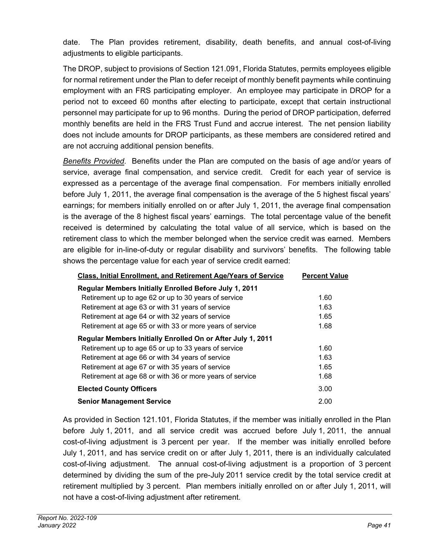date. The Plan provides retirement, disability, death benefits, and annual cost-of-living adjustments to eligible participants.

The DROP, subject to provisions of Section 121.091, Florida Statutes, permits employees eligible for normal retirement under the Plan to defer receipt of monthly benefit payments while continuing employment with an FRS participating employer. An employee may participate in DROP for a period not to exceed 60 months after electing to participate, except that certain instructional personnel may participate for up to 96 months. During the period of DROP participation, deferred monthly benefits are held in the FRS Trust Fund and accrue interest. The net pension liability does not include amounts for DROP participants, as these members are considered retired and are not accruing additional pension benefits.

*Benefits Provided*. Benefits under the Plan are computed on the basis of age and/or years of service, average final compensation, and service credit. Credit for each year of service is expressed as a percentage of the average final compensation. For members initially enrolled before July 1, 2011, the average final compensation is the average of the 5 highest fiscal years' earnings; for members initially enrolled on or after July 1, 2011, the average final compensation is the average of the 8 highest fiscal years' earnings. The total percentage value of the benefit received is determined by calculating the total value of all service, which is based on the retirement class to which the member belonged when the service credit was earned. Members are eligible for in-line-of-duty or regular disability and survivors' benefits. The following table shows the percentage value for each year of service credit earned:

| Class, Initial Enrollment, and Retirement Age/Years of Service | <b>Percent Value</b> |
|----------------------------------------------------------------|----------------------|
| Regular Members Initially Enrolled Before July 1, 2011         |                      |
| Retirement up to age 62 or up to 30 years of service           | 1.60                 |
| Retirement at age 63 or with 31 years of service               | 1.63                 |
| Retirement at age 64 or with 32 years of service               | 1.65                 |
| Retirement at age 65 or with 33 or more years of service       | 1.68                 |
| Regular Members Initially Enrolled On or After July 1, 2011    |                      |
| Retirement up to age 65 or up to 33 years of service           | 1.60                 |
| Retirement at age 66 or with 34 years of service               | 1.63                 |
| Retirement at age 67 or with 35 years of service               | 1.65                 |
| Retirement at age 68 or with 36 or more years of service       | 1.68                 |
| <b>Elected County Officers</b>                                 | 3.00                 |
| <b>Senior Management Service</b>                               | 2.00                 |

As provided in Section 121.101, Florida Statutes, if the member was initially enrolled in the Plan before July 1, 2011, and all service credit was accrued before July 1, 2011, the annual cost-of-living adjustment is 3 percent per year. If the member was initially enrolled before July 1, 2011, and has service credit on or after July 1, 2011, there is an individually calculated cost-of-living adjustment. The annual cost-of-living adjustment is a proportion of 3 percent determined by dividing the sum of the pre-July 2011 service credit by the total service credit at retirement multiplied by 3 percent. Plan members initially enrolled on or after July 1, 2011, will not have a cost-of-living adjustment after retirement.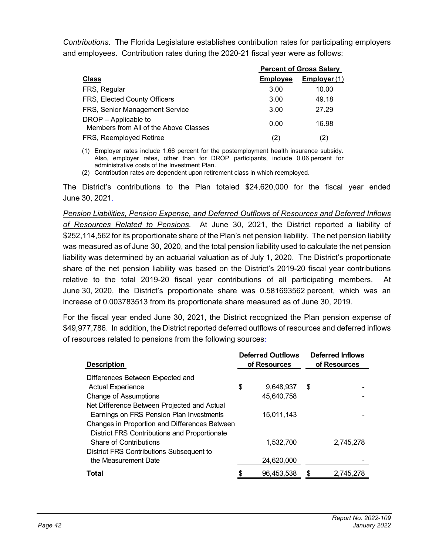*Contributions*. The Florida Legislature establishes contribution rates for participating employers and employees. Contribution rates during the 2020-21 fiscal year were as follows:

|                                                               | <b>Percent of Gross Salary</b> |             |  |
|---------------------------------------------------------------|--------------------------------|-------------|--|
| <b>Class</b>                                                  | <b>Employee</b>                | Emplayer(1) |  |
| FRS, Regular                                                  | 3.00                           | 10.00       |  |
| FRS, Elected County Officers                                  | 3.00                           | 49.18       |  |
| FRS, Senior Management Service                                | 3.00                           | 27.29       |  |
| DROP - Applicable to<br>Members from All of the Above Classes | 0.00                           | 16.98       |  |
| FRS, Reemployed Retiree                                       | (2)                            | (2)         |  |

(1) Employer rates include 1.66 percent for the postemployment health insurance subsidy. Also, employer rates, other than for DROP participants, include 0.06 percent for administrative costs of the Investment Plan.

(2) Contribution rates are dependent upon retirement class in which reemployed.

The District's contributions to the Plan totaled \$24,620,000 for the fiscal year ended June 30, 2021.

*Pension Liabilities, Pension Expense, and Deferred Outflows of Resources and Deferred Inflows of Resources Related to Pensions*. At June 30, 2021, the District reported a liability of \$252,114,562 for its proportionate share of the Plan's net pension liability. The net pension liability was measured as of June 30, 2020, and the total pension liability used to calculate the net pension liability was determined by an actuarial valuation as of July 1, 2020. The District's proportionate share of the net pension liability was based on the District's 2019-20 fiscal year contributions relative to the total 2019-20 fiscal year contributions of all participating members. At June 30, 2020, the District's proportionate share was 0.581693562 percent, which was an increase of 0.003783513 from its proportionate share measured as of June 30, 2019.

For the fiscal year ended June 30, 2021, the District recognized the Plan pension expense of \$49,977,786. In addition, the District reported deferred outflows of resources and deferred inflows of resources related to pensions from the following sources:

| <b>Description</b>                            | <b>Deferred Outflows</b><br>of Resources |            | <b>Deferred Inflows</b><br>of Resources |           |
|-----------------------------------------------|------------------------------------------|------------|-----------------------------------------|-----------|
| Differences Between Expected and              |                                          |            |                                         |           |
| <b>Actual Experience</b>                      | \$                                       | 9,648,937  | \$                                      |           |
| <b>Change of Assumptions</b>                  |                                          | 45,640,758 |                                         |           |
| Net Difference Between Projected and Actual   |                                          |            |                                         |           |
| Earnings on FRS Pension Plan Investments      |                                          | 15,011,143 |                                         |           |
| Changes in Proportion and Differences Between |                                          |            |                                         |           |
| District FRS Contributions and Proportionate  |                                          |            |                                         |           |
| Share of Contributions                        |                                          | 1,532,700  |                                         | 2,745,278 |
| District FRS Contributions Subsequent to      |                                          |            |                                         |           |
| the Measurement Date                          |                                          | 24,620,000 |                                         |           |
| Total                                         |                                          | 96,453,538 |                                         | 2,745,278 |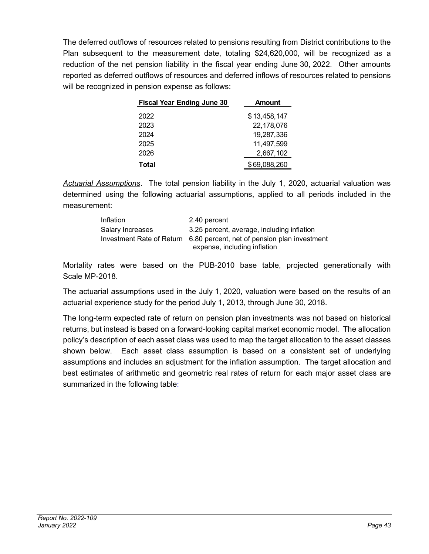The deferred outflows of resources related to pensions resulting from District contributions to the Plan subsequent to the measurement date, totaling \$24,620,000, will be recognized as a reduction of the net pension liability in the fiscal year ending June 30, 2022. Other amounts reported as deferred outflows of resources and deferred inflows of resources related to pensions will be recognized in pension expense as follows:

| <b>Fiscal Year Ending June 30</b> | Amount       |
|-----------------------------------|--------------|
| 2022                              | \$13,458,147 |
| 2023                              | 22,178,076   |
| 2024                              | 19,287,336   |
| 2025                              | 11,497,599   |
| 2026                              | 2,667,102    |
| Total                             | \$69,088,260 |

*Actuarial Assumptions*. The total pension liability in the July 1, 2020, actuarial valuation was determined using the following actuarial assumptions, applied to all periods included in the measurement:

| <b>Inflation</b> | 2.40 percent                                                           |
|------------------|------------------------------------------------------------------------|
| Salary Increases | 3.25 percent, average, including inflation                             |
|                  | Investment Rate of Return 6.80 percent, net of pension plan investment |
|                  | expense, including inflation                                           |

Mortality rates were based on the PUB-2010 base table, projected generationally with Scale MP-2018.

The actuarial assumptions used in the July 1, 2020, valuation were based on the results of an actuarial experience study for the period July 1, 2013, through June 30, 2018.

The long-term expected rate of return on pension plan investments was not based on historical returns, but instead is based on a forward-looking capital market economic model. The allocation policy's description of each asset class was used to map the target allocation to the asset classes shown below. Each asset class assumption is based on a consistent set of underlying assumptions and includes an adjustment for the inflation assumption. The target allocation and best estimates of arithmetic and geometric real rates of return for each major asset class are summarized in the following table: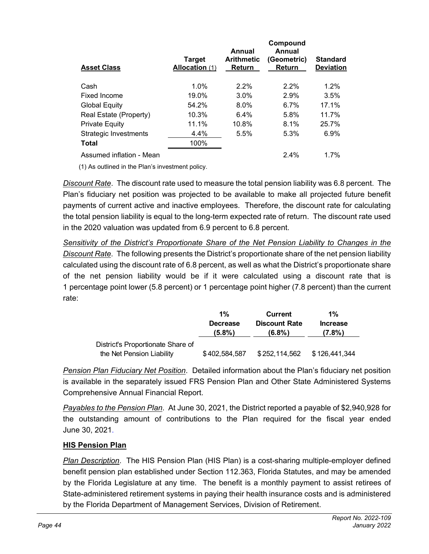| <b>Asset Class</b>           | <b>Target</b><br><b>Allocation (1)</b> | Annual<br><b>Arithmetic</b><br>Return | Compound<br>Annual<br>(Geometric)<br>Return | <b>Standard</b><br><b>Deviation</b> |
|------------------------------|----------------------------------------|---------------------------------------|---------------------------------------------|-------------------------------------|
| Cash                         | 1.0%                                   | 2.2%                                  | 2.2%                                        | $1.2\%$                             |
| <b>Fixed Income</b>          | 19.0%                                  | 3.0%                                  | 2.9%                                        | 3.5%                                |
| <b>Global Equity</b>         | 54.2%                                  | $8.0\%$                               | 6.7%                                        | 17.1%                               |
| Real Estate (Property)       | 10.3%                                  | 6.4%                                  | 5.8%                                        | 11.7%                               |
| <b>Private Equity</b>        | 11.1%                                  | 10.8%                                 | 8.1%                                        | 25.7%                               |
| <b>Strategic Investments</b> | 4.4%                                   | 5.5%                                  | 5.3%                                        | 6.9%                                |
| Total                        | 100%                                   |                                       |                                             |                                     |
| Assumed inflation - Mean     |                                        |                                       | 2.4%                                        | 1.7%                                |

(1) As outlined in the Plan's investment policy.

*Discount Rate*. The discount rate used to measure the total pension liability was 6.8 percent. The Plan's fiduciary net position was projected to be available to make all projected future benefit payments of current active and inactive employees. Therefore, the discount rate for calculating the total pension liability is equal to the long-term expected rate of return. The discount rate used in the 2020 valuation was updated from 6.9 percent to 6.8 percent.

*Sensitivity of the District's Proportionate Share of the Net Pension Liability to Changes in the Discount Rate*. The following presents the District's proportionate share of the net pension liability calculated using the discount rate of 6.8 percent, as well as what the District's proportionate share of the net pension liability would be if it were calculated using a discount rate that is 1 percentage point lower (5.8 percent) or 1 percentage point higher (7.8 percent) than the current rate:

|                                   | $1\%$                     | <b>Current</b>                    | $1\%$                        |
|-----------------------------------|---------------------------|-----------------------------------|------------------------------|
|                                   | <b>Decrease</b><br>(5.8%) | <b>Discount Rate</b><br>$(6.8\%)$ | <b>Increase</b><br>$(7.8\%)$ |
| District's Proportionate Share of |                           |                                   |                              |
| the Net Pension Liability         | \$402,584,587             | \$252,114,562                     | \$126,441,344                |

*Pension Plan Fiduciary Net Position*. Detailed information about the Plan's fiduciary net position is available in the separately issued FRS Pension Plan and Other State Administered Systems Comprehensive Annual Financial Report.

*Payables to the Pension Plan*. At June 30, 2021, the District reported a payable of \$2,940,928 for the outstanding amount of contributions to the Plan required for the fiscal year ended June 30, 2021.

#### **HIS Pension Plan**

*Plan Description*. The HIS Pension Plan (HIS Plan) is a cost-sharing multiple-employer defined benefit pension plan established under Section 112.363, Florida Statutes, and may be amended by the Florida Legislature at any time. The benefit is a monthly payment to assist retirees of State-administered retirement systems in paying their health insurance costs and is administered by the Florida Department of Management Services, Division of Retirement.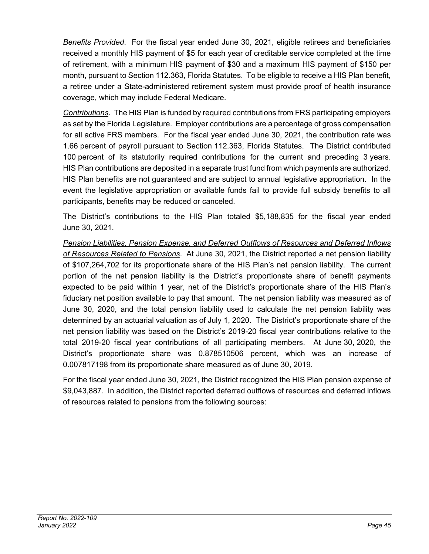*Benefits Provided*. For the fiscal year ended June 30, 2021, eligible retirees and beneficiaries received a monthly HIS payment of \$5 for each year of creditable service completed at the time of retirement, with a minimum HIS payment of \$30 and a maximum HIS payment of \$150 per month, pursuant to Section 112.363, Florida Statutes. To be eligible to receive a HIS Plan benefit, a retiree under a State-administered retirement system must provide proof of health insurance coverage, which may include Federal Medicare.

*Contributions*. The HIS Plan is funded by required contributions from FRS participating employers as set by the Florida Legislature. Employer contributions are a percentage of gross compensation for all active FRS members. For the fiscal year ended June 30, 2021, the contribution rate was 1.66 percent of payroll pursuant to Section 112.363, Florida Statutes. The District contributed 100 percent of its statutorily required contributions for the current and preceding 3 years. HIS Plan contributions are deposited in a separate trust fund from which payments are authorized. HIS Plan benefits are not guaranteed and are subject to annual legislative appropriation. In the event the legislative appropriation or available funds fail to provide full subsidy benefits to all participants, benefits may be reduced or canceled.

The District's contributions to the HIS Plan totaled \$5,188,835 for the fiscal year ended June 30, 2021.

*Pension Liabilities, Pension Expense, and Deferred Outflows of Resources and Deferred Inflows of Resources Related to Pensions*. At June 30, 2021, the District reported a net pension liability of \$107,264,702 for its proportionate share of the HIS Plan's net pension liability. The current portion of the net pension liability is the District's proportionate share of benefit payments expected to be paid within 1 year, net of the District's proportionate share of the HIS Plan's fiduciary net position available to pay that amount. The net pension liability was measured as of June 30, 2020, and the total pension liability used to calculate the net pension liability was determined by an actuarial valuation as of July 1, 2020. The District's proportionate share of the net pension liability was based on the District's 2019-20 fiscal year contributions relative to the total 2019-20 fiscal year contributions of all participating members. At June 30, 2020, the District's proportionate share was 0.878510506 percent, which was an increase of 0.007817198 from its proportionate share measured as of June 30, 2019.

For the fiscal year ended June 30, 2021, the District recognized the HIS Plan pension expense of \$9,043,887. In addition, the District reported deferred outflows of resources and deferred inflows of resources related to pensions from the following sources: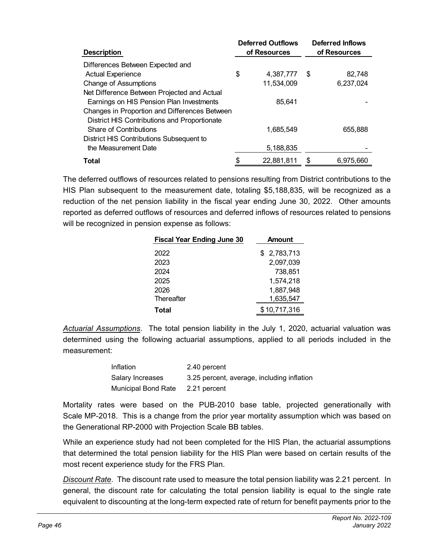| <b>Description</b>                            | <b>Deferred Outflows</b><br>of Resources |            | <b>Deferred Inflows</b><br>of Resources |           |
|-----------------------------------------------|------------------------------------------|------------|-----------------------------------------|-----------|
| Differences Between Expected and              |                                          |            |                                         |           |
| <b>Actual Experience</b>                      | \$                                       | 4.387.777  | \$                                      | 82.748    |
| Change of Assumptions                         |                                          | 11,534,009 |                                         | 6,237,024 |
| Net Difference Between Projected and Actual   |                                          |            |                                         |           |
| Earnings on HIS Pension Plan Investments      |                                          | 85,641     |                                         |           |
| Changes in Proportion and Differences Between |                                          |            |                                         |           |
| District HIS Contributions and Proportionate  |                                          |            |                                         |           |
| Share of Contributions                        |                                          | 1,685,549  |                                         | 655,888   |
| District HIS Contributions Subsequent to      |                                          |            |                                         |           |
| the Measurement Date                          |                                          | 5,188,835  |                                         |           |
| <b>Total</b>                                  | \$                                       | 22,881,811 | \$                                      | 6.975.660 |

The deferred outflows of resources related to pensions resulting from District contributions to the HIS Plan subsequent to the measurement date, totaling \$5,188,835, will be recognized as a reduction of the net pension liability in the fiscal year ending June 30, 2022. Other amounts reported as deferred outflows of resources and deferred inflows of resources related to pensions will be recognized in pension expense as follows:

| <b>Fiscal Year Ending June 30</b> | Amount       |  |  |
|-----------------------------------|--------------|--|--|
| 2022                              | \$2,783,713  |  |  |
| 2023                              | 2,097,039    |  |  |
| 2024                              | 738,851      |  |  |
| 2025                              | 1,574,218    |  |  |
| 2026                              | 1,887,948    |  |  |
| Thereafter                        | 1,635,547    |  |  |
| Total                             | \$10,717,316 |  |  |

*Actuarial Assumptions*. The total pension liability in the July 1, 2020, actuarial valuation was determined using the following actuarial assumptions, applied to all periods included in the measurement:

| Inflation           | 2.40 percent                               |
|---------------------|--------------------------------------------|
| Salary Increases    | 3.25 percent, average, including inflation |
| Municipal Bond Rate | 2.21 percent                               |

Mortality rates were based on the PUB-2010 base table, projected generationally with Scale MP-2018. This is a change from the prior year mortality assumption which was based on the Generational RP-2000 with Projection Scale BB tables.

While an experience study had not been completed for the HIS Plan, the actuarial assumptions that determined the total pension liability for the HIS Plan were based on certain results of the most recent experience study for the FRS Plan.

*Discount Rate*. The discount rate used to measure the total pension liability was 2.21 percent. In general, the discount rate for calculating the total pension liability is equal to the single rate equivalent to discounting at the long-term expected rate of return for benefit payments prior to the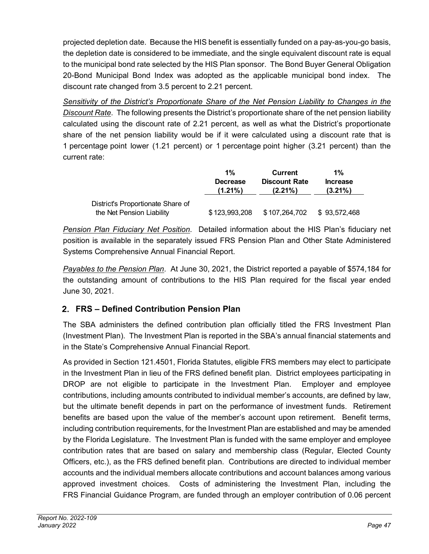projected depletion date. Because the HIS benefit is essentially funded on a pay-as-you-go basis, the depletion date is considered to be immediate, and the single equivalent discount rate is equal to the municipal bond rate selected by the HIS Plan sponsor. The Bond Buyer General Obligation 20-Bond Municipal Bond Index was adopted as the applicable municipal bond index. The discount rate changed from 3.5 percent to 2.21 percent.

*Sensitivity of the District's Proportionate Share of the Net Pension Liability to Changes in the Discount Rate*. The following presents the District's proportionate share of the net pension liability calculated using the discount rate of 2.21 percent, as well as what the District's proportionate share of the net pension liability would be if it were calculated using a discount rate that is 1 percentage point lower (1.21 percent) or 1 percentage point higher (3.21 percent) than the current rate:

|                                                                | $1\%$                         | <b>Current</b>                     | $1\%$                         |
|----------------------------------------------------------------|-------------------------------|------------------------------------|-------------------------------|
|                                                                | <b>Decrease</b><br>$(1.21\%)$ | <b>Discount Rate</b><br>$(2.21\%)$ | <b>Increase</b><br>$(3.21\%)$ |
| District's Proportionate Share of<br>the Net Pension Liability | \$123,993,208                 | \$ 107,264,702                     | \$93,572,468                  |

*Pension Plan Fiduciary Net Position*. Detailed information about the HIS Plan's fiduciary net position is available in the separately issued FRS Pension Plan and Other State Administered Systems Comprehensive Annual Financial Report.

*Payables to the Pension Plan*. At June 30, 2021, the District reported a payable of \$574,184 for the outstanding amount of contributions to the HIS Plan required for the fiscal year ended June 30, 2021.

# **FRS – Defined Contribution Pension Plan**

The SBA administers the defined contribution plan officially titled the FRS Investment Plan (Investment Plan). The Investment Plan is reported in the SBA's annual financial statements and in the State's Comprehensive Annual Financial Report.

As provided in Section 121.4501, Florida Statutes, eligible FRS members may elect to participate in the Investment Plan in lieu of the FRS defined benefit plan. District employees participating in DROP are not eligible to participate in the Investment Plan. Employer and employee contributions, including amounts contributed to individual member's accounts, are defined by law, but the ultimate benefit depends in part on the performance of investment funds. Retirement benefits are based upon the value of the member's account upon retirement. Benefit terms, including contribution requirements, for the Investment Plan are established and may be amended by the Florida Legislature. The Investment Plan is funded with the same employer and employee contribution rates that are based on salary and membership class (Regular, Elected County Officers, etc.), as the FRS defined benefit plan. Contributions are directed to individual member accounts and the individual members allocate contributions and account balances among various approved investment choices. Costs of administering the Investment Plan, including the FRS Financial Guidance Program, are funded through an employer contribution of 0.06 percent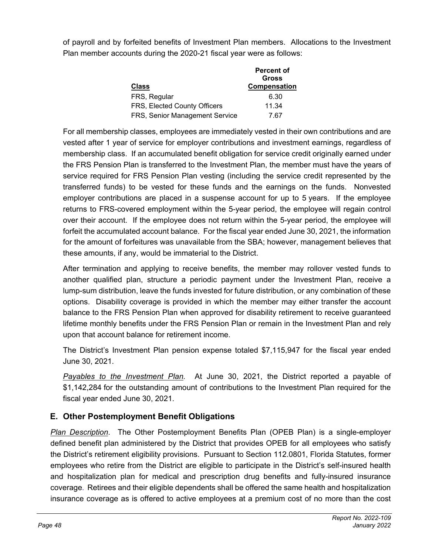of payroll and by forfeited benefits of Investment Plan members. Allocations to the Investment Plan member accounts during the 2020-21 fiscal year were as follows:

|                                | Percent of   |
|--------------------------------|--------------|
|                                | <b>Gross</b> |
| <b>Class</b>                   | Compensation |
| FRS, Regular                   | 6.30         |
| FRS, Elected County Officers   | 11.34        |
| FRS, Senior Management Service | 7 67         |

For all membership classes, employees are immediately vested in their own contributions and are vested after 1 year of service for employer contributions and investment earnings, regardless of membership class. If an accumulated benefit obligation for service credit originally earned under the FRS Pension Plan is transferred to the Investment Plan, the member must have the years of service required for FRS Pension Plan vesting (including the service credit represented by the transferred funds) to be vested for these funds and the earnings on the funds. Nonvested employer contributions are placed in a suspense account for up to 5 years. If the employee returns to FRS-covered employment within the 5-year period, the employee will regain control over their account. If the employee does not return within the 5-year period, the employee will forfeit the accumulated account balance. For the fiscal year ended June 30, 2021, the information for the amount of forfeitures was unavailable from the SBA; however, management believes that these amounts, if any, would be immaterial to the District.

After termination and applying to receive benefits, the member may rollover vested funds to another qualified plan, structure a periodic payment under the Investment Plan, receive a lump-sum distribution, leave the funds invested for future distribution, or any combination of these options. Disability coverage is provided in which the member may either transfer the account balance to the FRS Pension Plan when approved for disability retirement to receive guaranteed lifetime monthly benefits under the FRS Pension Plan or remain in the Investment Plan and rely upon that account balance for retirement income.

The District's Investment Plan pension expense totaled \$7,115,947 for the fiscal year ended June 30, 2021.

*Payables to the Investment Plan.* At June 30, 2021, the District reported a payable of \$1,142,284 for the outstanding amount of contributions to the Investment Plan required for the fiscal year ended June 30, 2021.

# **E. Other Postemployment Benefit Obligations**

*Plan Description*. The Other Postemployment Benefits Plan (OPEB Plan) is a single-employer defined benefit plan administered by the District that provides OPEB for all employees who satisfy the District's retirement eligibility provisions. Pursuant to Section 112.0801, Florida Statutes, former employees who retire from the District are eligible to participate in the District's self-insured health and hospitalization plan for medical and prescription drug benefits and fully-insured insurance coverage. Retirees and their eligible dependents shall be offered the same health and hospitalization insurance coverage as is offered to active employees at a premium cost of no more than the cost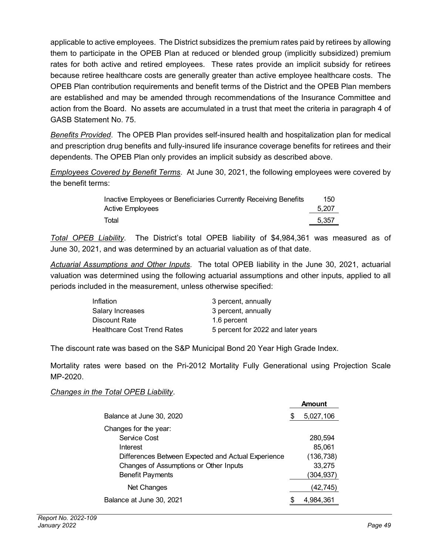applicable to active employees. The District subsidizes the premium rates paid by retirees by allowing them to participate in the OPEB Plan at reduced or blended group (implicitly subsidized) premium rates for both active and retired employees. These rates provide an implicit subsidy for retirees because retiree healthcare costs are generally greater than active employee healthcare costs. The OPEB Plan contribution requirements and benefit terms of the District and the OPEB Plan members are established and may be amended through recommendations of the Insurance Committee and action from the Board. No assets are accumulated in a trust that meet the criteria in paragraph 4 of GASB Statement No. 75.

*Benefits Provided*.The OPEB Plan provides self-insured health and hospitalization plan for medical and prescription drug benefits and fully-insured life insurance coverage benefits for retirees and their dependents. The OPEB Plan only provides an implicit subsidy as described above.

*Employees Covered by Benefit Terms*. At June 30, 2021, the following employees were covered by the benefit terms:

| Inactive Employees or Beneficiaries Currently Receiving Benefits | 150   |
|------------------------------------------------------------------|-------|
| Active Employees                                                 | 5,207 |
| Total                                                            | 5,357 |

*Total OPEB Liability*. The District's total OPEB liability of \$4,984,361 was measured as of June 30, 2021, and was determined by an actuarial valuation as of that date.

*Actuarial Assumptions and Other Inputs*. The total OPEB liability in the June 30, 2021, actuarial valuation was determined using the following actuarial assumptions and other inputs, applied to all periods included in the measurement, unless otherwise specified:

| Inflation                   | 3 percent, annually                |
|-----------------------------|------------------------------------|
| Salary Increases            | 3 percent, annually                |
| Discount Rate               | 1.6 percent                        |
| Healthcare Cost Trend Rates | 5 percent for 2022 and later years |

The discount rate was based on the S&P Municipal Bond 20 Year High Grade Index.

Mortality rates were based on the Pri-2012 Mortality Fully Generational using Projection Scale MP-2020.

#### *Changes in the Total OPEB Liability*.

|                                                    | <b>Amount</b>   |
|----------------------------------------------------|-----------------|
| Balance at June 30, 2020                           | \$<br>5,027,106 |
| Changes for the year:                              |                 |
| Service Cost                                       | 280,594         |
| Interest                                           | 85,061          |
| Differences Between Expected and Actual Experience | (136, 738)      |
| Changes of Assumptions or Other Inputs             | 33,275          |
| <b>Benefit Payments</b>                            | (304,937)       |
| Net Changes                                        | (42,745)        |
| Balance at June 30, 2021                           | 4,984,361       |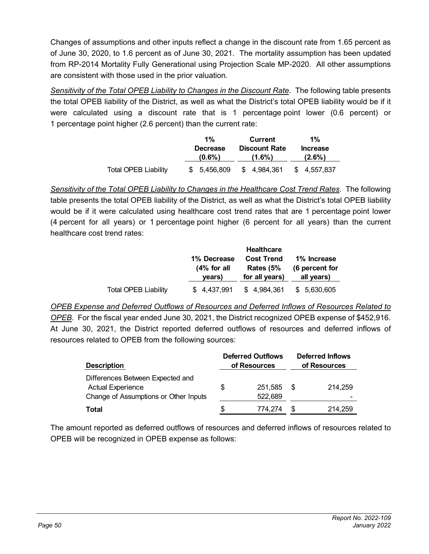Changes of assumptions and other inputs reflect a change in the discount rate from 1.65 percent as of June 30, 2020, to 1.6 percent as of June 30, 2021. The mortality assumption has been updated from RP-2014 Mortality Fully Generational using Projection Scale MP-2020. All other assumptions are consistent with those used in the prior valuation.

*Sensitivity of the Total OPEB Liability to Changes in the Discount Rate*. The following table presents the total OPEB liability of the District, as well as what the District's total OPEB liability would be if it were calculated using a discount rate that is 1 percentage point lower (0.6 percent) or 1 percentage point higher (2.6 percent) than the current rate:

|                             | $1\%$           | <b>Current</b>       | $1\%$           |
|-----------------------------|-----------------|----------------------|-----------------|
|                             | <b>Decrease</b> | <b>Discount Rate</b> | <b>Increase</b> |
|                             | $(0.6\%)$       | $(1.6\%)$            | $(2.6\%)$       |
| <b>Total OPEB Liability</b> | \$ 5.456.809    | \$4.984.361          | \$4.557.837     |

*Sensitivity of the Total OPEB Liability to Changes in the Healthcare Cost Trend Rates*. The following table presents the total OPEB liability of the District, as well as what the District's total OPEB liability would be if it were calculated using healthcare cost trend rates that are 1 percentage point lower (4 percent for all years) or 1 percentage point higher (6 percent for all years) than the current healthcare cost trend rates:

|                             |                         | <b>Healthcare</b>           |                              |
|-----------------------------|-------------------------|-----------------------------|------------------------------|
|                             | 1% Decrease             | <b>Cost Trend</b>           | 1% Increase                  |
|                             | $(4%$ for all<br>years) | Rates (5%<br>for all years) | (6 percent for<br>all years) |
|                             |                         |                             |                              |
| <b>Total OPEB Liability</b> | \$4,437,991             | \$4,984,361                 | \$5,630,605                  |

*OPEB Expense and Deferred Outflows of Resources and Deferred Inflows of Resources Related to OPEB*. For the fiscal year ended June 30, 2021, the District recognized OPEB expense of \$452,916. At June 30, 2021, the District reported deferred outflows of resources and deferred inflows of resources related to OPEB from the following sources:

| <b>Description</b>                    | <b>Deferred Outflows</b><br>of Resources |         | <b>Deferred Inflows</b><br>of Resources |         |
|---------------------------------------|------------------------------------------|---------|-----------------------------------------|---------|
| Differences Between Expected and      |                                          |         |                                         |         |
| <b>Actual Experience</b>              | S                                        | 251,585 | - \$                                    | 214,259 |
| Change of Assumptions or Other Inputs |                                          | 522,689 |                                         |         |
| Total                                 |                                          | 774.274 |                                         | 214,259 |

The amount reported as deferred outflows of resources and deferred inflows of resources related to OPEB will be recognized in OPEB expense as follows: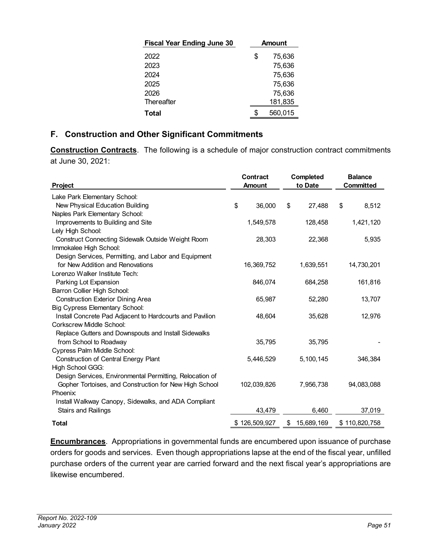| <b>Fiscal Year Ending June 30</b> | <b>Amount</b> |         |  |
|-----------------------------------|---------------|---------|--|
| 2022                              | \$            | 75,636  |  |
| 2023                              |               | 75,636  |  |
| 2024                              |               | 75,636  |  |
| 2025                              |               | 75,636  |  |
| 2026                              |               | 75,636  |  |
| Thereafter                        |               | 181,835 |  |
| Total                             |               | 560,015 |  |

#### **F. Construction and Other Significant Commitments**

**Construction Contracts**. The following is a schedule of major construction contract commitments at June 30, 2021:

| <b>Project</b>                                           | <b>Contract</b><br><b>Amount</b> | Completed<br>to Date | <b>Balance</b><br>Committed |  |
|----------------------------------------------------------|----------------------------------|----------------------|-----------------------------|--|
| Lake Park Elementary School:                             |                                  |                      |                             |  |
| New Physical Education Building                          | \$<br>36,000                     | \$<br>27,488         | \$<br>8,512                 |  |
| Naples Park Elementary School:                           |                                  |                      |                             |  |
| Improvements to Building and Site                        | 1,549,578                        | 128,458              | 1,421,120                   |  |
| Lely High School:                                        |                                  |                      |                             |  |
| <b>Construct Connecting Sidewalk Outside Weight Room</b> | 28,303                           | 22,368               | 5,935                       |  |
| Immokalee High School:                                   |                                  |                      |                             |  |
| Design Services, Permitting, and Labor and Equipment     |                                  |                      |                             |  |
| for New Addition and Renovations                         | 16,369,752                       | 1,639,551            | 14,730,201                  |  |
| Lorenzo Walker Institute Tech:                           |                                  |                      |                             |  |
| Parking Lot Expansion                                    | 846,074                          | 684,258              | 161,816                     |  |
| Barron Collier High School:                              |                                  |                      |                             |  |
| <b>Construction Exterior Dining Area</b>                 | 65,987                           | 52,280               | 13,707                      |  |
| <b>Big Cypress Elementary School:</b>                    |                                  |                      |                             |  |
| Install Concrete Pad Adjacent to Hardcourts and Pavilion | 48,604                           | 35,628               | 12,976                      |  |
| <b>Corkscrew Middle School:</b>                          |                                  |                      |                             |  |
| Replace Gutters and Downspouts and Install Sidewalks     |                                  |                      |                             |  |
| from School to Roadway                                   | 35,795                           | 35,795               |                             |  |
| Cypress Palm Middle School:                              |                                  |                      |                             |  |
| <b>Construction of Central Energy Plant</b>              | 5,446,529                        | 5,100,145            | 346,384                     |  |
| High School GGG:                                         |                                  |                      |                             |  |
| Design Services, Environmental Permitting, Relocation of |                                  |                      |                             |  |
| Gopher Tortoises, and Construction for New High School   | 102,039,826                      | 7,956,738            | 94,083,088                  |  |
| Phoenix:                                                 |                                  |                      |                             |  |
| Install Walkway Canopy, Sidewalks, and ADA Compliant     |                                  |                      |                             |  |
| Stairs and Railings                                      | 43,479                           | 6,460                | 37,019                      |  |
| <b>Total</b>                                             | \$126,509,927                    | 15,689,169<br>\$     | \$110,820,758               |  |

**Encumbrances**. Appropriations in governmental funds are encumbered upon issuance of purchase orders for goods and services. Even though appropriations lapse at the end of the fiscal year, unfilled purchase orders of the current year are carried forward and the next fiscal year's appropriations are likewise encumbered.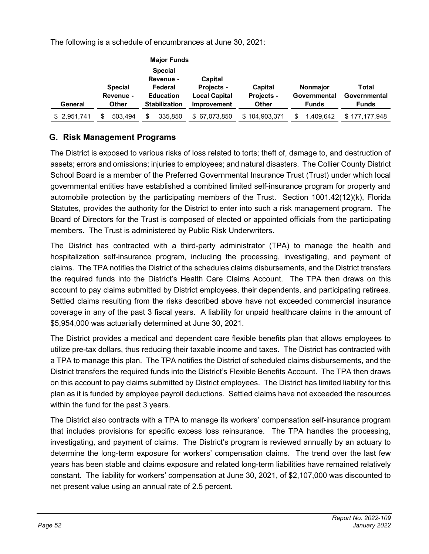The following is a schedule of encumbrances at June 30, 2021:

|             |                | <b>Special</b>       |                      |                |                 |               |
|-------------|----------------|----------------------|----------------------|----------------|-----------------|---------------|
|             |                | Revenue -            | Capital              |                |                 |               |
|             | <b>Special</b> | Federal              | <b>Projects -</b>    | <b>Capital</b> | <b>Nonmajor</b> | Total         |
|             | Revenue -      | <b>Education</b>     | <b>Local Capital</b> | Projects -     | Governmental    | Governmental  |
| General     | <b>Other</b>   | <b>Stabilization</b> | <b>Improvement</b>   | Other          | <b>Funds</b>    | <b>Funds</b>  |
| \$2,951,741 | 503.494<br>\$. | 335,850              | \$ 67.073.850        | \$104,903,371  | 1.409.642       | \$177,177,948 |

## **G. Risk Management Programs**

The District is exposed to various risks of loss related to torts; theft of, damage to, and destruction of assets; errors and omissions; injuries to employees; and natural disasters. The Collier County District School Board is a member of the Preferred Governmental Insurance Trust (Trust) under which local governmental entities have established a combined limited self-insurance program for property and automobile protection by the participating members of the Trust. Section 1001.42(12)(k), Florida Statutes, provides the authority for the District to enter into such a risk management program. The Board of Directors for the Trust is composed of elected or appointed officials from the participating members. The Trust is administered by Public Risk Underwriters.

The District has contracted with a third-party administrator (TPA) to manage the health and hospitalization self-insurance program, including the processing, investigating, and payment of claims. The TPA notifies the District of the schedules claims disbursements, and the District transfers the required funds into the District's Health Care Claims Account. The TPA then draws on this account to pay claims submitted by District employees, their dependents, and participating retirees. Settled claims resulting from the risks described above have not exceeded commercial insurance coverage in any of the past 3 fiscal years. A liability for unpaid healthcare claims in the amount of \$5,954,000 was actuarially determined at June 30, 2021.

The District provides a medical and dependent care flexible benefits plan that allows employees to utilize pre-tax dollars, thus reducing their taxable income and taxes. The District has contracted with a TPA to manage this plan. The TPA notifies the District of scheduled claims disbursements, and the District transfers the required funds into the District's Flexible Benefits Account. The TPA then draws on this account to pay claims submitted by District employees. The District has limited liability for this plan as it is funded by employee payroll deductions. Settled claims have not exceeded the resources within the fund for the past 3 years.

The District also contracts with a TPA to manage its workers' compensation self-insurance program that includes provisions for specific excess loss reinsurance. The TPA handles the processing, investigating, and payment of claims. The District's program is reviewed annually by an actuary to determine the long-term exposure for workers' compensation claims. The trend over the last few years has been stable and claims exposure and related long-term liabilities have remained relatively constant. The liability for workers' compensation at June 30, 2021, of \$2,107,000 was discounted to net present value using an annual rate of 2.5 percent.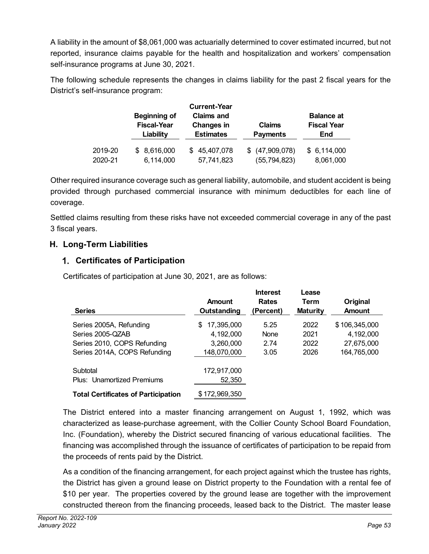A liability in the amount of \$8,061,000 was actuarially determined to cover estimated incurred, but not reported, insurance claims payable for the health and hospitalization and workers' compensation self-insurance programs at June 30, 2021.

The following schedule represents the changes in claims liability for the past 2 fiscal years for the District's self-insurance program:

|         | <b>Beginning of</b><br><b>Fiscal-Year</b><br>Liability | <b>Current-Year</b><br><b>Claims and</b><br><b>Changes in</b><br><b>Estimates</b> | Claims<br><b>Payments</b> | <b>Balance at</b><br><b>Fiscal Year</b><br>End |  |  |
|---------|--------------------------------------------------------|-----------------------------------------------------------------------------------|---------------------------|------------------------------------------------|--|--|
| 2019-20 | \$8,616,000                                            | 45,407,078<br>\$.                                                                 | \$ (47,909,078)           | \$6,114,000                                    |  |  |
| 2020-21 | 6,114,000                                              | 57,741,823                                                                        | (55, 794, 823)            | 8,061,000                                      |  |  |

Other required insurance coverage such as general liability, automobile, and student accident is being provided through purchased commercial insurance with minimum deductibles for each line of coverage.

Settled claims resulting from these risks have not exceeded commercial coverage in any of the past 3 fiscal years.

## **H. Long-Term Liabilities**

## **Certificates of Participation**

Certificates of participation at June 30, 2021, are as follows:

| <b>Series</b>                              | Amount<br>Outstanding | <b>Interest</b><br><b>Rates</b><br>(Percent) | Lease<br>Term<br><b>Maturity</b> | Original<br><b>Amount</b> |
|--------------------------------------------|-----------------------|----------------------------------------------|----------------------------------|---------------------------|
| Series 2005A, Refunding                    | 17,395,000<br>\$.     | 5.25                                         | 2022                             | \$106,345,000             |
| Series 2005-QZAB                           | 4,192,000             | None                                         | 2021                             | 4,192,000                 |
| Series 2010, COPS Refunding                | 3,260,000             | 2.74                                         | 2022                             | 27,675,000                |
| Series 2014A, COPS Refunding               | 148,070,000           | 3.05                                         | 2026                             | 164,765,000               |
| Subtotal                                   | 172,917,000           |                                              |                                  |                           |
| Plus: Unamortized Premiums                 | 52,350                |                                              |                                  |                           |
| <b>Total Certificates of Participation</b> | \$172,969,350         |                                              |                                  |                           |

The District entered into a master financing arrangement on August 1, 1992, which was characterized as lease-purchase agreement, with the Collier County School Board Foundation, Inc. (Foundation), whereby the District secured financing of various educational facilities. The financing was accomplished through the issuance of certificates of participation to be repaid from the proceeds of rents paid by the District.

As a condition of the financing arrangement, for each project against which the trustee has rights, the District has given a ground lease on District property to the Foundation with a rental fee of \$10 per year. The properties covered by the ground lease are together with the improvement constructed thereon from the financing proceeds, leased back to the District. The master lease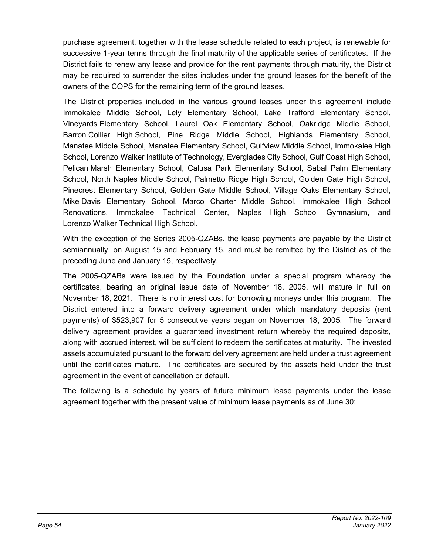purchase agreement, together with the lease schedule related to each project, is renewable for successive 1-year terms through the final maturity of the applicable series of certificates. If the District fails to renew any lease and provide for the rent payments through maturity, the District may be required to surrender the sites includes under the ground leases for the benefit of the owners of the COPS for the remaining term of the ground leases.

The District properties included in the various ground leases under this agreement include Immokalee Middle School, Lely Elementary School, Lake Trafford Elementary School, Vineyards Elementary School, Laurel Oak Elementary School, Oakridge Middle School, Barron Collier High School, Pine Ridge Middle School, Highlands Elementary School, Manatee Middle School, Manatee Elementary School, Gulfview Middle School, Immokalee High School, Lorenzo Walker Institute of Technology, Everglades City School, Gulf Coast High School, Pelican Marsh Elementary School, Calusa Park Elementary School, Sabal Palm Elementary School, North Naples Middle School, Palmetto Ridge High School, Golden Gate High School, Pinecrest Elementary School, Golden Gate Middle School, Village Oaks Elementary School, Mike Davis Elementary School, Marco Charter Middle School, Immokalee High School Renovations, Immokalee Technical Center, Naples High School Gymnasium, and Lorenzo Walker Technical High School.

With the exception of the Series 2005-QZABs, the lease payments are payable by the District semiannually, on August 15 and February 15, and must be remitted by the District as of the preceding June and January 15, respectively.

The 2005-QZABs were issued by the Foundation under a special program whereby the certificates, bearing an original issue date of November 18, 2005, will mature in full on November 18, 2021. There is no interest cost for borrowing moneys under this program. The District entered into a forward delivery agreement under which mandatory deposits (rent payments) of \$523,907 for 5 consecutive years began on November 18, 2005. The forward delivery agreement provides a guaranteed investment return whereby the required deposits, along with accrued interest, will be sufficient to redeem the certificates at maturity. The invested assets accumulated pursuant to the forward delivery agreement are held under a trust agreement until the certificates mature. The certificates are secured by the assets held under the trust agreement in the event of cancellation or default.

The following is a schedule by years of future minimum lease payments under the lease agreement together with the present value of minimum lease payments as of June 30: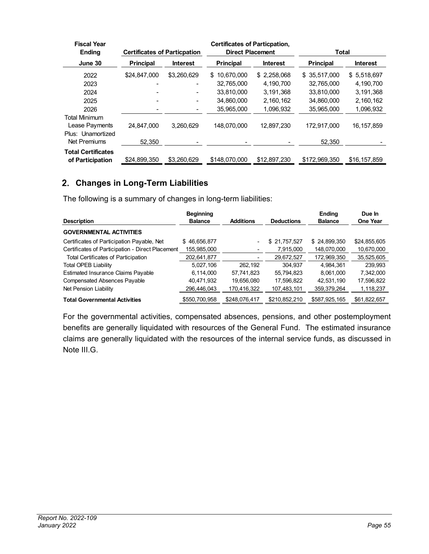| <b>Fiscal Year</b><br><b>Ending</b><br><b>Certificates of Particpation</b> |                  |                 | <b>Certificates of Particpation,</b><br><b>Direct Placement</b> |                 | <b>Total</b>     |                 |  |  |
|----------------------------------------------------------------------------|------------------|-----------------|-----------------------------------------------------------------|-----------------|------------------|-----------------|--|--|
| June 30                                                                    | <b>Principal</b> | <b>Interest</b> | <b>Principal</b>                                                | <b>Interest</b> | <b>Principal</b> | <b>Interest</b> |  |  |
| 2022                                                                       | \$24,847,000     | \$3.260.629     | 10.670.000<br>\$                                                | \$2,258,068     | \$35,517,000     | \$5,518,697     |  |  |
| 2023                                                                       |                  |                 | 32,765,000                                                      | 4.190.700       | 32.765.000       | 4,190,700       |  |  |
| 2024                                                                       |                  |                 | 33.810.000                                                      | 3.191.368       | 33.810.000       | 3.191.368       |  |  |
| 2025                                                                       |                  |                 | 34.860.000                                                      | 2,160,162       | 34,860,000       | 2,160,162       |  |  |
| 2026                                                                       |                  |                 | 35.965.000                                                      | 1.096.932       | 35.965.000       | 1,096,932       |  |  |
| <b>Total Minimum</b><br>Lease Payments                                     | 24.847.000       | 3.260.629       | 148.070.000                                                     | 12.897.230      | 172.917.000      | 16, 157, 859    |  |  |
| Plus: Unamortized<br><b>Net Premiums</b>                                   | 52.350           |                 |                                                                 |                 | 52,350           |                 |  |  |
| <b>Total Certificates</b><br>of Participation                              | \$24,899,350     | \$3,260,629     | \$148,070,000                                                   | \$12,897,230    | \$172,969,350    | \$16,157,859    |  |  |

## **Changes in Long-Term Liabilities**

The following is a summary of changes in long-term liabilities:

| <b>Description</b>                               | <b>Beginning</b><br><b>Balance</b> | <b>Additions</b> | <b>Deductions</b> | <b>Ending</b><br><b>Balance</b> | Due In<br><b>One Year</b> |
|--------------------------------------------------|------------------------------------|------------------|-------------------|---------------------------------|---------------------------|
| <b>GOVERNMENTAL ACTIVITIES</b>                   |                                    |                  |                   |                                 |                           |
| Certificates of Participation Payable, Net       | \$46,656,877                       |                  | \$21,757,527      | \$24,899,350                    | \$24,855,605              |
| Certificates of Participation - Direct Placement | 155,985,000                        |                  | 7,915,000         | 148,070,000                     | 10,670,000                |
| <b>Total Certificates of Participation</b>       | 202,641,877                        |                  | 29,672,527        | 172,969,350                     | 35,525,605                |
| Total OPEB Liability                             | 5,027,106                          | 262.192          | 304.937           | 4,984,361                       | 239.993                   |
| <b>Estimated Insurance Claims Payable</b>        | 6,114,000                          | 57,741,823       | 55,794,823        | 8,061,000                       | 7,342,000                 |
| <b>Compensated Absences Payable</b>              | 40,471,932                         | 19,656,080       | 17,596,822        | 42.531.190                      | 17,596,822                |
| Net Pension Liability                            | 296,446,043                        | 170,416,322      | 107,483,101       | 359, 379, 264                   | 1,118,237                 |
| <b>Total Governmental Activities</b>             | \$550,700.958                      | \$248.076.417    | \$210.852.210     | \$587,925,165                   | \$61,822,657              |

For the governmental activities, compensated absences, pensions, and other postemployment benefits are generally liquidated with resources of the General Fund. The estimated insurance claims are generally liquidated with the resources of the internal service funds, as discussed in Note III.G.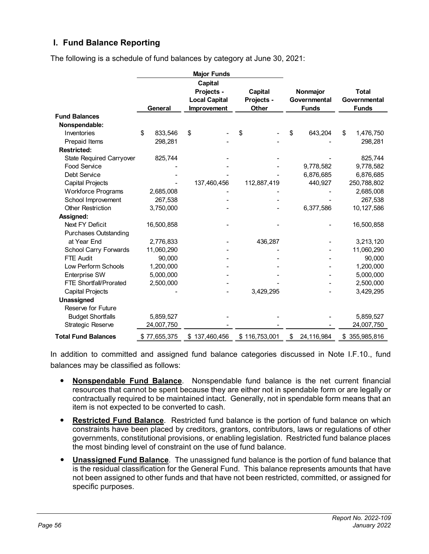## **I. Fund Balance Reporting**

|                                 |                | <b>Major Funds</b>                                           |                                |                                          |                                              |  |
|---------------------------------|----------------|--------------------------------------------------------------|--------------------------------|------------------------------------------|----------------------------------------------|--|
|                                 | <b>General</b> | Capital<br>Projects -<br><b>Local Capital</b><br>Improvement | Capital<br>Projects -<br>Other | Nonmajor<br>Governmental<br><b>Funds</b> | <b>Total</b><br>Governmental<br><b>Funds</b> |  |
| <b>Fund Balances</b>            |                |                                                              |                                |                                          |                                              |  |
| Nonspendable:                   |                |                                                              |                                |                                          |                                              |  |
| Inventories                     | \$<br>833,546  | \$                                                           | \$                             | \$<br>643,204                            | \$<br>1,476,750                              |  |
| Prepaid Items                   | 298,281        |                                                              |                                |                                          | 298,281                                      |  |
| <b>Restricted:</b>              |                |                                                              |                                |                                          |                                              |  |
| <b>State Required Carryover</b> | 825,744        |                                                              |                                |                                          | 825,744                                      |  |
| Food Service                    |                |                                                              |                                | 9,778,582                                | 9,778,582                                    |  |
| Debt Service                    |                |                                                              |                                | 6,876,685                                | 6,876,685                                    |  |
| <b>Capital Projects</b>         |                | 137,460,456                                                  | 112,887,419                    | 440,927                                  | 250,788,802                                  |  |
| <b>Workforce Programs</b>       | 2,685,008      |                                                              |                                |                                          | 2,685,008                                    |  |
| School Improvement              | 267,538        |                                                              |                                |                                          | 267,538                                      |  |
| <b>Other Restriction</b>        | 3,750,000      |                                                              |                                | 6,377,586                                | 10,127,586                                   |  |
| Assigned:                       |                |                                                              |                                |                                          |                                              |  |
| <b>Next FY Deficit</b>          | 16,500,858     |                                                              |                                |                                          | 16,500,858                                   |  |
| <b>Purchases Outstanding</b>    |                |                                                              |                                |                                          |                                              |  |
| at Year End                     | 2,776,833      |                                                              | 436,287                        |                                          | 3,213,120                                    |  |
| <b>School Carry Forwards</b>    | 11,060,290     |                                                              |                                |                                          | 11,060,290                                   |  |
| <b>FTE Audit</b>                | 90,000         |                                                              |                                |                                          | 90,000                                       |  |
| Low Perform Schools             | 1,200,000      |                                                              |                                |                                          | 1,200,000                                    |  |
| Enterprise SW                   | 5,000,000      |                                                              |                                |                                          | 5,000,000                                    |  |
| <b>FTE Shortfall/Prorated</b>   | 2,500,000      |                                                              |                                |                                          | 2,500,000                                    |  |
| <b>Capital Projects</b>         |                |                                                              | 3,429,295                      |                                          | 3,429,295                                    |  |
| <b>Unassigned</b>               |                |                                                              |                                |                                          |                                              |  |
| Reserve for Future              |                |                                                              |                                |                                          |                                              |  |
| <b>Budget Shortfalls</b>        | 5,859,527      |                                                              |                                |                                          | 5,859,527                                    |  |
| Strategic Reserve               | 24,007,750     |                                                              |                                |                                          | 24,007,750                                   |  |
| <b>Total Fund Balances</b>      | \$77,655,375   | \$137,460,456                                                | \$116,753,001                  | \$<br>24,116,984                         | \$355,985,816                                |  |

The following is a schedule of fund balances by category at June 30, 2021:

In addition to committed and assigned fund balance categories discussed in Note I.F.10., fund balances may be classified as follows:

- **Nonspendable Fund Balance**. Nonspendable fund balance is the net current financial resources that cannot be spent because they are either not in spendable form or are legally or contractually required to be maintained intact. Generally, not in spendable form means that an item is not expected to be converted to cash.
- **Restricted Fund Balance**. Restricted fund balance is the portion of fund balance on which constraints have been placed by creditors, grantors, contributors, laws or regulations of other governments, constitutional provisions, or enabling legislation. Restricted fund balance places the most binding level of constraint on the use of fund balance.
- **Unassigned Fund Balance**. The unassigned fund balance is the portion of fund balance that is the residual classification for the General Fund. This balance represents amounts that have not been assigned to other funds and that have not been restricted, committed, or assigned for specific purposes.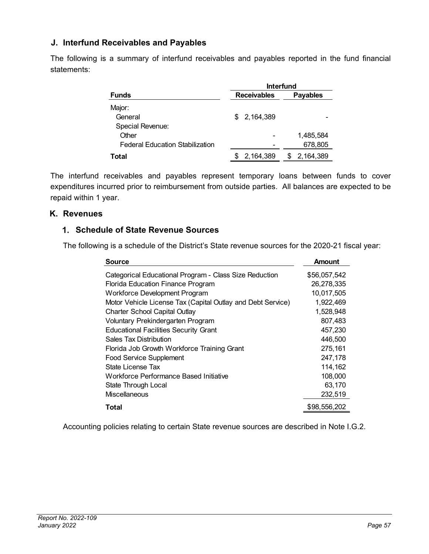## **J. Interfund Receivables and Payables**

The following is a summary of interfund receivables and payables reported in the fund financial statements:

|                                        | <b>Interfund</b>   |                 |  |  |  |  |
|----------------------------------------|--------------------|-----------------|--|--|--|--|
| <b>Funds</b>                           | <b>Receivables</b> | <b>Payables</b> |  |  |  |  |
| Major:                                 |                    |                 |  |  |  |  |
| General                                | \$2,164,389        |                 |  |  |  |  |
| Special Revenue:                       |                    |                 |  |  |  |  |
| Other                                  |                    | 1,485,584       |  |  |  |  |
| <b>Federal Education Stabilization</b> |                    | 678,805         |  |  |  |  |
| Total                                  | 2,164,389          | 2,164,389       |  |  |  |  |

The interfund receivables and payables represent temporary loans between funds to cover expenditures incurred prior to reimbursement from outside parties. All balances are expected to be repaid within 1 year.

## **K. Revenues**

## **Schedule of State Revenue Sources**

The following is a schedule of the District's State revenue sources for the 2020-21 fiscal year:

| <b>Source</b>                                               | Amount       |
|-------------------------------------------------------------|--------------|
| Categorical Educational Program - Class Size Reduction      | \$56,057,542 |
| Florida Education Finance Program                           | 26,278,335   |
| Workforce Development Program                               | 10,017,505   |
| Motor Vehicle License Tax (Capital Outlay and Debt Service) | 1,922,469    |
| <b>Charter School Capital Outlay</b>                        | 1,528,948    |
| Voluntary Prekindergarten Program                           | 807,483      |
| <b>Educational Facilities Security Grant</b>                | 457,230      |
| Sales Tax Distribution                                      | 446,500      |
| Florida Job Growth Workforce Training Grant                 | 275,161      |
| <b>Food Service Supplement</b>                              | 247,178      |
| State License Tax                                           | 114,162      |
| Workforce Performance Based Initiative                      | 108,000      |
| State Through Local                                         | 63,170       |
| <b>Miscellaneous</b>                                        | 232,519      |
| Total                                                       | \$98,556,202 |

Accounting policies relating to certain State revenue sources are described in Note I.G.2.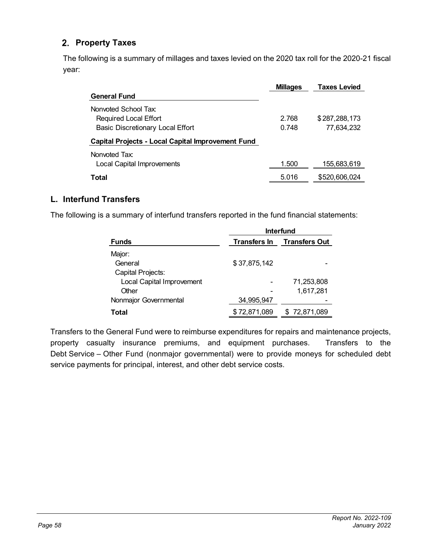# **Property Taxes**

The following is a summary of millages and taxes levied on the 2020 tax roll for the 2020-21 fiscal year:

|                                                   | <b>Millages</b> | <b>Taxes Levied</b> |
|---------------------------------------------------|-----------------|---------------------|
| <b>General Fund</b>                               |                 |                     |
| Nonvoted School Tax:                              |                 |                     |
| Required Local Effort                             | 2.768           | \$287,288,173       |
| <b>Basic Discretionary Local Effort</b>           | 0.748           | 77,634,232          |
| Capital Projects - Local Capital Improvement Fund |                 |                     |
| Nonvoted Tax:                                     |                 |                     |
| Local Capital Improvements                        | 1.500           | 155,683,619         |
| Total                                             | 5.016           | \$520,606,024       |

## **L. Interfund Transfers**

The following is a summary of interfund transfers reported in the fund financial statements:

|                                  | <b>Interfund</b> |                                   |  |  |  |
|----------------------------------|------------------|-----------------------------------|--|--|--|
| <b>Funds</b>                     |                  | <b>Transfers In Transfers Out</b> |  |  |  |
| Major:                           |                  |                                   |  |  |  |
| General                          | \$37,875,142     |                                   |  |  |  |
| Capital Projects:                |                  |                                   |  |  |  |
| <b>Local Capital Improvement</b> |                  | 71,253,808                        |  |  |  |
| Other                            |                  | 1,617,281                         |  |  |  |
| Nonmajor Governmental            | 34,995,947       |                                   |  |  |  |
| Total                            | \$72,871,089     | 72,871,089                        |  |  |  |

Transfers to the General Fund were to reimburse expenditures for repairs and maintenance projects, property casualty insurance premiums, and equipment purchases. Transfers to the Debt Service – Other Fund (nonmajor governmental) were to provide moneys for scheduled debt service payments for principal, interest, and other debt service costs.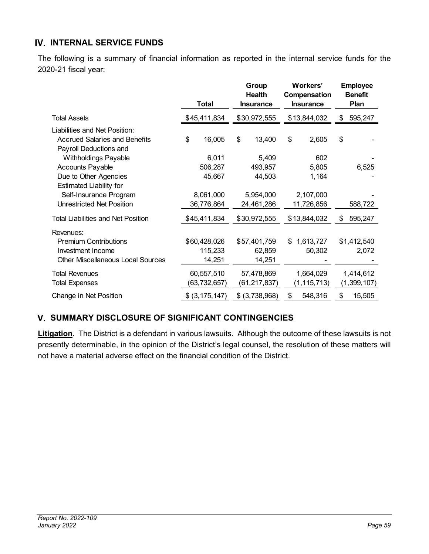# **IV. INTERNAL SERVICE FUNDS**

The following is a summary of financial information as reported in the internal service funds for the 2020-21 fiscal year:

|                                                                                                            | Total |                                   | Group<br>Health<br><b>Insurance</b> |                                  | Workers'<br>Compensation<br><b>Insurance</b> |                          | <b>Employee</b><br><b>Benefit</b><br>Plan |                          |
|------------------------------------------------------------------------------------------------------------|-------|-----------------------------------|-------------------------------------|----------------------------------|----------------------------------------------|--------------------------|-------------------------------------------|--------------------------|
| <b>Total Assets</b>                                                                                        |       | \$45,411,834                      | \$30,972,555                        |                                  | \$13,844,032                                 |                          | \$                                        | 595,247                  |
| Liabilities and Net Position:<br><b>Accrued Salaries and Benefits</b><br>Payroll Deductions and            | \$    | 16,005                            | \$                                  | 13,400                           | \$                                           | 2,605                    | \$                                        |                          |
| Withholdings Payable<br><b>Accounts Payable</b>                                                            |       | 6,011<br>506,287                  |                                     | 5,409<br>493,957                 |                                              | 602<br>5,805             |                                           |                          |
| Due to Other Agencies<br><b>Estimated Liability for</b>                                                    |       | 45,667                            |                                     | 44,503                           |                                              | 1,164                    |                                           | 6,525                    |
| Self-Insurance Program<br>Unrestricted Net Position                                                        |       | 8,061,000<br>36,776,864           |                                     | 5,954,000<br>24,461,286          |                                              | 2,107,000<br>11,726,856  |                                           | 588,722                  |
| <b>Total Liabilities and Net Position</b>                                                                  |       | \$45,411,834                      |                                     | \$30,972,555                     |                                              | \$13,844,032             | S                                         | 595,247                  |
| Revenues:<br><b>Premium Contributions</b><br>Investment Income<br><b>Other Miscellaneous Local Sources</b> |       | \$60,428,026<br>115,233<br>14,251 |                                     | \$57,401,759<br>62,859<br>14,251 | \$                                           | 1,613,727<br>50,302      |                                           | \$1,412,540<br>2,072     |
| <b>Total Revenues</b><br><b>Total Expenses</b>                                                             |       | 60,557,510<br>63,732,657)         |                                     | 57,478,869<br>(61, 217, 837)     |                                              | 1,664,029<br>(1,115,713) |                                           | 1,414,612<br>(1,399,107) |
| Change in Net Position                                                                                     |       | \$ (3, 175, 147)                  |                                     | $$$ (3,738,968)                  | \$                                           | 548,316                  | \$                                        | 15,505                   |

# **SUMMARY DISCLOSURE OF SIGNIFICANT CONTINGENCIES**

**Litigation**. The District is a defendant in various lawsuits. Although the outcome of these lawsuits is not presently determinable, in the opinion of the District's legal counsel, the resolution of these matters will not have a material adverse effect on the financial condition of the District.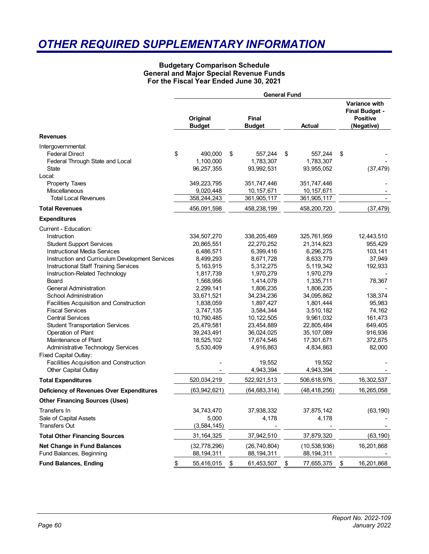# *OTHER REQUIRED SUPPLEMENTARY INFORMATION*

#### **Budgetary Comparison Schedule General and Major Special Revenue Funds For the Fiscal Year Ended June 30, 2021**

|                                                                                                                                                                                                                                                                                                                                                                                                                                                                                                                                                                                                                                          | <b>General Fund</b>       |                                                                                                                                                                                                                      |                               |                                                                                                                                                                                                                                               |    |                                                                                                                                                                                                                                              |    |                                                                                                                                                      |
|------------------------------------------------------------------------------------------------------------------------------------------------------------------------------------------------------------------------------------------------------------------------------------------------------------------------------------------------------------------------------------------------------------------------------------------------------------------------------------------------------------------------------------------------------------------------------------------------------------------------------------------|---------------------------|----------------------------------------------------------------------------------------------------------------------------------------------------------------------------------------------------------------------|-------------------------------|-----------------------------------------------------------------------------------------------------------------------------------------------------------------------------------------------------------------------------------------------|----|----------------------------------------------------------------------------------------------------------------------------------------------------------------------------------------------------------------------------------------------|----|------------------------------------------------------------------------------------------------------------------------------------------------------|
|                                                                                                                                                                                                                                                                                                                                                                                                                                                                                                                                                                                                                                          | Original<br><b>Budget</b> |                                                                                                                                                                                                                      | <b>Final</b><br><b>Budget</b> |                                                                                                                                                                                                                                               |    | <b>Actual</b>                                                                                                                                                                                                                                |    | Variance with<br><b>Final Budget -</b><br><b>Positive</b><br>(Negative)                                                                              |
| <b>Revenues</b>                                                                                                                                                                                                                                                                                                                                                                                                                                                                                                                                                                                                                          |                           |                                                                                                                                                                                                                      |                               |                                                                                                                                                                                                                                               |    |                                                                                                                                                                                                                                              |    |                                                                                                                                                      |
| Intergovernmental:<br><b>Federal Direct</b><br>Federal Through State and Local<br>State<br>Local:                                                                                                                                                                                                                                                                                                                                                                                                                                                                                                                                        | \$                        | 490,000<br>1,100,000<br>96,257,355                                                                                                                                                                                   | \$                            | 557,244<br>1,783,307<br>93,992,531                                                                                                                                                                                                            | \$ | 557,244<br>1,783,307<br>93,955,052                                                                                                                                                                                                           | \$ | (37, 479)                                                                                                                                            |
| <b>Property Taxes</b><br>Miscellaneous<br><b>Total Local Revenues</b>                                                                                                                                                                                                                                                                                                                                                                                                                                                                                                                                                                    |                           | 349,223,795<br>9,020,448<br>358,244,243                                                                                                                                                                              |                               | 351,747,446<br>10, 157, 671<br>361,905,117                                                                                                                                                                                                    |    | 351,747,446<br>10,157,671<br>361,905,117                                                                                                                                                                                                     |    |                                                                                                                                                      |
| <b>Total Revenues</b>                                                                                                                                                                                                                                                                                                                                                                                                                                                                                                                                                                                                                    |                           | 456,091,598                                                                                                                                                                                                          |                               | 458,238,199                                                                                                                                                                                                                                   |    | 458,200,720                                                                                                                                                                                                                                  |    | (37, 479)                                                                                                                                            |
| <b>Expenditures</b>                                                                                                                                                                                                                                                                                                                                                                                                                                                                                                                                                                                                                      |                           |                                                                                                                                                                                                                      |                               |                                                                                                                                                                                                                                               |    |                                                                                                                                                                                                                                              |    |                                                                                                                                                      |
| Current - Education:<br>Instruction<br><b>Student Support Services</b><br><b>Instructional Media Services</b><br>Instruction and Curriculum Development Services<br>Instructional Staff Training Services<br>Instruction-Related Technology<br>Board<br><b>General Administration</b><br>School Administration<br>Facilities Acquisition and Construction<br><b>Fiscal Services</b><br><b>Central Services</b><br><b>Student Transportation Services</b><br>Operation of Plant<br>Maintenance of Plant<br>Administrative Technology Services<br>Fixed Capital Outlay:<br>Facilities Acquisition and Construction<br>Other Capital Outlay |                           | 334,507,270<br>20,865,551<br>6,486,571<br>8,499,293<br>5,163,915<br>1,817,739<br>1,568,956<br>2,299,141<br>33,671,521<br>1,838,059<br>3,747,135<br>10,790,485<br>25,479,581<br>39,243,491<br>18,525,102<br>5,530,409 |                               | 338,205,469<br>22,270,252<br>6,399,416<br>8,671,728<br>5,312,275<br>1,970,279<br>1,414,078<br>1,806,235<br>34,234,236<br>1,897,427<br>3,584,344<br>10, 122, 505<br>23,454,889<br>36,024,025<br>17,674,546<br>4,916,863<br>19,552<br>4,943,394 |    | 325,761,959<br>21,314,823<br>6,296,275<br>8,633,779<br>5,119,342<br>1,970,279<br>1,335,711<br>1,806,235<br>34,095,862<br>1,801,444<br>3,510,182<br>9,961,032<br>22,805,484<br>35, 107, 089<br>17,301,671<br>4,834,863<br>19,552<br>4,943,394 |    | 12,443,510<br>955,429<br>103,141<br>37,949<br>192,933<br>78,367<br>138,374<br>95,983<br>74,162<br>161,473<br>649,405<br>916,936<br>372,875<br>82,000 |
| <b>Total Expenditures</b>                                                                                                                                                                                                                                                                                                                                                                                                                                                                                                                                                                                                                |                           | 520,034,219                                                                                                                                                                                                          |                               | 522,921,513                                                                                                                                                                                                                                   |    | 506,618,976                                                                                                                                                                                                                                  |    | 16,302,537                                                                                                                                           |
| Deficiency of Revenues Over Expenditures                                                                                                                                                                                                                                                                                                                                                                                                                                                                                                                                                                                                 |                           | (63,942,621)                                                                                                                                                                                                         |                               | (64, 683, 314)                                                                                                                                                                                                                                |    | (48, 418, 256)                                                                                                                                                                                                                               |    | 16,265,058                                                                                                                                           |
| <b>Other Financing Sources (Uses)</b>                                                                                                                                                                                                                                                                                                                                                                                                                                                                                                                                                                                                    |                           |                                                                                                                                                                                                                      |                               |                                                                                                                                                                                                                                               |    |                                                                                                                                                                                                                                              |    |                                                                                                                                                      |
| Transfers In<br>Sale of Capital Assets<br><b>Transfers Out</b>                                                                                                                                                                                                                                                                                                                                                                                                                                                                                                                                                                           |                           | 34,743,470<br>5,000<br>(3,584,145)                                                                                                                                                                                   |                               | 37,938,332<br>4,178                                                                                                                                                                                                                           |    | 37,875,142<br>4,178                                                                                                                                                                                                                          |    | (63, 190)                                                                                                                                            |
| <b>Total Other Financing Sources</b>                                                                                                                                                                                                                                                                                                                                                                                                                                                                                                                                                                                                     |                           | 31, 164, 325                                                                                                                                                                                                         |                               | 37,942,510                                                                                                                                                                                                                                    |    | 37,879,320                                                                                                                                                                                                                                   |    | (63, 190)                                                                                                                                            |
| <b>Net Change in Fund Balances</b><br>Fund Balances, Beginning                                                                                                                                                                                                                                                                                                                                                                                                                                                                                                                                                                           |                           | (32,778,296)<br>88, 194, 311                                                                                                                                                                                         |                               | (26, 740, 804)<br>88,194,311                                                                                                                                                                                                                  |    | (10, 538, 936)<br>88,194,311                                                                                                                                                                                                                 |    | 16,201,868                                                                                                                                           |
| <b>Fund Balances, Ending</b>                                                                                                                                                                                                                                                                                                                                                                                                                                                                                                                                                                                                             | \$                        | 55,416,015                                                                                                                                                                                                           | \$                            | 61,453,507                                                                                                                                                                                                                                    | \$ | 77,655,375                                                                                                                                                                                                                                   | \$ | 16,201,868                                                                                                                                           |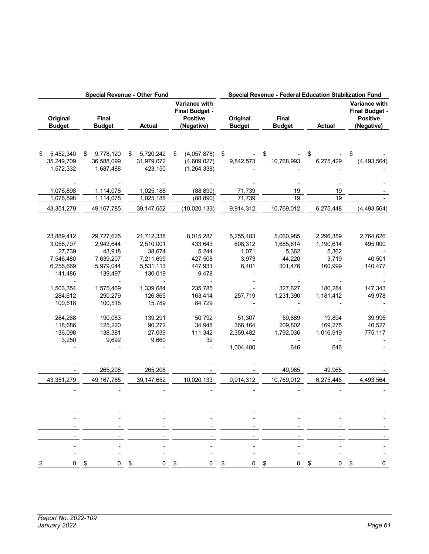|                                                                                                                                                     |                                                                                                                                                                | Special Revenue - Other Fund                                                                                                                                |                                                                                                                                   | Special Revenue - Federal Education Stabilization Fund                                                    |                                                                                                                                 |                                                                                                                                |                                                                                               |  |
|-----------------------------------------------------------------------------------------------------------------------------------------------------|----------------------------------------------------------------------------------------------------------------------------------------------------------------|-------------------------------------------------------------------------------------------------------------------------------------------------------------|-----------------------------------------------------------------------------------------------------------------------------------|-----------------------------------------------------------------------------------------------------------|---------------------------------------------------------------------------------------------------------------------------------|--------------------------------------------------------------------------------------------------------------------------------|-----------------------------------------------------------------------------------------------|--|
| Original<br><b>Budget</b>                                                                                                                           | Final<br><b>Budget</b>                                                                                                                                         | <b>Actual</b>                                                                                                                                               | Variance with<br><b>Final Budget -</b><br><b>Positive</b><br>(Negative)                                                           | Original<br><b>Budget</b>                                                                                 | Final<br><b>Budget</b>                                                                                                          | <b>Actual</b>                                                                                                                  | Variance with<br><b>Final Budget -</b><br><b>Positive</b><br>(Negative)                       |  |
| 5,452,340<br>\$<br>35,249,709<br>1,572,332                                                                                                          | \$<br>9,778,120<br>36,588,099<br>1,687,488                                                                                                                     | \$<br>5,720,242<br>31,979,072<br>423,150                                                                                                                    | \$<br>(4,057,878)<br>(4,609,027)<br>(1, 264, 338)                                                                                 | \$<br>9,842,573                                                                                           | \$<br>10,768,993                                                                                                                | \$<br>6,275,429                                                                                                                | \$<br>(4, 493, 564)                                                                           |  |
| 1,076,898<br>1,076,898                                                                                                                              | 1,114,078<br>1,114,078                                                                                                                                         | 1,025,188<br>1,025,188                                                                                                                                      | (88, 890)<br>(88, 890)                                                                                                            | 71,739<br>71,739                                                                                          | 19<br>19                                                                                                                        | 19<br>19                                                                                                                       |                                                                                               |  |
| 43,351,279                                                                                                                                          | 49, 167, 785                                                                                                                                                   | 39, 147, 652                                                                                                                                                | (10,020,133)                                                                                                                      | 9,914,312                                                                                                 | 10,769,012                                                                                                                      | 6,275,448                                                                                                                      | (4, 493, 564)                                                                                 |  |
| 23,889,412<br>3,058,707<br>27,739<br>7,546,480<br>6,256,669<br>141,486<br>1,503,354<br>284,612<br>100,518<br>284,268<br>118,686<br>136,098<br>3,250 | 29,727,625<br>2,943,644<br>43,918<br>7,639,207<br>5,979,044<br>139,497<br>1,575,469<br>290,279<br>100,518<br>190,083<br>125,220<br>138,381<br>9,692<br>265,208 | 21,712,338<br>2,510,001<br>38,674<br>7,211,699<br>5,531,113<br>130,019<br>1,339,684<br>126,865<br>15,789<br>139,291<br>90,272<br>27,039<br>9,660<br>265,208 | 8,015,287<br>433,643<br>5,244<br>427,508<br>447,931<br>9,478<br>235,785<br>163,414<br>84,729<br>50,792<br>34,948<br>111,342<br>32 | 5,255,483<br>608,312<br>1,071<br>3,973<br>6,401<br>257,719<br>51,307<br>366,164<br>2,359,482<br>1,004,400 | 5,060,985<br>1,685,614<br>5,362<br>44,220<br>301,476<br>327,627<br>1,231,390<br>59,889<br>209,802<br>1,792,036<br>646<br>49,965 | 2,296,359<br>1,190,614<br>5,362<br>3,719<br>160,999<br>180,284<br>1,181,412<br>19,894<br>169,275<br>1,016,919<br>646<br>49,965 | 2,764,626<br>495,000<br>40,501<br>140,477<br>147,343<br>49,978<br>39,995<br>40,527<br>775,117 |  |
| 43,351,279                                                                                                                                          | 49, 167, 785                                                                                                                                                   | 39, 147, 652                                                                                                                                                | 10,020,133                                                                                                                        | 9,914,312                                                                                                 | 10,769,012                                                                                                                      | 6,275,448                                                                                                                      | 4,493,564                                                                                     |  |
|                                                                                                                                                     |                                                                                                                                                                |                                                                                                                                                             |                                                                                                                                   |                                                                                                           |                                                                                                                                 |                                                                                                                                |                                                                                               |  |
|                                                                                                                                                     |                                                                                                                                                                |                                                                                                                                                             |                                                                                                                                   |                                                                                                           |                                                                                                                                 |                                                                                                                                |                                                                                               |  |
|                                                                                                                                                     |                                                                                                                                                                |                                                                                                                                                             |                                                                                                                                   |                                                                                                           |                                                                                                                                 |                                                                                                                                |                                                                                               |  |
| $\mathbf{0}$                                                                                                                                        | $\boldsymbol{\mathsf{S}}$                                                                                                                                      | $0$ \$<br>$\mathbf 0$                                                                                                                                       | $\frac{1}{2}$<br>$\mathbf 0$                                                                                                      | \$                                                                                                        | $0 \quad$ \$                                                                                                                    |                                                                                                                                | 0                                                                                             |  |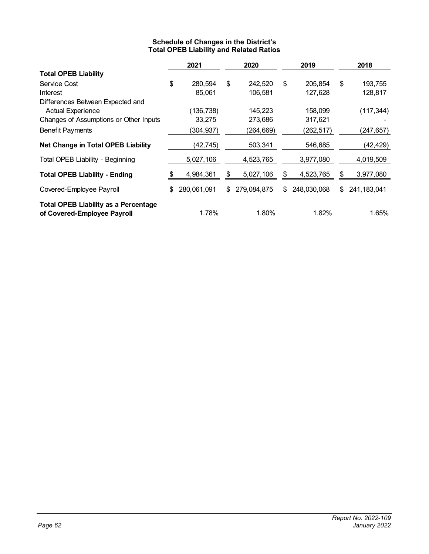#### **Schedule of Changes in the District's Total OPEB Liability and Related Ratios**

|                                                                            | 2021              | 2020              | 2019              | 2018              |
|----------------------------------------------------------------------------|-------------------|-------------------|-------------------|-------------------|
| <b>Total OPEB Liability</b>                                                |                   |                   |                   |                   |
| Service Cost                                                               | \$<br>280,594     | \$<br>242,520     | \$<br>205,854     | \$<br>193,755     |
| Interest                                                                   | 85,061            | 106,581           | 127,628           | 128,817           |
| Differences Between Expected and                                           |                   |                   |                   |                   |
| <b>Actual Experience</b>                                                   | (136, 738)        | 145,223           | 158,099           | (117, 344)        |
| Changes of Assumptions or Other Inputs                                     | 33,275            | 273,686           | 317,621           |                   |
| <b>Benefit Payments</b>                                                    | (304, 937)        | (264, 669)        | (262, 517)        | (247, 657)        |
| Net Change in Total OPEB Liability                                         | (42, 745)         | 503,341           | 546,685           | (42,429)          |
| Total OPEB Liability - Beginning                                           | 5,027,106         | 4,523,765         | 3,977,080         | 4,019,509         |
| <b>Total OPEB Liability - Ending</b>                                       | 4,984,361         | \$<br>5,027,106   | \$<br>4,523,765   | \$<br>3,977,080   |
| Covered-Employee Payroll                                                   | \$<br>280,061,091 | \$<br>279,084,875 | \$<br>248,030,068 | \$<br>241,183,041 |
| <b>Total OPEB Liability as a Percentage</b><br>of Covered-Employee Payroll | 1.78%             | 1.80%             | 1.82%             | 1.65%             |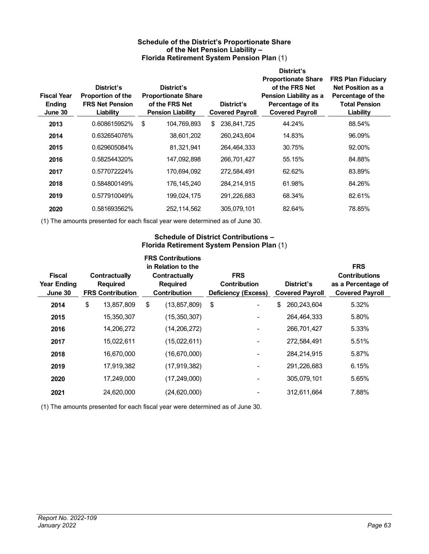#### **Schedule of the District's Proportionate Share of the Net Pension Liability – Florida Retirement System Pension Plan** (1)

|                                         |                                                                               |                                                                                        |                                      | District's<br><b>Proportionate Share</b>                                                | <b>FRS Plan Fiduciary</b>                                                   |
|-----------------------------------------|-------------------------------------------------------------------------------|----------------------------------------------------------------------------------------|--------------------------------------|-----------------------------------------------------------------------------------------|-----------------------------------------------------------------------------|
| <b>Fiscal Year</b><br>Ending<br>June 30 | District's<br><b>Proportion of the</b><br><b>FRS Net Pension</b><br>Liability | District's<br><b>Proportionate Share</b><br>of the FRS Net<br><b>Pension Liability</b> | District's<br><b>Covered Payroll</b> | of the FRS Net<br>Pension Liability as a<br>Percentage of its<br><b>Covered Payroll</b> | Net Position as a<br>Percentage of the<br><b>Total Pension</b><br>Liability |
| 2013                                    | 0.608615952%                                                                  | \$<br>104,769,893                                                                      | \$<br>236,841,725                    | 44.24%                                                                                  | 88.54%                                                                      |
| 2014                                    | 0.632654076%                                                                  | 38,601,202                                                                             | 260.243.604                          | 14.83%                                                                                  | 96.09%                                                                      |
| 2015                                    | 0.629605084%                                                                  | 81,321,941                                                                             | 264,464,333                          | 30.75%                                                                                  | 92.00%                                                                      |
| 2016                                    | 0.582544320%                                                                  | 147,092,898                                                                            | 266,701,427                          | 55.15%                                                                                  | 84.88%                                                                      |
| 2017                                    | 0.577072224%                                                                  | 170,694,092                                                                            | 272,584,491                          | 62.62%                                                                                  | 83.89%                                                                      |
| 2018                                    | 0.584800149%                                                                  | 176, 145, 240                                                                          | 284,214,915                          | 61.98%                                                                                  | 84.26%                                                                      |
| 2019                                    | 0.577910049%                                                                  | 199,024,175                                                                            | 291,226,683                          | 68.34%                                                                                  | 82.61%                                                                      |
| 2020                                    | 0.581693562%                                                                  | 252,114,562                                                                            | 305.079.101                          | 82.64%                                                                                  | 78.85%                                                                      |

(1) The amounts presented for each fiscal year were determined as of June 30.

#### **Schedule of District Contributions – Florida Retirement System Pension Plan** (1)

| <b>Fiscal</b><br><b>Year Ending</b><br>June 30 | Contractually<br><b>Required</b><br><b>FRS Contribution</b> | <b>FRS Contributions</b><br>in Relation to the<br>Contractually<br><b>Required</b><br><b>Contribution</b> | <b>FRS</b><br><b>Contribution</b><br><b>Deficiency (Excess)</b> | District's<br><b>Covered Payroll</b> | <b>FRS</b><br><b>Contributions</b><br>as a Percentage of<br><b>Covered Payroll</b> |
|------------------------------------------------|-------------------------------------------------------------|-----------------------------------------------------------------------------------------------------------|-----------------------------------------------------------------|--------------------------------------|------------------------------------------------------------------------------------|
| 2014                                           | \$<br>13,857,809                                            | \$<br>(13, 857, 809)                                                                                      | \$                                                              | \$<br>260,243,604                    | 5.32%                                                                              |
| 2015                                           | 15,350,307                                                  | (15, 350, 307)                                                                                            |                                                                 | 264.464.333                          | 5.80%                                                                              |
| 2016                                           | 14,206,272                                                  | (14, 206, 272)                                                                                            |                                                                 | 266,701,427                          | 5.33%                                                                              |
| 2017                                           | 15,022,611                                                  | (15,022,611)                                                                                              |                                                                 | 272,584,491                          | 5.51%                                                                              |
| 2018                                           | 16,670,000                                                  | (16, 670, 000)                                                                                            |                                                                 | 284,214,915                          | 5.87%                                                                              |
| 2019                                           | 17,919,382                                                  | (17, 919, 382)                                                                                            | ۰                                                               | 291,226,683                          | 6.15%                                                                              |
| 2020                                           | 17,249,000                                                  | (17, 249, 000)                                                                                            |                                                                 | 305,079,101                          | 5.65%                                                                              |
| 2021                                           | 24.620.000                                                  | (24, 620, 000)                                                                                            |                                                                 | 312,611,664                          | 7.88%                                                                              |

(1) The amounts presented for each fiscal year were determined as of June 30.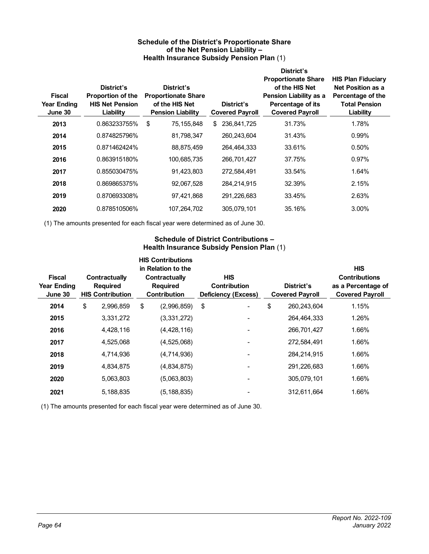#### **Schedule of the District's Proportionate Share of the Net Pension Liability – Health Insurance Subsidy Pension Plan** (1)

| <b>Fiscal</b><br><b>Year Ending</b><br>June 30 | District's<br><b>Proportion of the</b><br><b>HIS Net Pension</b><br>Liability | District's<br><b>Proportionate Share</b><br>of the HIS Net<br><b>Pension Liability</b> | District's<br><b>Covered Payroll</b> | District's<br><b>Proportionate Share</b><br>of the HIS Net<br>Pension Liability as a<br>Percentage of its<br><b>Covered Payroll</b> | <b>HIS Plan Fiduciary</b><br><b>Net Position as a</b><br>Percentage of the<br><b>Total Pension</b><br>Liability |
|------------------------------------------------|-------------------------------------------------------------------------------|----------------------------------------------------------------------------------------|--------------------------------------|-------------------------------------------------------------------------------------------------------------------------------------|-----------------------------------------------------------------------------------------------------------------|
| 2013                                           | 0.863233755%                                                                  | \$<br>75, 155, 848                                                                     | 236,841,725<br>\$.                   | 31.73%                                                                                                                              | 1.78%                                                                                                           |
| 2014                                           | 0.874825796%                                                                  | 81,798,347                                                                             | 260,243,604                          | 31.43%                                                                                                                              | 0.99%                                                                                                           |
| 2015                                           | 0.871462424%                                                                  | 88,875,459                                                                             | 264,464,333                          | 33.61%                                                                                                                              | 0.50%                                                                                                           |
| 2016                                           | 0.863915180%                                                                  | 100,685,735                                                                            | 266,701,427                          | 37.75%                                                                                                                              | 0.97%                                                                                                           |
| 2017                                           | 0.855030475%                                                                  | 91,423,803                                                                             | 272,584,491                          | 33.54%                                                                                                                              | 1.64%                                                                                                           |
| 2018                                           | 0.869865375%                                                                  | 92,067,528                                                                             | 284,214,915                          | 32.39%                                                                                                                              | 2.15%                                                                                                           |
| 2019                                           | 0.870693308%                                                                  | 97,421,868                                                                             | 291,226,683                          | 33.45%                                                                                                                              | 2.63%                                                                                                           |
| 2020                                           | 0.878510506%                                                                  | 107.264.702                                                                            | 305.079.101                          | 35.16%                                                                                                                              | 3.00%                                                                                                           |

(1) The amounts presented for each fiscal year were determined as of June 30.

#### **Schedule of District Contributions – Health Insurance Subsidy Pension Plan** (1)

| <b>Fiscal</b><br><b>Year Ending</b><br>June 30 | Contractually<br><b>Required</b><br><b>HIS Contribution</b> |           | <b>HIS Contributions</b><br>in Relation to the<br>Contractually<br><b>Required</b><br><b>Contribution</b> |               | <b>HIS</b><br><b>Contribution</b><br><b>Deficiency (Excess)</b> | District's<br><b>Covered Payroll</b> | <b>HIS</b><br><b>Contributions</b><br>as a Percentage of<br><b>Covered Payroll</b> |  |  |
|------------------------------------------------|-------------------------------------------------------------|-----------|-----------------------------------------------------------------------------------------------------------|---------------|-----------------------------------------------------------------|--------------------------------------|------------------------------------------------------------------------------------|--|--|
| 2014                                           | \$                                                          | 2,996,859 | \$                                                                                                        | (2,996,859)   | \$                                                              | \$<br>260,243,604                    | 1.15%                                                                              |  |  |
| 2015                                           |                                                             | 3,331,272 |                                                                                                           | (3,331,272)   |                                                                 | 264,464,333                          | 1.26%                                                                              |  |  |
| 2016                                           |                                                             | 4,428,116 |                                                                                                           | (4, 428, 116) | ۰                                                               | 266,701,427                          | 1.66%                                                                              |  |  |
| 2017                                           |                                                             | 4,525,068 |                                                                                                           | (4,525,068)   |                                                                 | 272,584,491                          | 1.66%                                                                              |  |  |
| 2018                                           |                                                             | 4,714,936 |                                                                                                           | (4,714,936)   |                                                                 | 284,214,915                          | 1.66%                                                                              |  |  |
| 2019                                           |                                                             | 4,834,875 |                                                                                                           | (4,834,875)   |                                                                 | 291,226,683                          | 1.66%                                                                              |  |  |
| 2020                                           |                                                             | 5,063,803 |                                                                                                           | (5,063,803)   | -                                                               | 305,079,101                          | 1.66%                                                                              |  |  |
| 2021                                           |                                                             | 5,188,835 |                                                                                                           | (5, 188, 835) |                                                                 | 312.611.664                          | 1.66%                                                                              |  |  |
|                                                |                                                             |           |                                                                                                           |               |                                                                 |                                      |                                                                                    |  |  |

(1) The amounts presented for each fiscal year were determined as of June 30.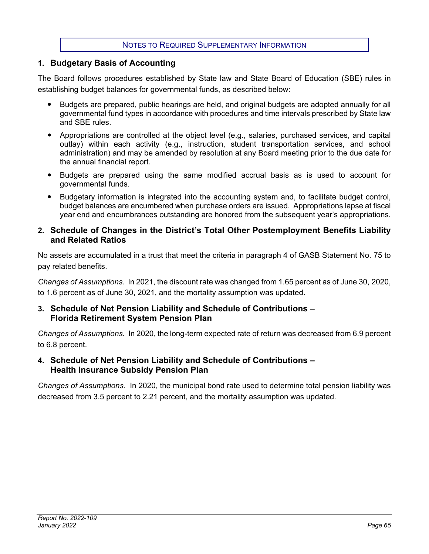#### NOTES TO REQUIRED SUPPLEMENTARY INFORMATION

## **1. Budgetary Basis of Accounting**

The Board follows procedures established by State law and State Board of Education (SBE) rules in establishing budget balances for governmental funds, as described below:

- Budgets are prepared, public hearings are held, and original budgets are adopted annually for all governmental fund types in accordance with procedures and time intervals prescribed by State law and SBE rules.
- Appropriations are controlled at the object level (e.g., salaries, purchased services, and capital outlay) within each activity (e.g., instruction, student transportation services, and school administration) and may be amended by resolution at any Board meeting prior to the due date for the annual financial report.
- Budgets are prepared using the same modified accrual basis as is used to account for governmental funds.
- Budgetary information is integrated into the accounting system and, to facilitate budget control, budget balances are encumbered when purchase orders are issued. Appropriations lapse at fiscal year end and encumbrances outstanding are honored from the subsequent year's appropriations.

### **2. Schedule of Changes in the District's Total Other Postemployment Benefits Liability and Related Ratios**

No assets are accumulated in a trust that meet the criteria in paragraph 4 of GASB Statement No. 75 to pay related benefits.

*Changes of Assumptions*. In 2021, the discount rate was changed from 1.65 percent as of June 30, 2020, to 1.6 percent as of June 30, 2021, and the mortality assumption was updated.

#### **3. Schedule of Net Pension Liability and Schedule of Contributions – Florida Retirement System Pension Plan**

*Changes of Assumptions.* In 2020, the long-term expected rate of return was decreased from 6.9 percent to 6.8 percent.

#### **4. Schedule of Net Pension Liability and Schedule of Contributions – Health Insurance Subsidy Pension Plan**

*Changes of Assumptions.* In 2020, the municipal bond rate used to determine total pension liability was decreased from 3.5 percent to 2.21 percent, and the mortality assumption was updated.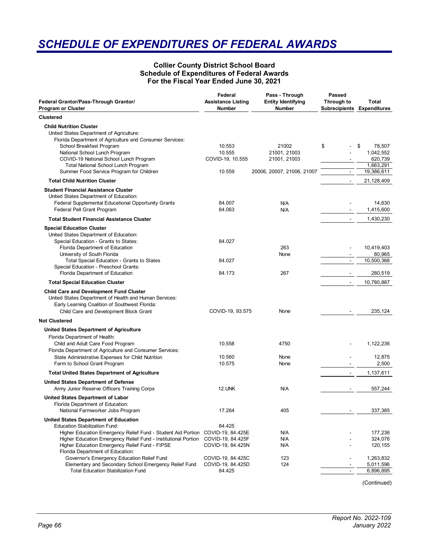# *SCHEDULE OF EXPENDITURES OF FEDERAL AWARDS*

#### **Collier County District School Board Schedule of Expenditures of Federal Awards For the Fiscal Year Ended June 30, 2021**

| Federal Grantor/Pass-Through Grantor/<br><b>Program or Cluster</b>                                                                                                                                                                                                                                                                                  | Federal<br><b>Assistance Listing</b><br><b>Number</b>                                      | Pass - Through<br><b>Entity Identifying</b><br><b>Number</b>        | Passed<br>Through to                        | Total<br>Subrecipients Expenditures                             |
|-----------------------------------------------------------------------------------------------------------------------------------------------------------------------------------------------------------------------------------------------------------------------------------------------------------------------------------------------------|--------------------------------------------------------------------------------------------|---------------------------------------------------------------------|---------------------------------------------|-----------------------------------------------------------------|
| Clustered                                                                                                                                                                                                                                                                                                                                           |                                                                                            |                                                                     |                                             |                                                                 |
| <b>Child Nutrition Cluster</b><br>United States Department of Agriculture:<br>Florida Department of Agriculture and Consumer Services:<br>School Breakfast Program<br>National School Lunch Program<br>COVID-19 National School Lunch Program<br>Total National School Lunch Program<br>Summer Food Service Program for Children                    | 10.553<br>10.555<br>COVID-19, 10.555<br>10.559                                             | 21002<br>21001, 21003<br>21001, 21003<br>20006, 20007, 21006, 21007 | \$<br>÷<br>$\blacksquare$<br>$\blacksquare$ | \$<br>78,507<br>1,042,552<br>620.739<br>1,663,291<br>19,386,611 |
| <b>Total Child Nutrition Cluster</b>                                                                                                                                                                                                                                                                                                                |                                                                                            |                                                                     | $\mathbf{r}$                                | 21,128,409                                                      |
| <b>Student Financial Assistance Cluster</b><br>United States Department of Education:<br><b>Federal Supplemental Educational Opportunity Grants</b><br>Federal Pell Grant Program                                                                                                                                                                   | 84.007<br>84.063                                                                           | N/A<br>N/A                                                          |                                             | 14,630<br>1,415,600                                             |
| <b>Total Student Financial Assistance Cluster</b>                                                                                                                                                                                                                                                                                                   |                                                                                            |                                                                     | $\overline{\phantom{a}}$                    | 1,430,230                                                       |
| <b>Special Education Cluster</b><br>United States Department of Education:<br>Special Education - Grants to States:<br>Florida Department of Education<br>University of South Florida<br>Total Special Education - Grants to States<br>Special Education - Preschool Grants:<br>Florida Department of Education                                     | 84.027<br>84.027<br>84.173                                                                 | 263<br>None<br>267                                                  |                                             | 10,419,403<br>80,965<br>10,500,368<br>280,519                   |
| <b>Total Special Education Cluster</b>                                                                                                                                                                                                                                                                                                              |                                                                                            |                                                                     | $\overline{\phantom{a}}$                    | 10,780,887                                                      |
| <b>Child Care and Development Fund Cluster</b><br>United States Department of Health and Human Services:<br>Early Learning Coalition of Southwest Florida:<br>Child Care and Development Block Grant                                                                                                                                                | COVID-19, 93.575                                                                           | None                                                                |                                             | 235,124                                                         |
| <b>Not Clustered</b>                                                                                                                                                                                                                                                                                                                                |                                                                                            |                                                                     |                                             |                                                                 |
| <b>United States Department of Agriculture</b><br>Florida Department of Health:                                                                                                                                                                                                                                                                     |                                                                                            |                                                                     |                                             |                                                                 |
| Child and Adult Care Food Program<br>Florida Department of Agriculture and Consumer Services:<br>State Administrative Expenses for Child Nutrition<br>Farm to School Grant Program                                                                                                                                                                  | 10.558<br>10.560<br>10.575                                                                 | 4750<br>None<br>None                                                |                                             | 1,122,236<br>12,875<br>2,500                                    |
| <b>Total United States Department of Agriculture</b>                                                                                                                                                                                                                                                                                                |                                                                                            |                                                                     | $\blacksquare$                              | 1,137,611                                                       |
| <b>United States Department of Defense</b><br>Army Junior Reserve Officers Training Corps                                                                                                                                                                                                                                                           | 12.UNK                                                                                     | N/A                                                                 |                                             | 557,244                                                         |
| United States Department of Labor<br>Florida Department of Education:<br>National Farmworker Jobs Program                                                                                                                                                                                                                                           | 17.264                                                                                     | 405                                                                 |                                             | 337,385                                                         |
| United States Department of Education<br><b>Education Stabilization Fund:</b><br>Higher Education Emergency Relief Fund - Student Aid Portion<br>Higher Education Emergency Relief Fund - Institutional Portion<br>Higher Education Emergency Relief Fund - FIPSE<br>Florida Department of Education:<br>Governor's Emergency Education Relief Fund | 84.425<br>COVID-19, 84.425E<br>COVID-19, 84.425F<br>COVID-19, 84.425N<br>COVID-19, 84.425C | N/A<br>N/A<br>N/A<br>123                                            |                                             | 177,236<br>324,076<br>120,155<br>1,263,832                      |
| Elementary and Secondary School Emergency Relief Fund<br><b>Total Education Stabilization Fund</b>                                                                                                                                                                                                                                                  | COVID-19, 84.425D<br>84.425                                                                | 124                                                                 |                                             | 5,011,596<br>6,896,895                                          |

(Continued)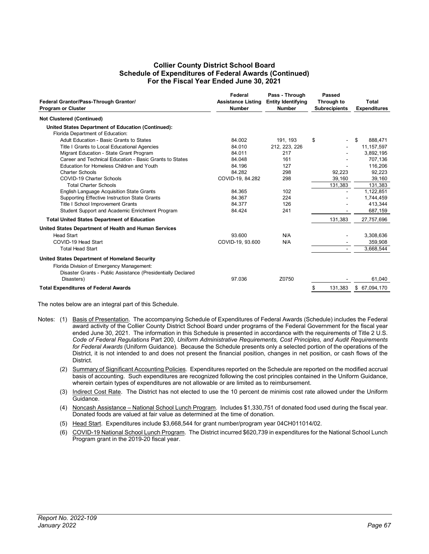#### **Collier County District School Board Schedule of Expenditures of Federal Awards (Continued) For the Fiscal Year Ended June 30, 2021**

| Federal Grantor/Pass-Through Grantor/<br><b>Program or Cluster</b>                                        | Federal<br><b>Assistance Listing</b><br><b>Number</b> | Pass - Through<br><b>Entity Identifying</b><br><b>Number</b> | Passed<br>Through to<br><b>Subrecipients</b> | Total<br><b>Expenditures</b> |
|-----------------------------------------------------------------------------------------------------------|-------------------------------------------------------|--------------------------------------------------------------|----------------------------------------------|------------------------------|
| <b>Not Clustered (Continued)</b>                                                                          |                                                       |                                                              |                                              |                              |
| United States Department of Education (Continued):                                                        |                                                       |                                                              |                                              |                              |
| Florida Department of Education:                                                                          |                                                       |                                                              |                                              |                              |
| Adult Education - Basic Grants to States                                                                  | 84.002                                                | 191, 193                                                     | \$<br>$\blacksquare$                         | \$<br>888.471                |
| Title I Grants to Local Educational Agencies                                                              | 84.010                                                | 212, 223, 226                                                |                                              | 11, 157, 597                 |
| Migrant Education - State Grant Program                                                                   | 84.011                                                | 217                                                          |                                              | 3,892,195                    |
| Career and Technical Education - Basic Grants to States                                                   | 84.048                                                | 161                                                          |                                              | 707,136                      |
| Education for Homeless Children and Youth                                                                 | 84.196                                                | 127                                                          |                                              | 116,206                      |
| <b>Charter Schools</b>                                                                                    | 84.282                                                | 298                                                          | 92,223                                       | 92.223                       |
| COVID-19 Charter Schools                                                                                  | COVID-19, 84.282                                      | 298                                                          | 39,160                                       | 39,160                       |
| <b>Total Charter Schools</b>                                                                              |                                                       |                                                              | 131,383                                      | 131,383                      |
| <b>English Language Acquisition State Grants</b>                                                          | 84.365                                                | 102                                                          |                                              | 1,122,851                    |
| <b>Supporting Effective Instruction State Grants</b>                                                      | 84.367                                                | 224                                                          |                                              | 1,744,459                    |
| Title I School Improvement Grants                                                                         | 84.377                                                | 126                                                          |                                              | 413,344                      |
| Student Support and Academic Enrichment Program                                                           | 84.424                                                | 241                                                          |                                              | 687,159                      |
| <b>Total United States Department of Education</b>                                                        |                                                       |                                                              | 131,383                                      | 27,757,696                   |
| United States Department of Health and Human Services                                                     |                                                       |                                                              |                                              |                              |
| <b>Head Start</b>                                                                                         | 93.600                                                | N/A                                                          |                                              | 3,308,636                    |
| COVID-19 Head Start                                                                                       | COVID-19, 93.600                                      | N/A                                                          |                                              | 359,908                      |
| <b>Total Head Start</b>                                                                                   |                                                       |                                                              | $\mathbf{r}$                                 | 3,668,544                    |
| United States Department of Homeland Security                                                             |                                                       |                                                              |                                              |                              |
| Florida Division of Emergency Management:<br>Disaster Grants - Public Assistance (Presidentially Declared |                                                       |                                                              |                                              |                              |
| Disasters)                                                                                                | 97.036                                                | Z0750                                                        |                                              | 61,040                       |
| <b>Total Expenditures of Federal Awards</b>                                                               |                                                       |                                                              | \$<br>131,383                                | \$ 67,094,170                |

The notes below are an integral part of this Schedule.

- Notes: (1) Basis of Presentation. The accompanying Schedule of Expenditures of Federal Awards (Schedule) includes the Federal award activity of the Collier County District School Board under programs of the Federal Government for the fiscal year ended June 30, 2021. The information in this Schedule is presented in accordance with the requirements of Title 2 U.S. *Code of Federal Regulations* Part 200, *Uniform Administrative Requirements, Cost Principles, and Audit Requirements for Federal Awards* (Uniform Guidance). Because the Schedule presents only a selected portion of the operations of the District, it is not intended to and does not present the financial position, changes in net position, or cash flows of the District.
	- (2) Summary of Significant Accounting Policies. Expenditures reported on the Schedule are reported on the modified accrual basis of accounting. Such expenditures are recognized following the cost principles contained in the Uniform Guidance, wherein certain types of expenditures are not allowable or are limited as to reimbursement.
	- (3) Indirect Cost Rate. The District has not elected to use the 10 percent de minimis cost rate allowed under the Uniform Guidance.
	- (4) Noncash Assistance National School Lunch Program. Includes \$1,330,751 of donated food used during the fiscal year. Donated foods are valued at fair value as determined at the time of donation.
	- (5) Head Start. Expenditures include \$3,668,544 for grant number/program year 04CH011014/02.
	- (6) COVID-19 National School Lunch Program. The District incurred \$620,739 in expenditures for the National School Lunch Program grant in the 2019-20 fiscal year.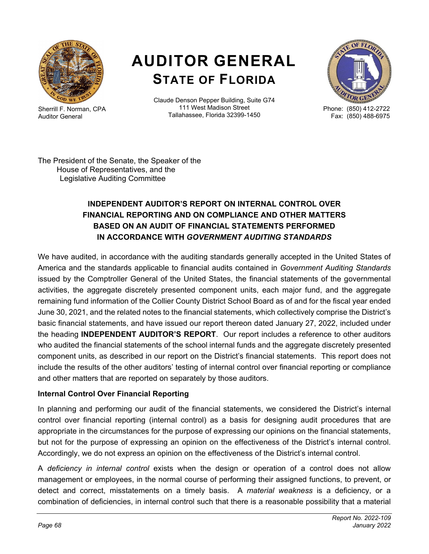

Sherrill F. Norman, CPA Auditor General

# **AUDITOR GENERAL STATE OF FLORIDA**

Claude Denson Pepper Building, Suite G74 111 West Madison Street Tallahassee, Florida 32399-1450



Phone: (850) 412-2722 Fax: (850) 488-6975

The President of the Senate, the Speaker of the House of Representatives, and the Legislative Auditing Committee

### **INDEPENDENT AUDITOR'S REPORT ON INTERNAL CONTROL OVER FINANCIAL REPORTING AND ON COMPLIANCE AND OTHER MATTERS BASED ON AN AUDIT OF FINANCIAL STATEMENTS PERFORMED IN ACCORDANCE WITH** *GOVERNMENT AUDITING STANDARDS*

We have audited, in accordance with the auditing standards generally accepted in the United States of America and the standards applicable to financial audits contained in *Government Auditing Standards* issued by the Comptroller General of the United States, the financial statements of the governmental activities, the aggregate discretely presented component units, each major fund, and the aggregate remaining fund information of the Collier County District School Board as of and for the fiscal year ended June 30, 2021, and the related notes to the financial statements, which collectively comprise the District's basic financial statements, and have issued our report thereon dated January 27, 2022, included under the heading **INDEPENDENT AUDITOR'S REPORT**. Our report includes a reference to other auditors who audited the financial statements of the school internal funds and the aggregate discretely presented component units, as described in our report on the District's financial statements. This report does not include the results of the other auditors' testing of internal control over financial reporting or compliance and other matters that are reported on separately by those auditors.

#### **Internal Control Over Financial Reporting**

In planning and performing our audit of the financial statements, we considered the District's internal control over financial reporting (internal control) as a basis for designing audit procedures that are appropriate in the circumstances for the purpose of expressing our opinions on the financial statements, but not for the purpose of expressing an opinion on the effectiveness of the District's internal control. Accordingly, we do not express an opinion on the effectiveness of the District's internal control.

A *deficiency in internal control* exists when the design or operation of a control does not allow management or employees, in the normal course of performing their assigned functions, to prevent, or detect and correct, misstatements on a timely basis. A *material weakness* is a deficiency, or a combination of deficiencies, in internal control such that there is a reasonable possibility that a material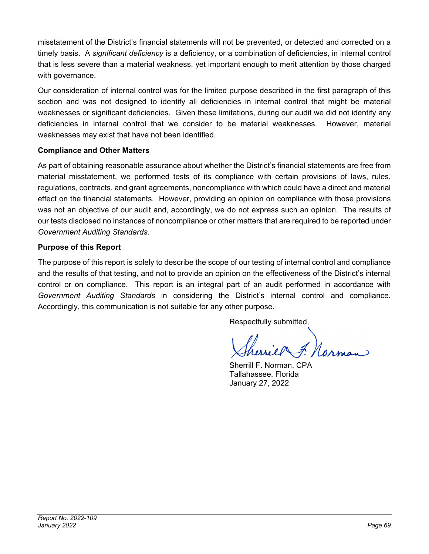misstatement of the District's financial statements will not be prevented, or detected and corrected on a timely basis. A *significant deficiency* is a deficiency, or a combination of deficiencies, in internal control that is less severe than a material weakness, yet important enough to merit attention by those charged with governance.

Our consideration of internal control was for the limited purpose described in the first paragraph of this section and was not designed to identify all deficiencies in internal control that might be material weaknesses or significant deficiencies. Given these limitations, during our audit we did not identify any deficiencies in internal control that we consider to be material weaknesses. However, material weaknesses may exist that have not been identified.

#### **Compliance and Other Matters**

As part of obtaining reasonable assurance about whether the District's financial statements are free from material misstatement, we performed tests of its compliance with certain provisions of laws, rules, regulations, contracts, and grant agreements, noncompliance with which could have a direct and material effect on the financial statements. However, providing an opinion on compliance with those provisions was not an objective of our audit and, accordingly, we do not express such an opinion. The results of our tests disclosed no instances of noncompliance or other matters that are required to be reported under *Government Auditing Standards*.

#### **Purpose of this Report**

The purpose of this report is solely to describe the scope of our testing of internal control and compliance and the results of that testing, and not to provide an opinion on the effectiveness of the District's internal control or on compliance. This report is an integral part of an audit performed in accordance with *Government Auditing Standards* in considering the District's internal control and compliance. Accordingly, this communication is not suitable for any other purpose.

Respectfully submitted,

Sherrill F. Norman, CPA Tallahassee, Florida January 27, 2022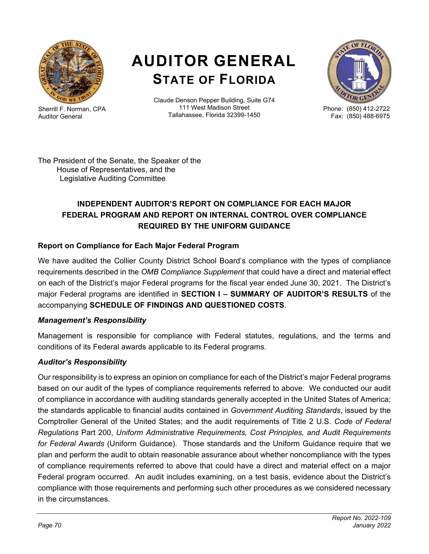

Sherrill F. Norman, CPA Auditor General

# **AUDITOR GENERAL STATE OF FLORIDA**

Claude Denson Pepper Building, Suite G74 111 West Madison Street Tallahassee, Florida 32399-1450



Phone: (850) 412-2722 Fax: (850) 488-6975

The President of the Senate, the Speaker of the House of Representatives, and the Legislative Auditing Committee

### **INDEPENDENT AUDITOR'S REPORT ON COMPLIANCE FOR EACH MAJOR FEDERAL PROGRAM AND REPORT ON INTERNAL CONTROL OVER COMPLIANCE REQUIRED BY THE UNIFORM GUIDANCE**

#### **Report on Compliance for Each Major Federal Program**

We have audited the Collier County District School Board's compliance with the types of compliance requirements described in the *OMB Compliance Supplement* that could have a direct and material effect on each of the District's major Federal programs for the fiscal year ended June 30, 2021. The District's major Federal programs are identified in **SECTION I – SUMMARY OF AUDITOR'S RESULTS** of the accompanying **SCHEDULE OF FINDINGS AND QUESTIONED COSTS**.

#### *Management's Responsibility*

Management is responsible for compliance with Federal statutes, regulations, and the terms and conditions of its Federal awards applicable to its Federal programs.

#### *Auditor's Responsibility*

Our responsibility is to express an opinion on compliance for each of the District's major Federal programs based on our audit of the types of compliance requirements referred to above. We conducted our audit of compliance in accordance with auditing standards generally accepted in the United States of America; the standards applicable to financial audits contained in *Government Auditing Standards*, issued by the Comptroller General of the United States; and the audit requirements of Title 2 U.S. *Code of Federal Regulations* Part 200, *Uniform Administrative Requirements, Cost Principles, and Audit Requirements for Federal Awards* (Uniform Guidance). Those standards and the Uniform Guidance require that we plan and perform the audit to obtain reasonable assurance about whether noncompliance with the types of compliance requirements referred to above that could have a direct and material effect on a major Federal program occurred. An audit includes examining, on a test basis, evidence about the District's compliance with those requirements and performing such other procedures as we considered necessary in the circumstances.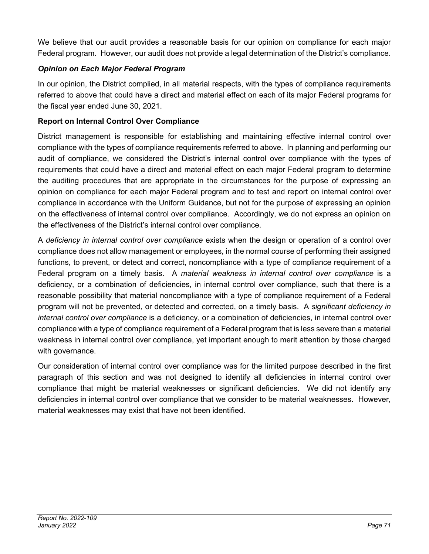We believe that our audit provides a reasonable basis for our opinion on compliance for each major Federal program. However, our audit does not provide a legal determination of the District's compliance.

#### *Opinion on Each Major Federal Program*

In our opinion, the District complied, in all material respects, with the types of compliance requirements referred to above that could have a direct and material effect on each of its major Federal programs for the fiscal year ended June 30, 2021.

#### **Report on Internal Control Over Compliance**

District management is responsible for establishing and maintaining effective internal control over compliance with the types of compliance requirements referred to above. In planning and performing our audit of compliance, we considered the District's internal control over compliance with the types of requirements that could have a direct and material effect on each major Federal program to determine the auditing procedures that are appropriate in the circumstances for the purpose of expressing an opinion on compliance for each major Federal program and to test and report on internal control over compliance in accordance with the Uniform Guidance, but not for the purpose of expressing an opinion on the effectiveness of internal control over compliance. Accordingly, we do not express an opinion on the effectiveness of the District's internal control over compliance.

A *deficiency in internal control over compliance* exists when the design or operation of a control over compliance does not allow management or employees, in the normal course of performing their assigned functions, to prevent, or detect and correct, noncompliance with a type of compliance requirement of a Federal program on a timely basis. A *material weakness in internal control over compliance* is a deficiency, or a combination of deficiencies, in internal control over compliance, such that there is a reasonable possibility that material noncompliance with a type of compliance requirement of a Federal program will not be prevented, or detected and corrected, on a timely basis. A *significant deficiency in internal control over compliance* is a deficiency, or a combination of deficiencies, in internal control over compliance with a type of compliance requirement of a Federal program that is less severe than a material weakness in internal control over compliance, yet important enough to merit attention by those charged with governance.

Our consideration of internal control over compliance was for the limited purpose described in the first paragraph of this section and was not designed to identify all deficiencies in internal control over compliance that might be material weaknesses or significant deficiencies. We did not identify any deficiencies in internal control over compliance that we consider to be material weaknesses. However, material weaknesses may exist that have not been identified.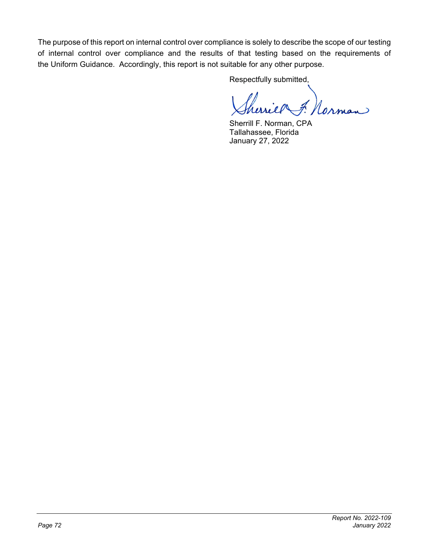The purpose of this report on internal control over compliance is solely to describe the scope of our testing of internal control over compliance and the results of that testing based on the requirements of the Uniform Guidance. Accordingly, this report is not suitable for any other purpose.

Respectfully submitted,

F. Norman

Sherrill F. Norman, CPA Tallahassee, Florida January 27, 2022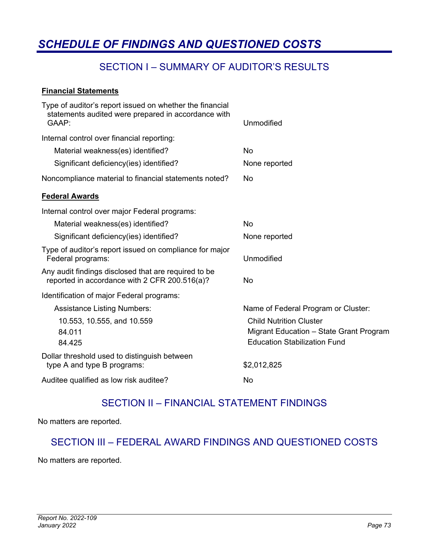# *SCHEDULE OF FINDINGS AND QUESTIONED COSTS*

## SECTION I – SUMMARY OF AUDITOR'S RESULTS

#### **Financial Statements**

| Type of auditor's report issued on whether the financial<br>statements audited were prepared in accordance with<br>GAAP: | Unmodified                              |
|--------------------------------------------------------------------------------------------------------------------------|-----------------------------------------|
| Internal control over financial reporting:                                                                               |                                         |
| Material weakness(es) identified?                                                                                        | No                                      |
| Significant deficiency(ies) identified?                                                                                  | None reported                           |
| Noncompliance material to financial statements noted?                                                                    | No                                      |
| <b>Federal Awards</b>                                                                                                    |                                         |
| Internal control over major Federal programs:                                                                            |                                         |
| Material weakness(es) identified?                                                                                        | No                                      |
| Significant deficiency(ies) identified?                                                                                  | None reported                           |
| Type of auditor's report issued on compliance for major<br>Federal programs:                                             | Unmodified                              |
| Any audit findings disclosed that are required to be<br>reported in accordance with 2 CFR 200.516(a)?                    | No                                      |
| Identification of major Federal programs:                                                                                |                                         |
| <b>Assistance Listing Numbers:</b>                                                                                       | Name of Federal Program or Cluster:     |
| 10.553, 10.555, and 10.559                                                                                               | <b>Child Nutrition Cluster</b>          |
| 84.011                                                                                                                   | Migrant Education - State Grant Program |
| 84.425                                                                                                                   | <b>Education Stabilization Fund</b>     |
| Dollar threshold used to distinguish between<br>type A and type B programs:                                              | \$2,012,825                             |
| Auditee qualified as low risk auditee?                                                                                   | No                                      |

## SECTION II – FINANCIAL STATEMENT FINDINGS

No matters are reported.

### SECTION III – FEDERAL AWARD FINDINGS AND QUESTIONED COSTS

No matters are reported.